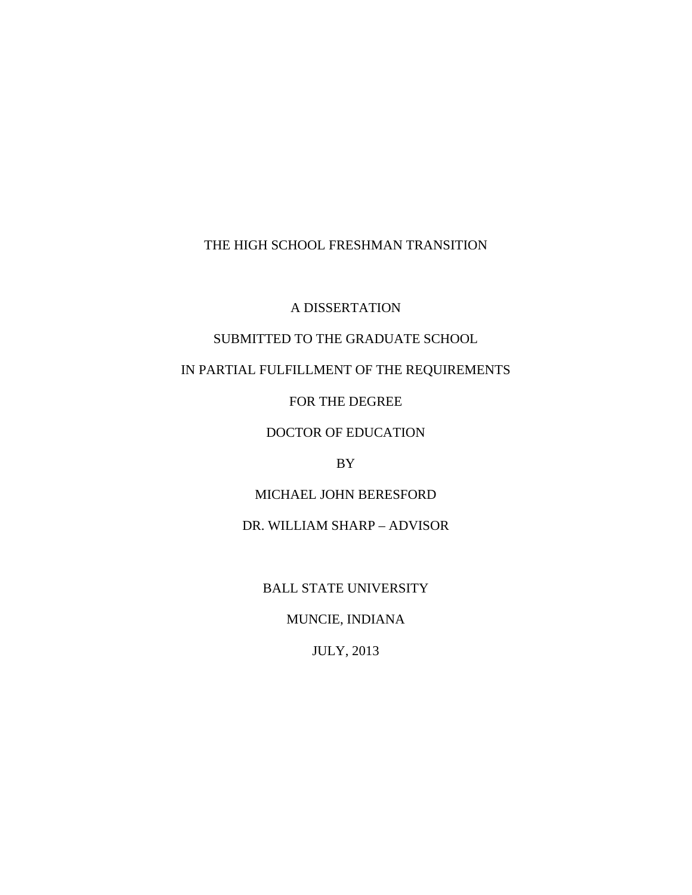## THE HIGH SCHOOL FRESHMAN TRANSITION

A DISSERTATION

# SUBMITTED TO THE GRADUATE SCHOOL

# IN PARTIAL FULFILLMENT OF THE REQUIREMENTS

FOR THE DEGREE

## DOCTOR OF EDUCATION

## BY

## MICHAEL JOHN BERESFORD

## DR. WILLIAM SHARP – ADVISOR

BALL STATE UNIVERSITY

# MUNCIE, INDIANA

## JULY, 2013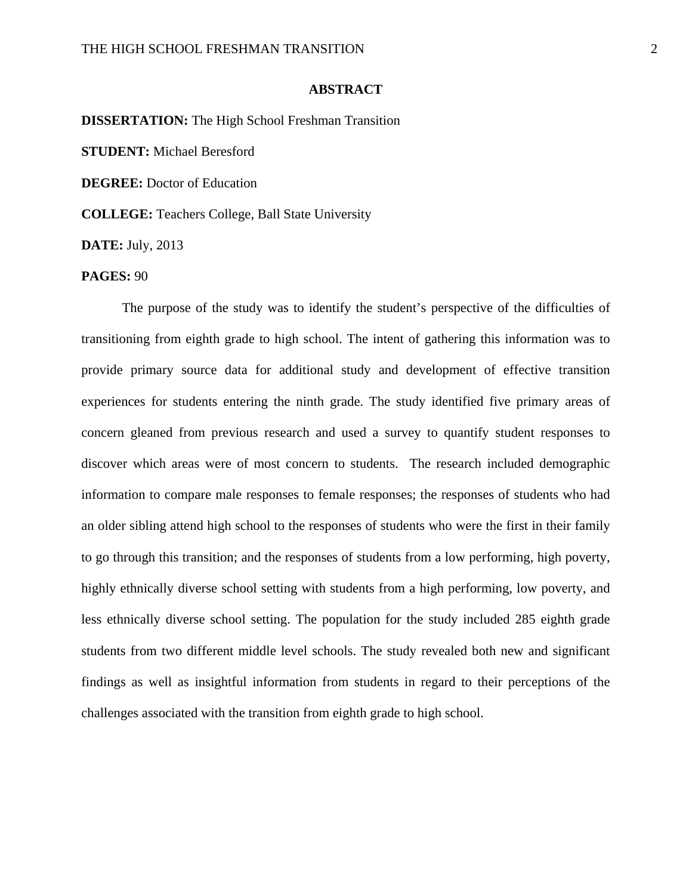## **ABSTRACT**

**DISSERTATION:** The High School Freshman Transition **STUDENT:** Michael Beresford **DEGREE:** Doctor of Education **COLLEGE:** Teachers College, Ball State University

**DATE:** July, 2013

## **PAGES:** 90

The purpose of the study was to identify the student's perspective of the difficulties of transitioning from eighth grade to high school. The intent of gathering this information was to provide primary source data for additional study and development of effective transition experiences for students entering the ninth grade. The study identified five primary areas of concern gleaned from previous research and used a survey to quantify student responses to discover which areas were of most concern to students. The research included demographic information to compare male responses to female responses; the responses of students who had an older sibling attend high school to the responses of students who were the first in their family to go through this transition; and the responses of students from a low performing, high poverty, highly ethnically diverse school setting with students from a high performing, low poverty, and less ethnically diverse school setting. The population for the study included 285 eighth grade students from two different middle level schools. The study revealed both new and significant findings as well as insightful information from students in regard to their perceptions of the challenges associated with the transition from eighth grade to high school.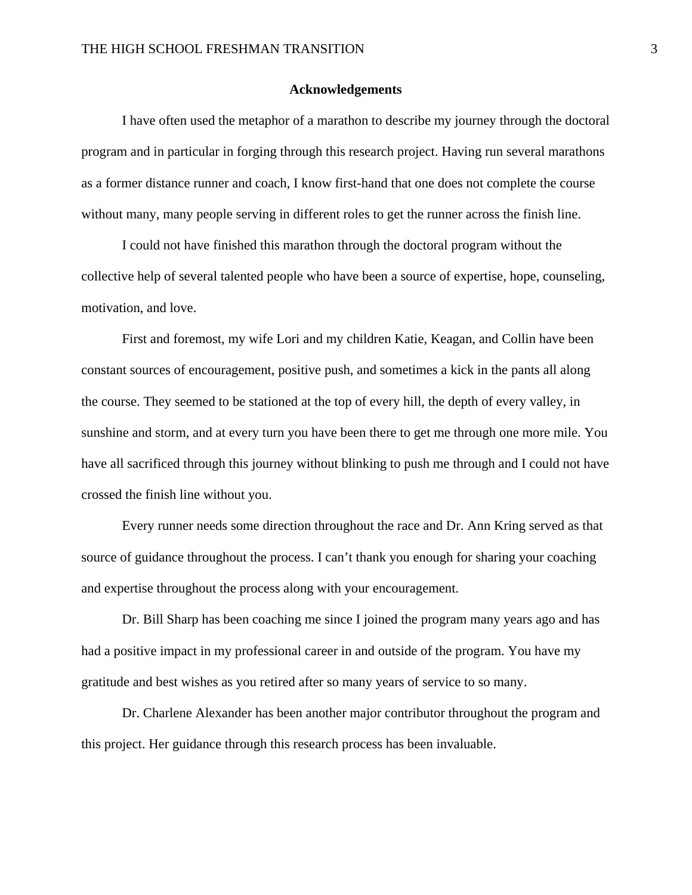#### **Acknowledgements**

I have often used the metaphor of a marathon to describe my journey through the doctoral program and in particular in forging through this research project. Having run several marathons as a former distance runner and coach, I know first-hand that one does not complete the course without many, many people serving in different roles to get the runner across the finish line.

I could not have finished this marathon through the doctoral program without the collective help of several talented people who have been a source of expertise, hope, counseling, motivation, and love.

First and foremost, my wife Lori and my children Katie, Keagan, and Collin have been constant sources of encouragement, positive push, and sometimes a kick in the pants all along the course. They seemed to be stationed at the top of every hill, the depth of every valley, in sunshine and storm, and at every turn you have been there to get me through one more mile. You have all sacrificed through this journey without blinking to push me through and I could not have crossed the finish line without you.

 Every runner needs some direction throughout the race and Dr. Ann Kring served as that source of guidance throughout the process. I can't thank you enough for sharing your coaching and expertise throughout the process along with your encouragement.

 Dr. Bill Sharp has been coaching me since I joined the program many years ago and has had a positive impact in my professional career in and outside of the program. You have my gratitude and best wishes as you retired after so many years of service to so many.

 Dr. Charlene Alexander has been another major contributor throughout the program and this project. Her guidance through this research process has been invaluable.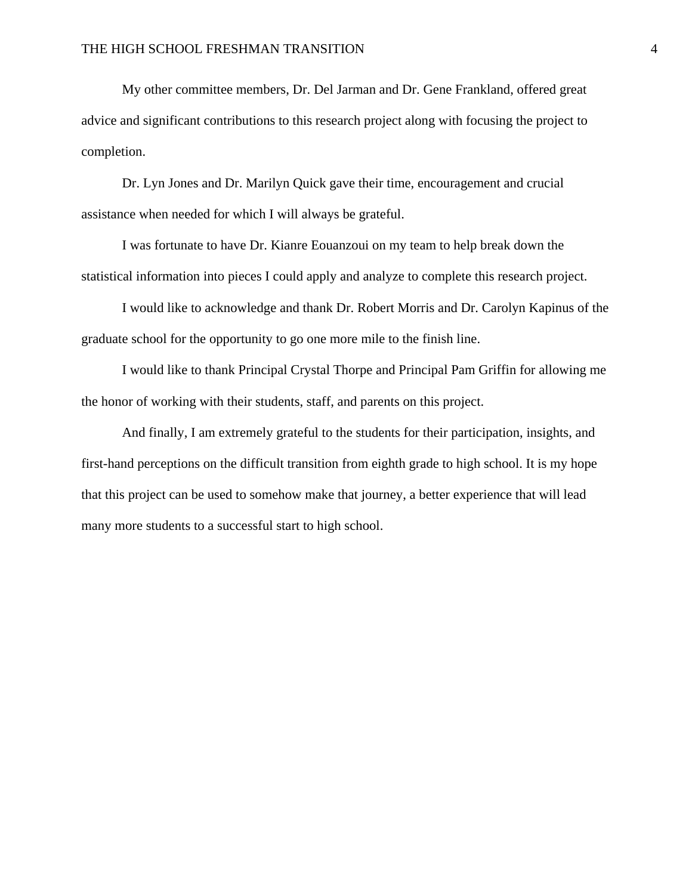My other committee members, Dr. Del Jarman and Dr. Gene Frankland, offered great advice and significant contributions to this research project along with focusing the project to completion.

 Dr. Lyn Jones and Dr. Marilyn Quick gave their time, encouragement and crucial assistance when needed for which I will always be grateful.

I was fortunate to have Dr. Kianre Eouanzoui on my team to help break down the statistical information into pieces I could apply and analyze to complete this research project.

I would like to acknowledge and thank Dr. Robert Morris and Dr. Carolyn Kapinus of the graduate school for the opportunity to go one more mile to the finish line.

I would like to thank Principal Crystal Thorpe and Principal Pam Griffin for allowing me the honor of working with their students, staff, and parents on this project.

And finally, I am extremely grateful to the students for their participation, insights, and first-hand perceptions on the difficult transition from eighth grade to high school. It is my hope that this project can be used to somehow make that journey, a better experience that will lead many more students to a successful start to high school.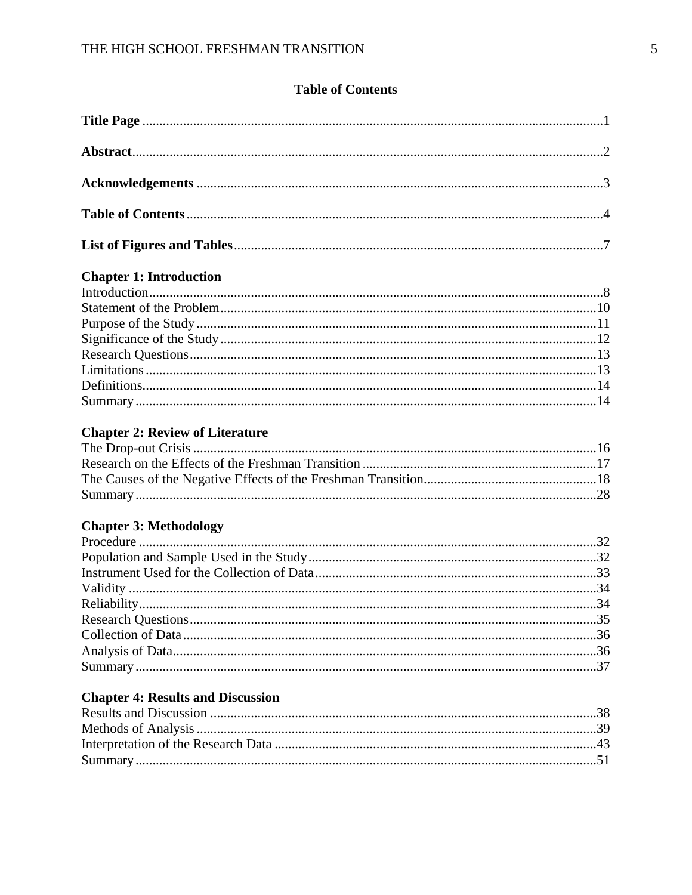# **Table of Contents**

# **Chapter 1: Introduction**

# **Chapter 2: Review of Literature**

# **Chapter 3: Methodology**

## **Chapter 4: Results and Discussion**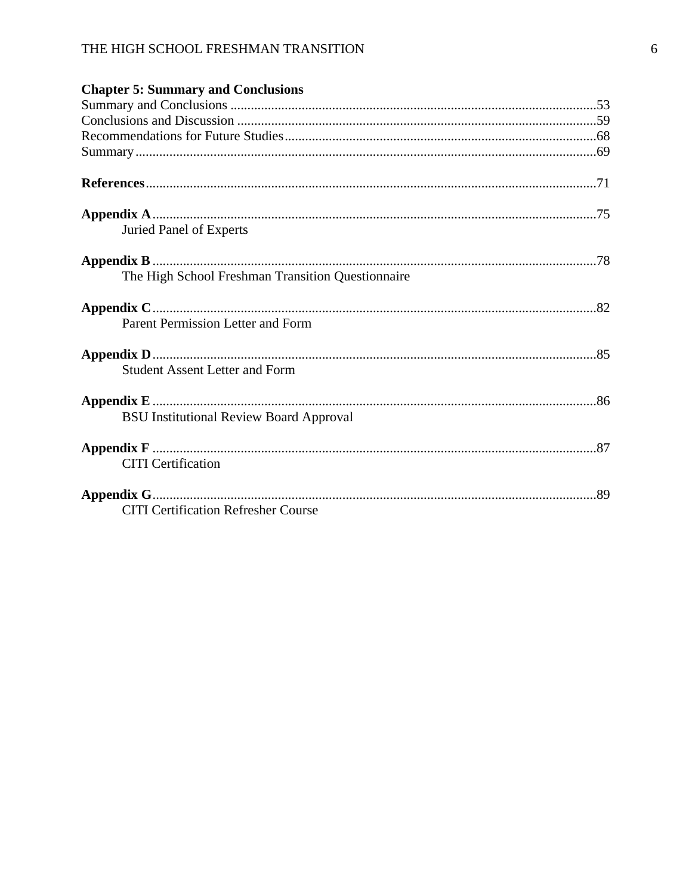# THE HIGH SCHOOL FRESHMAN TRANSITION

| <b>Chapter 5: Summary and Conclusions</b>         |  |
|---------------------------------------------------|--|
|                                                   |  |
|                                                   |  |
|                                                   |  |
|                                                   |  |
|                                                   |  |
| Juried Panel of Experts                           |  |
|                                                   |  |
| The High School Freshman Transition Questionnaire |  |
|                                                   |  |
| Parent Permission Letter and Form                 |  |
|                                                   |  |
| <b>Student Assent Letter and Form</b>             |  |
|                                                   |  |
| <b>BSU Institutional Review Board Approval</b>    |  |
| <b>CITI</b> Certification                         |  |
| <b>CITI Certification Refresher Course</b>        |  |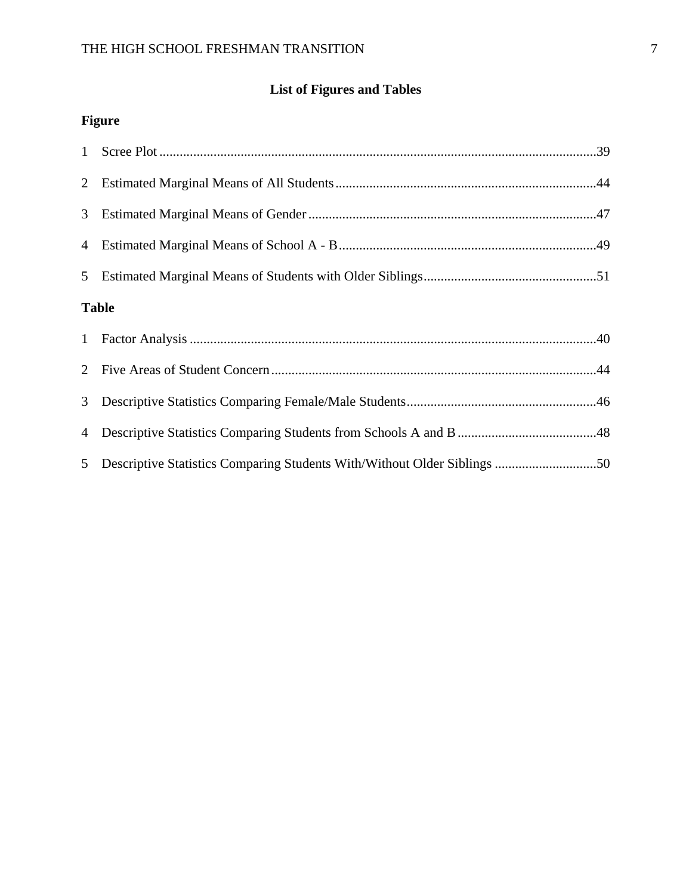# **List of Figures and Tables**

# **Figure**

| 3 <sup>7</sup> |              |
|----------------|--------------|
|                |              |
|                |              |
|                | <b>Table</b> |
| 1              |              |
|                |              |
| 3 <sup>7</sup> |              |
| $\overline{4}$ |              |
| 5 <sup>5</sup> |              |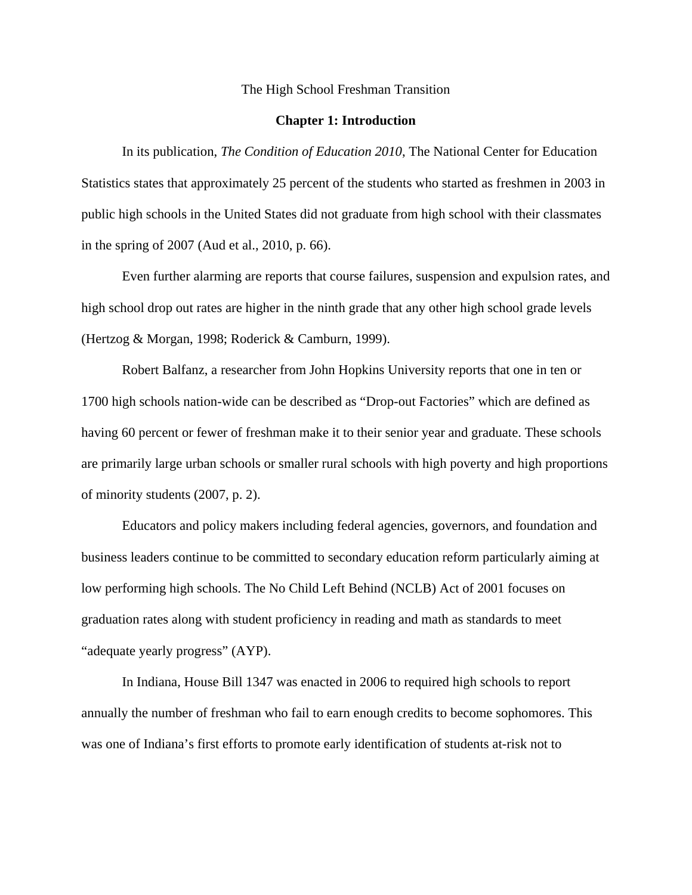#### The High School Freshman Transition

#### **Chapter 1: Introduction**

In its publication, *The Condition of Education 2010*, The National Center for Education Statistics states that approximately 25 percent of the students who started as freshmen in 2003 in public high schools in the United States did not graduate from high school with their classmates in the spring of 2007 (Aud et al., 2010, p. 66).

 Even further alarming are reports that course failures, suspension and expulsion rates, and high school drop out rates are higher in the ninth grade that any other high school grade levels (Hertzog & Morgan, 1998; Roderick & Camburn, 1999).

 Robert Balfanz, a researcher from John Hopkins University reports that one in ten or 1700 high schools nation-wide can be described as "Drop-out Factories" which are defined as having 60 percent or fewer of freshman make it to their senior year and graduate. These schools are primarily large urban schools or smaller rural schools with high poverty and high proportions of minority students (2007, p. 2).

 Educators and policy makers including federal agencies, governors, and foundation and business leaders continue to be committed to secondary education reform particularly aiming at low performing high schools. The No Child Left Behind (NCLB) Act of 2001 focuses on graduation rates along with student proficiency in reading and math as standards to meet "adequate yearly progress" (AYP).

 In Indiana, House Bill 1347 was enacted in 2006 to required high schools to report annually the number of freshman who fail to earn enough credits to become sophomores. This was one of Indiana's first efforts to promote early identification of students at-risk not to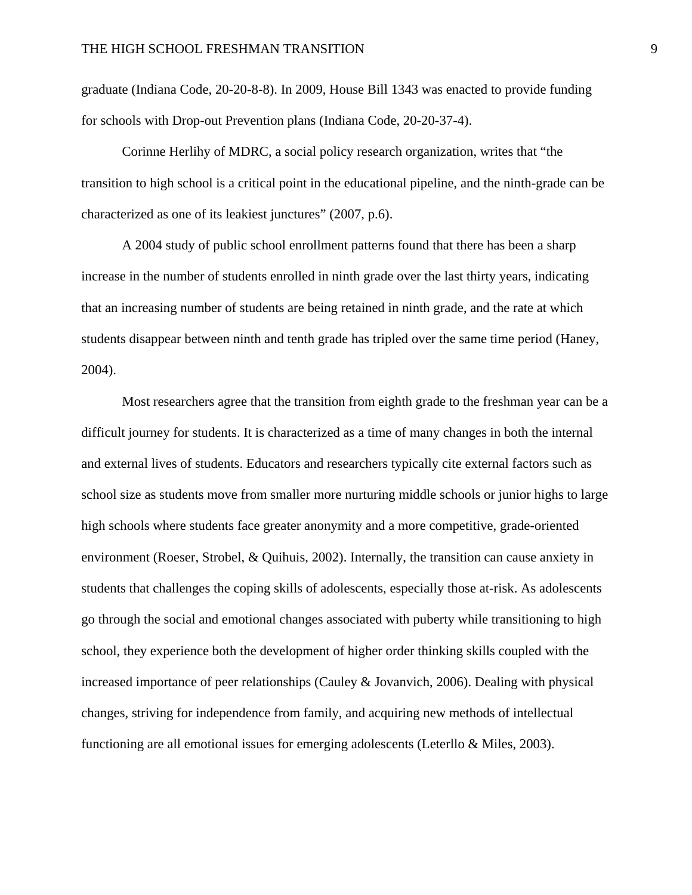graduate (Indiana Code, 20-20-8-8). In 2009, House Bill 1343 was enacted to provide funding for schools with Drop-out Prevention plans (Indiana Code, 20-20-37-4).

 Corinne Herlihy of MDRC, a social policy research organization, writes that "the transition to high school is a critical point in the educational pipeline, and the ninth-grade can be characterized as one of its leakiest junctures" (2007, p.6).

 A 2004 study of public school enrollment patterns found that there has been a sharp increase in the number of students enrolled in ninth grade over the last thirty years, indicating that an increasing number of students are being retained in ninth grade, and the rate at which students disappear between ninth and tenth grade has tripled over the same time period (Haney, 2004).

 Most researchers agree that the transition from eighth grade to the freshman year can be a difficult journey for students. It is characterized as a time of many changes in both the internal and external lives of students. Educators and researchers typically cite external factors such as school size as students move from smaller more nurturing middle schools or junior highs to large high schools where students face greater anonymity and a more competitive, grade-oriented environment (Roeser, Strobel, & Quihuis, 2002). Internally, the transition can cause anxiety in students that challenges the coping skills of adolescents, especially those at-risk. As adolescents go through the social and emotional changes associated with puberty while transitioning to high school, they experience both the development of higher order thinking skills coupled with the increased importance of peer relationships (Cauley & Jovanvich, 2006). Dealing with physical changes, striving for independence from family, and acquiring new methods of intellectual functioning are all emotional issues for emerging adolescents (Leterllo & Miles, 2003).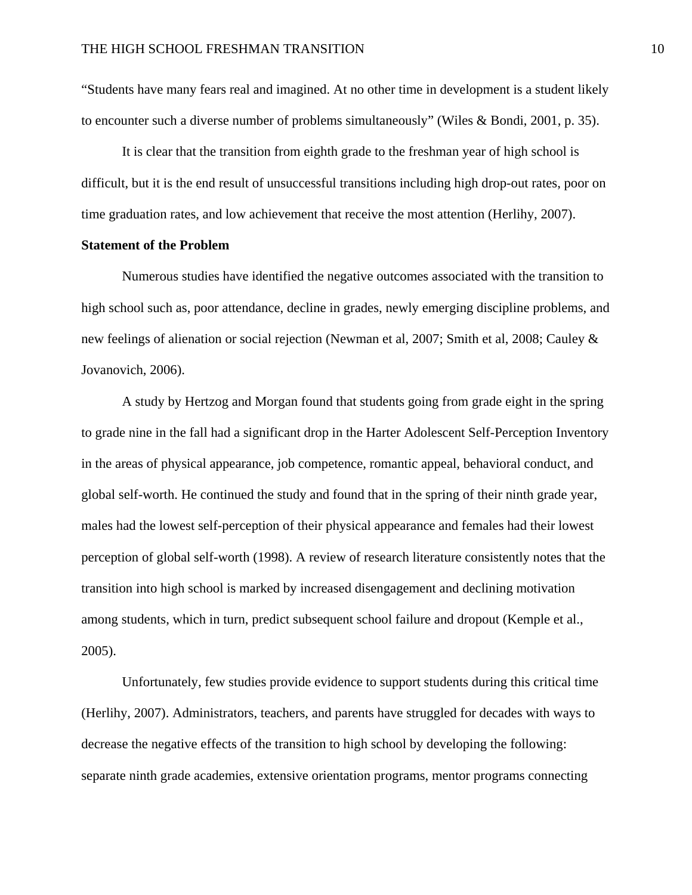"Students have many fears real and imagined. At no other time in development is a student likely to encounter such a diverse number of problems simultaneously" (Wiles & Bondi, 2001, p. 35).

 It is clear that the transition from eighth grade to the freshman year of high school is difficult, but it is the end result of unsuccessful transitions including high drop-out rates, poor on time graduation rates, and low achievement that receive the most attention (Herlihy, 2007).

## **Statement of the Problem**

Numerous studies have identified the negative outcomes associated with the transition to high school such as, poor attendance, decline in grades, newly emerging discipline problems, and new feelings of alienation or social rejection (Newman et al, 2007; Smith et al, 2008; Cauley & Jovanovich, 2006).

 A study by Hertzog and Morgan found that students going from grade eight in the spring to grade nine in the fall had a significant drop in the Harter Adolescent Self-Perception Inventory in the areas of physical appearance, job competence, romantic appeal, behavioral conduct, and global self-worth. He continued the study and found that in the spring of their ninth grade year, males had the lowest self-perception of their physical appearance and females had their lowest perception of global self-worth (1998). A review of research literature consistently notes that the transition into high school is marked by increased disengagement and declining motivation among students, which in turn, predict subsequent school failure and dropout (Kemple et al., 2005).

 Unfortunately, few studies provide evidence to support students during this critical time (Herlihy, 2007). Administrators, teachers, and parents have struggled for decades with ways to decrease the negative effects of the transition to high school by developing the following: separate ninth grade academies, extensive orientation programs, mentor programs connecting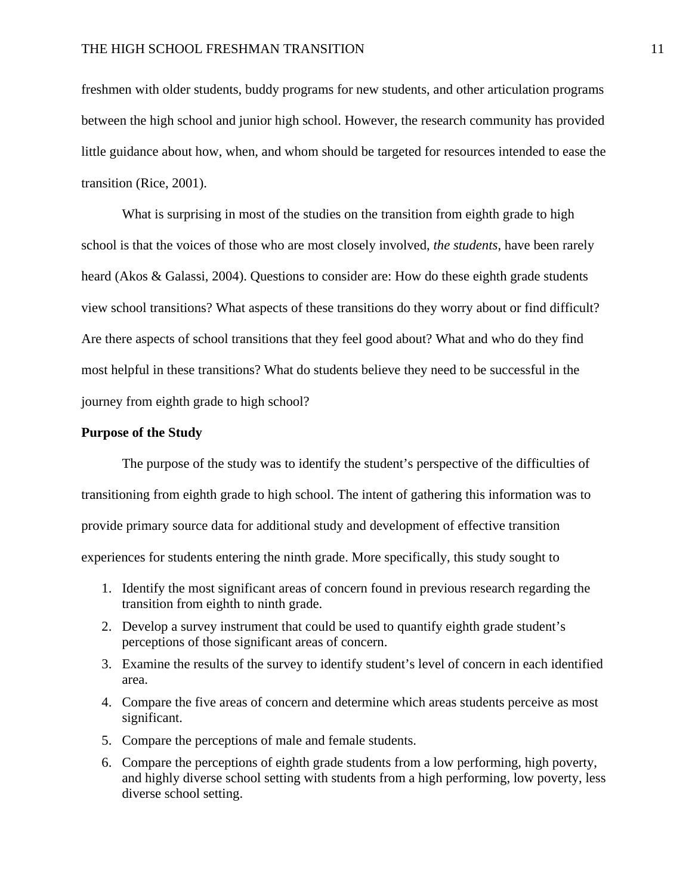freshmen with older students, buddy programs for new students, and other articulation programs between the high school and junior high school. However, the research community has provided little guidance about how, when, and whom should be targeted for resources intended to ease the transition (Rice, 2001).

 What is surprising in most of the studies on the transition from eighth grade to high school is that the voices of those who are most closely involved, *the students*, have been rarely heard (Akos & Galassi, 2004). Questions to consider are: How do these eighth grade students view school transitions? What aspects of these transitions do they worry about or find difficult? Are there aspects of school transitions that they feel good about? What and who do they find most helpful in these transitions? What do students believe they need to be successful in the journey from eighth grade to high school?

## **Purpose of the Study**

The purpose of the study was to identify the student's perspective of the difficulties of transitioning from eighth grade to high school. The intent of gathering this information was to provide primary source data for additional study and development of effective transition experiences for students entering the ninth grade. More specifically, this study sought to

- 1. Identify the most significant areas of concern found in previous research regarding the transition from eighth to ninth grade.
- 2. Develop a survey instrument that could be used to quantify eighth grade student's perceptions of those significant areas of concern.
- 3. Examine the results of the survey to identify student's level of concern in each identified area.
- 4. Compare the five areas of concern and determine which areas students perceive as most significant.
- 5. Compare the perceptions of male and female students.
- 6. Compare the perceptions of eighth grade students from a low performing, high poverty, and highly diverse school setting with students from a high performing, low poverty, less diverse school setting.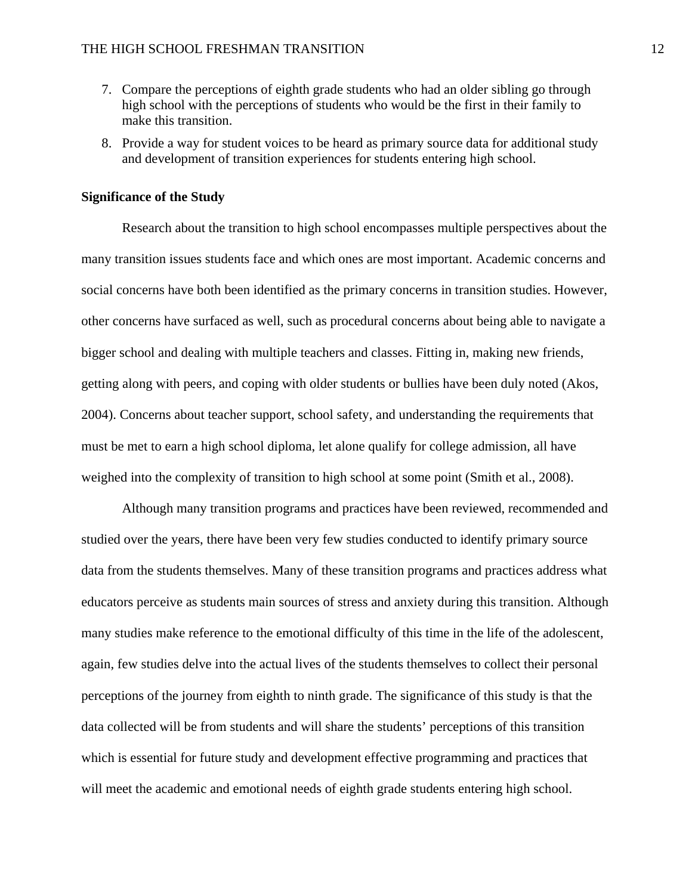- 7. Compare the perceptions of eighth grade students who had an older sibling go through high school with the perceptions of students who would be the first in their family to make this transition.
- 8. Provide a way for student voices to be heard as primary source data for additional study and development of transition experiences for students entering high school.

## **Significance of the Study**

Research about the transition to high school encompasses multiple perspectives about the many transition issues students face and which ones are most important. Academic concerns and social concerns have both been identified as the primary concerns in transition studies. However, other concerns have surfaced as well, such as procedural concerns about being able to navigate a bigger school and dealing with multiple teachers and classes. Fitting in, making new friends, getting along with peers, and coping with older students or bullies have been duly noted (Akos, 2004). Concerns about teacher support, school safety, and understanding the requirements that must be met to earn a high school diploma, let alone qualify for college admission, all have weighed into the complexity of transition to high school at some point (Smith et al., 2008).

Although many transition programs and practices have been reviewed, recommended and studied over the years, there have been very few studies conducted to identify primary source data from the students themselves. Many of these transition programs and practices address what educators perceive as students main sources of stress and anxiety during this transition. Although many studies make reference to the emotional difficulty of this time in the life of the adolescent, again, few studies delve into the actual lives of the students themselves to collect their personal perceptions of the journey from eighth to ninth grade. The significance of this study is that the data collected will be from students and will share the students' perceptions of this transition which is essential for future study and development effective programming and practices that will meet the academic and emotional needs of eighth grade students entering high school.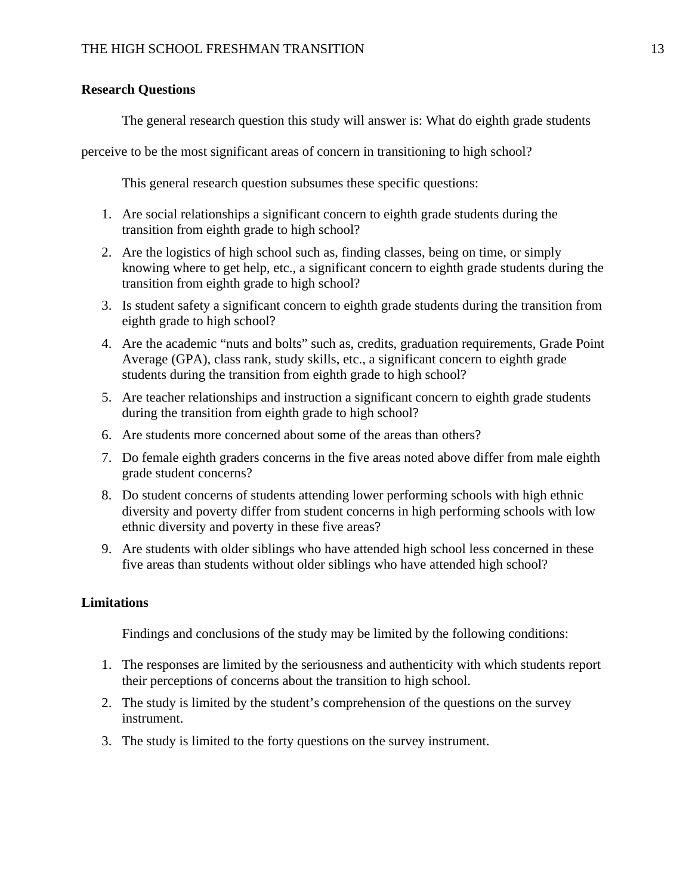## **Research Questions**

The general research question this study will answer is: What do eighth grade students

perceive to be the most significant areas of concern in transitioning to high school?

This general research question subsumes these specific questions:

- 1. Are social relationships a significant concern to eighth grade students during the transition from eighth grade to high school?
- 2. Are the logistics of high school such as, finding classes, being on time, or simply knowing where to get help, etc., a significant concern to eighth grade students during the transition from eighth grade to high school?
- 3. Is student safety a significant concern to eighth grade students during the transition from eighth grade to high school?
- 4. Are the academic "nuts and bolts" such as, credits, graduation requirements, Grade Point Average (GPA), class rank, study skills, etc., a significant concern to eighth grade students during the transition from eighth grade to high school?
- 5. Are teacher relationships and instruction a significant concern to eighth grade students during the transition from eighth grade to high school?
- 6. Are students more concerned about some of the areas than others?
- 7. Do female eighth graders concerns in the five areas noted above differ from male eighth grade student concerns?
- 8. Do student concerns of students attending lower performing schools with high ethnic diversity and poverty differ from student concerns in high performing schools with low ethnic diversity and poverty in these five areas?
- 9. Are students with older siblings who have attended high school less concerned in these five areas than students without older siblings who have attended high school?

## **Limitations**

Findings and conclusions of the study may be limited by the following conditions:

- 1. The responses are limited by the seriousness and authenticity with which students report their perceptions of concerns about the transition to high school.
- 2. The study is limited by the student's comprehension of the questions on the survey instrument.
- 3. The study is limited to the forty questions on the survey instrument.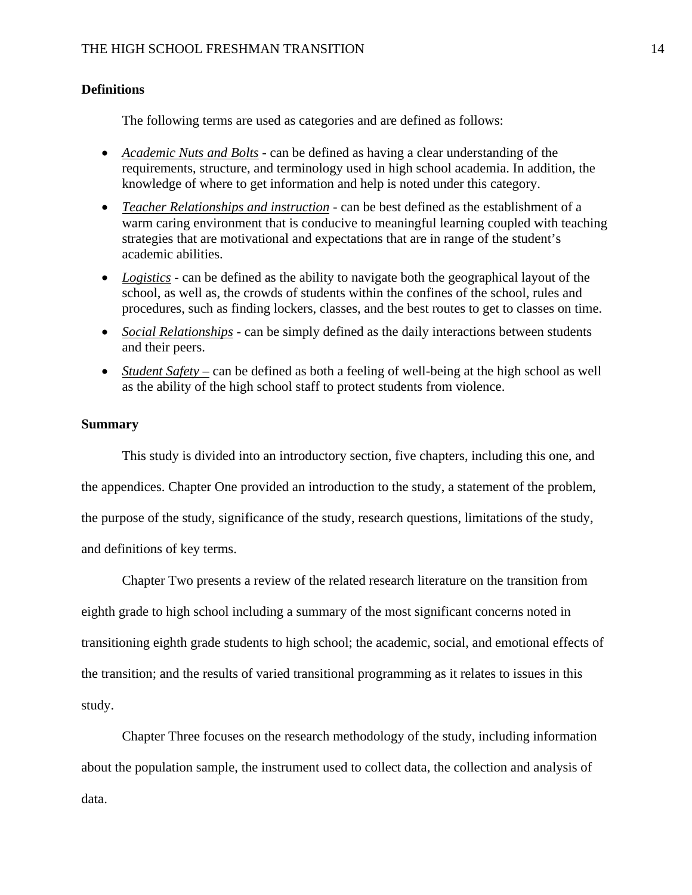## **Definitions**

The following terms are used as categories and are defined as follows:

- *Academic Nuts and Bolts* can be defined as having a clear understanding of the requirements, structure, and terminology used in high school academia. In addition, the knowledge of where to get information and help is noted under this category.
- *Teacher Relationships and instruction* can be best defined as the establishment of a warm caring environment that is conducive to meaningful learning coupled with teaching strategies that are motivational and expectations that are in range of the student's academic abilities.
- *Logistics* can be defined as the ability to navigate both the geographical layout of the school, as well as, the crowds of students within the confines of the school, rules and procedures, such as finding lockers, classes, and the best routes to get to classes on time.
- *Social Relationships* can be simply defined as the daily interactions between students and their peers.
- *Student Safety* can be defined as both a feeling of well-being at the high school as well as the ability of the high school staff to protect students from violence.

## **Summary**

This study is divided into an introductory section, five chapters, including this one, and the appendices. Chapter One provided an introduction to the study, a statement of the problem, the purpose of the study, significance of the study, research questions, limitations of the study, and definitions of key terms.

Chapter Two presents a review of the related research literature on the transition from eighth grade to high school including a summary of the most significant concerns noted in transitioning eighth grade students to high school; the academic, social, and emotional effects of the transition; and the results of varied transitional programming as it relates to issues in this study.

Chapter Three focuses on the research methodology of the study, including information about the population sample, the instrument used to collect data, the collection and analysis of data.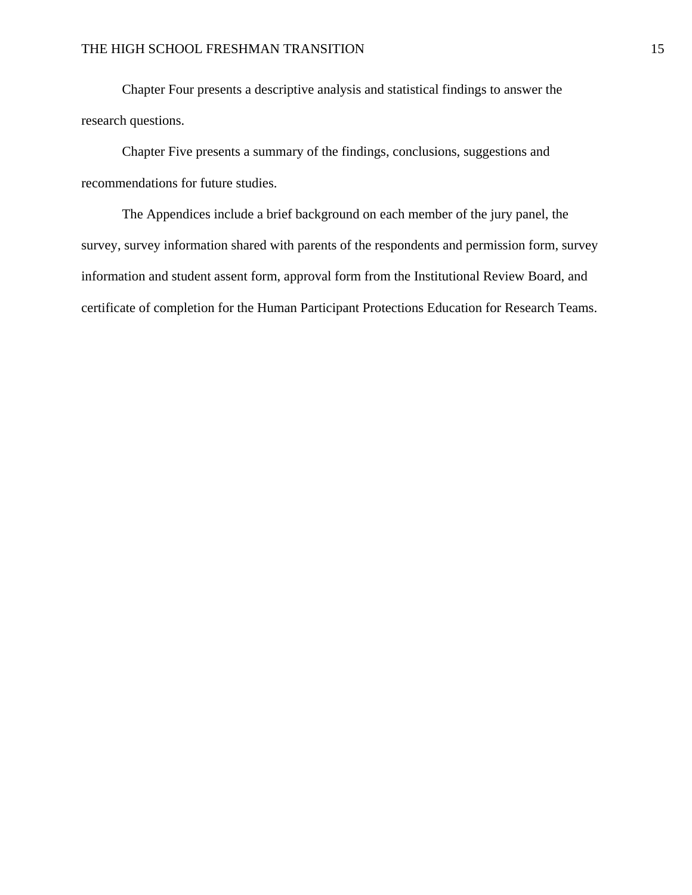Chapter Four presents a descriptive analysis and statistical findings to answer the research questions.

Chapter Five presents a summary of the findings, conclusions, suggestions and recommendations for future studies.

The Appendices include a brief background on each member of the jury panel, the survey, survey information shared with parents of the respondents and permission form, survey information and student assent form, approval form from the Institutional Review Board, and certificate of completion for the Human Participant Protections Education for Research Teams.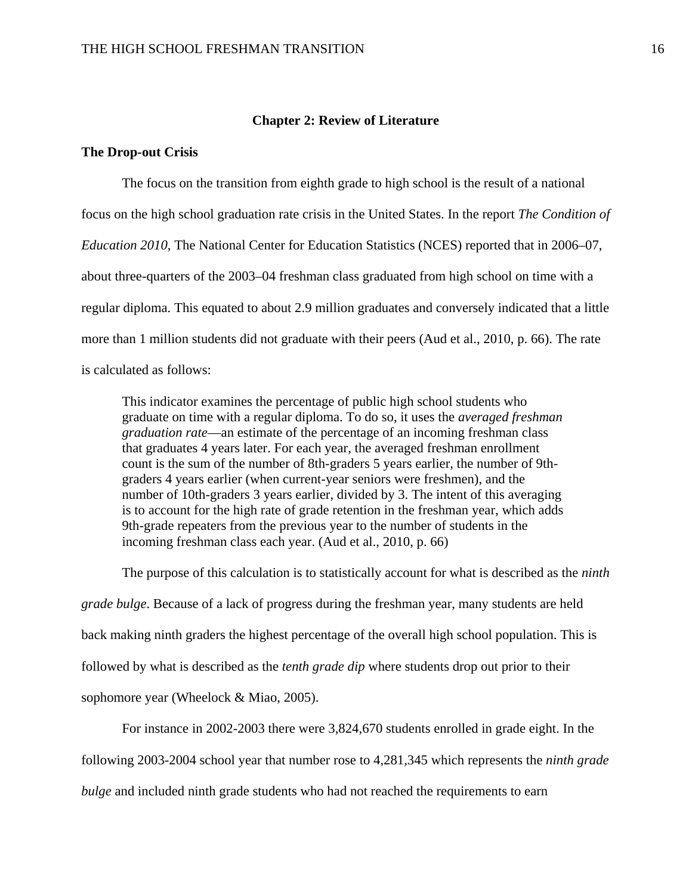### **Chapter 2: Review of Literature**

## **The Drop-out Crisis**

The focus on the transition from eighth grade to high school is the result of a national focus on the high school graduation rate crisis in the United States. In the report *The Condition of Education 2010,* The National Center for Education Statistics (NCES) reported that in 2006–07, about three-quarters of the 2003–04 freshman class graduated from high school on time with a regular diploma. This equated to about 2.9 million graduates and conversely indicated that a little more than 1 million students did not graduate with their peers (Aud et al., 2010, p. 66). The rate is calculated as follows:

This indicator examines the percentage of public high school students who graduate on time with a regular diploma. To do so, it uses the *averaged freshman graduation rate*—an estimate of the percentage of an incoming freshman class that graduates 4 years later. For each year, the averaged freshman enrollment count is the sum of the number of 8th-graders 5 years earlier, the number of 9thgraders 4 years earlier (when current-year seniors were freshmen), and the number of 10th-graders 3 years earlier, divided by 3. The intent of this averaging is to account for the high rate of grade retention in the freshman year, which adds 9th-grade repeaters from the previous year to the number of students in the incoming freshman class each year. (Aud et al., 2010, p. 66)

 The purpose of this calculation is to statistically account for what is described as the *ninth grade bulge*. Because of a lack of progress during the freshman year, many students are held back making ninth graders the highest percentage of the overall high school population. This is followed by what is described as the *tenth grade dip* where students drop out prior to their sophomore year (Wheelock & Miao, 2005).

For instance in 2002-2003 there were 3,824,670 students enrolled in grade eight. In the

following 2003-2004 school year that number rose to 4,281,345 which represents the *ninth grade* 

*bulge* and included ninth grade students who had not reached the requirements to earn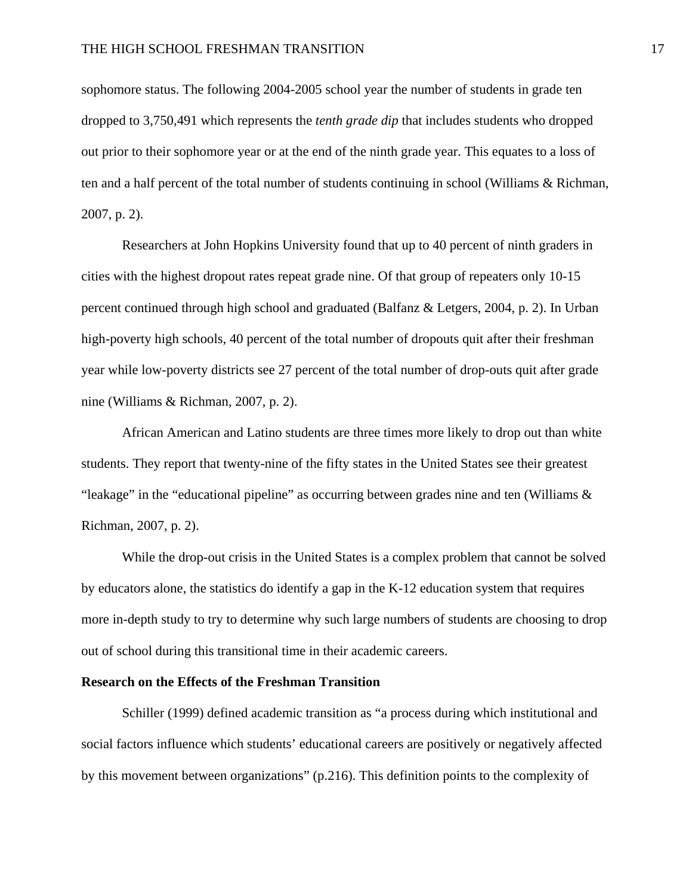sophomore status. The following 2004-2005 school year the number of students in grade ten dropped to 3,750,491 which represents the *tenth grade dip* that includes students who dropped out prior to their sophomore year or at the end of the ninth grade year. This equates to a loss of ten and a half percent of the total number of students continuing in school (Williams & Richman, 2007, p. 2).

 Researchers at John Hopkins University found that up to 40 percent of ninth graders in cities with the highest dropout rates repeat grade nine. Of that group of repeaters only 10-15 percent continued through high school and graduated (Balfanz & Letgers, 2004, p. 2). In Urban high-poverty high schools, 40 percent of the total number of dropouts quit after their freshman year while low-poverty districts see 27 percent of the total number of drop-outs quit after grade nine (Williams & Richman, 2007, p. 2).

 African American and Latino students are three times more likely to drop out than white students. They report that twenty-nine of the fifty states in the United States see their greatest "leakage" in the "educational pipeline" as occurring between grades nine and ten (Williams & Richman, 2007, p. 2).

 While the drop-out crisis in the United States is a complex problem that cannot be solved by educators alone, the statistics do identify a gap in the K-12 education system that requires more in-depth study to try to determine why such large numbers of students are choosing to drop out of school during this transitional time in their academic careers.

#### **Research on the Effects of the Freshman Transition**

Schiller (1999) defined academic transition as "a process during which institutional and social factors influence which students' educational careers are positively or negatively affected by this movement between organizations" (p.216). This definition points to the complexity of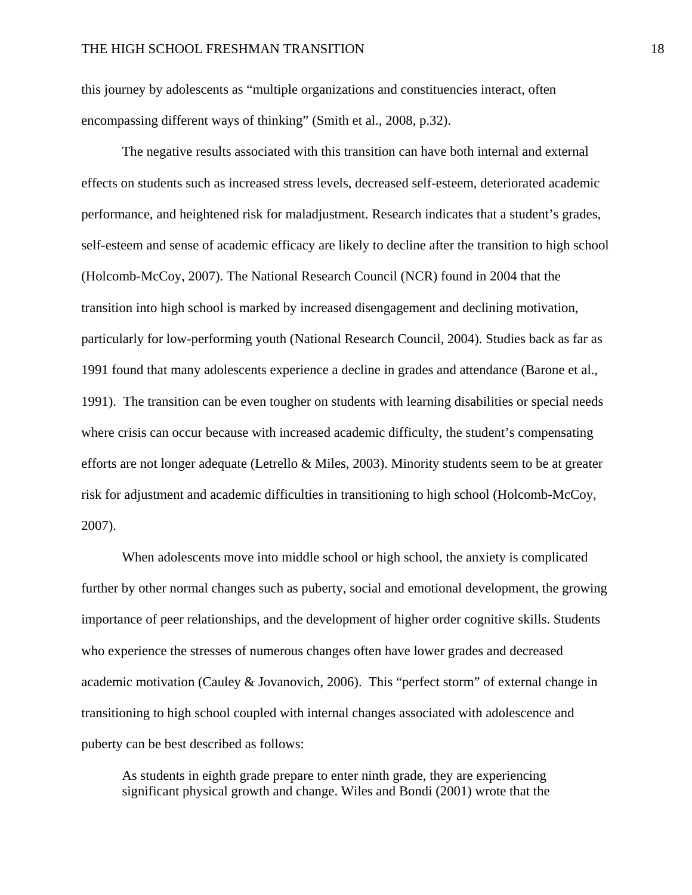this journey by adolescents as "multiple organizations and constituencies interact, often encompassing different ways of thinking" (Smith et al., 2008, p.32).

 The negative results associated with this transition can have both internal and external effects on students such as increased stress levels, decreased self-esteem, deteriorated academic performance, and heightened risk for maladjustment. Research indicates that a student's grades, self-esteem and sense of academic efficacy are likely to decline after the transition to high school (Holcomb-McCoy, 2007). The National Research Council (NCR) found in 2004 that the transition into high school is marked by increased disengagement and declining motivation, particularly for low-performing youth (National Research Council, 2004). Studies back as far as 1991 found that many adolescents experience a decline in grades and attendance (Barone et al., 1991). The transition can be even tougher on students with learning disabilities or special needs where crisis can occur because with increased academic difficulty, the student's compensating efforts are not longer adequate (Letrello & Miles, 2003). Minority students seem to be at greater risk for adjustment and academic difficulties in transitioning to high school (Holcomb-McCoy, 2007).

 When adolescents move into middle school or high school, the anxiety is complicated further by other normal changes such as puberty, social and emotional development, the growing importance of peer relationships, and the development of higher order cognitive skills. Students who experience the stresses of numerous changes often have lower grades and decreased academic motivation (Cauley & Jovanovich, 2006). This "perfect storm" of external change in transitioning to high school coupled with internal changes associated with adolescence and puberty can be best described as follows:

As students in eighth grade prepare to enter ninth grade, they are experiencing significant physical growth and change. Wiles and Bondi (2001) wrote that the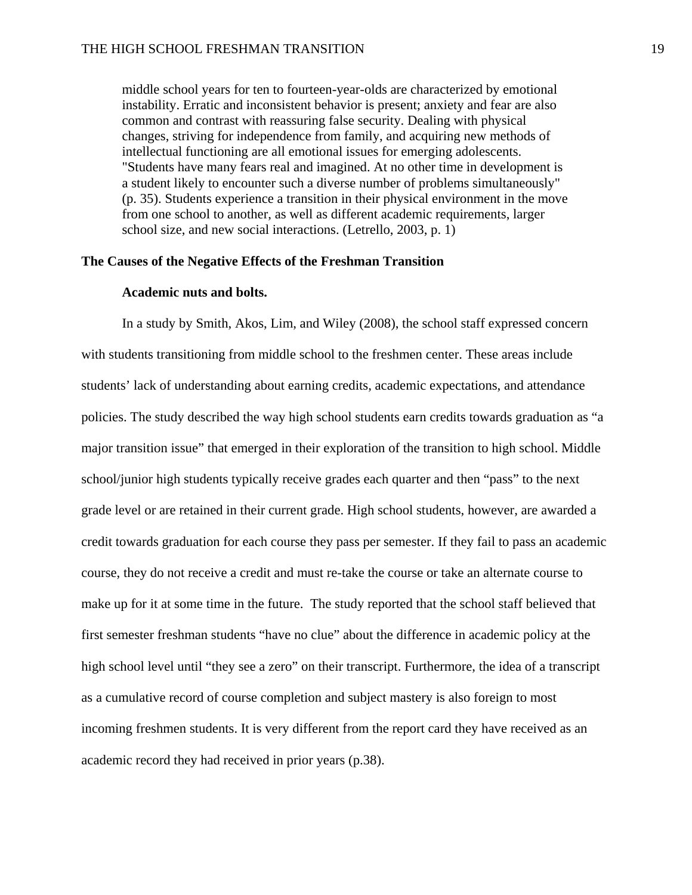middle school years for ten to fourteen-year-olds are characterized by emotional instability. Erratic and inconsistent behavior is present; anxiety and fear are also common and contrast with reassuring false security. Dealing with physical changes, striving for independence from family, and acquiring new methods of intellectual functioning are all emotional issues for emerging adolescents. "Students have many fears real and imagined. At no other time in development is a student likely to encounter such a diverse number of problems simultaneously" (p. 35). Students experience a transition in their physical environment in the move from one school to another, as well as different academic requirements, larger school size, and new social interactions. (Letrello, 2003, p. 1)

## **The Causes of the Negative Effects of the Freshman Transition**

## **Academic nuts and bolts.**

In a study by Smith, Akos, Lim, and Wiley (2008), the school staff expressed concern with students transitioning from middle school to the freshmen center. These areas include students' lack of understanding about earning credits, academic expectations, and attendance policies. The study described the way high school students earn credits towards graduation as "a major transition issue" that emerged in their exploration of the transition to high school. Middle school/junior high students typically receive grades each quarter and then "pass" to the next grade level or are retained in their current grade. High school students, however, are awarded a credit towards graduation for each course they pass per semester. If they fail to pass an academic course, they do not receive a credit and must re-take the course or take an alternate course to make up for it at some time in the future. The study reported that the school staff believed that first semester freshman students "have no clue" about the difference in academic policy at the high school level until "they see a zero" on their transcript. Furthermore, the idea of a transcript as a cumulative record of course completion and subject mastery is also foreign to most incoming freshmen students. It is very different from the report card they have received as an academic record they had received in prior years (p.38).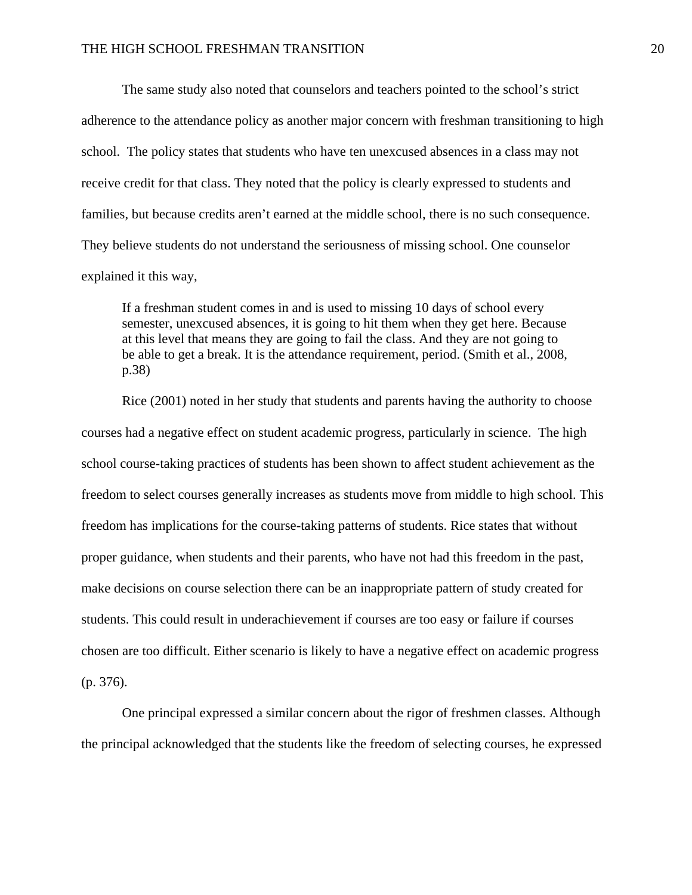The same study also noted that counselors and teachers pointed to the school's strict adherence to the attendance policy as another major concern with freshman transitioning to high school. The policy states that students who have ten unexcused absences in a class may not receive credit for that class. They noted that the policy is clearly expressed to students and families, but because credits aren't earned at the middle school, there is no such consequence. They believe students do not understand the seriousness of missing school. One counselor explained it this way,

If a freshman student comes in and is used to missing 10 days of school every semester, unexcused absences, it is going to hit them when they get here. Because at this level that means they are going to fail the class. And they are not going to be able to get a break. It is the attendance requirement, period. (Smith et al., 2008, p.38)

 Rice (2001) noted in her study that students and parents having the authority to choose courses had a negative effect on student academic progress, particularly in science. The high school course-taking practices of students has been shown to affect student achievement as the freedom to select courses generally increases as students move from middle to high school. This freedom has implications for the course-taking patterns of students. Rice states that without proper guidance, when students and their parents, who have not had this freedom in the past, make decisions on course selection there can be an inappropriate pattern of study created for students. This could result in underachievement if courses are too easy or failure if courses chosen are too difficult. Either scenario is likely to have a negative effect on academic progress (p. 376).

 One principal expressed a similar concern about the rigor of freshmen classes. Although the principal acknowledged that the students like the freedom of selecting courses, he expressed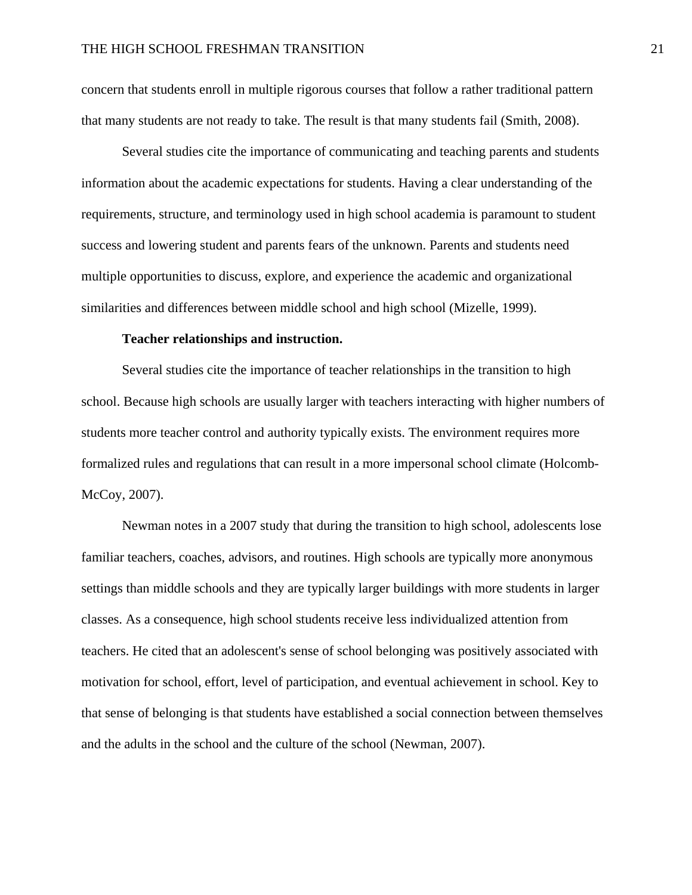concern that students enroll in multiple rigorous courses that follow a rather traditional pattern that many students are not ready to take. The result is that many students fail (Smith, 2008).

 Several studies cite the importance of communicating and teaching parents and students information about the academic expectations for students. Having a clear understanding of the requirements, structure, and terminology used in high school academia is paramount to student success and lowering student and parents fears of the unknown. Parents and students need multiple opportunities to discuss, explore, and experience the academic and organizational similarities and differences between middle school and high school (Mizelle, 1999).

### **Teacher relationships and instruction.**

Several studies cite the importance of teacher relationships in the transition to high school. Because high schools are usually larger with teachers interacting with higher numbers of students more teacher control and authority typically exists. The environment requires more formalized rules and regulations that can result in a more impersonal school climate (Holcomb-McCoy, 2007).

 Newman notes in a 2007 study that during the transition to high school, adolescents lose familiar teachers, coaches, advisors, and routines. High schools are typically more anonymous settings than middle schools and they are typically larger buildings with more students in larger classes. As a consequence, high school students receive less individualized attention from teachers. He cited that an adolescent's sense of school belonging was positively associated with motivation for school, effort, level of participation, and eventual achievement in school. Key to that sense of belonging is that students have established a social connection between themselves and the adults in the school and the culture of the school (Newman, 2007).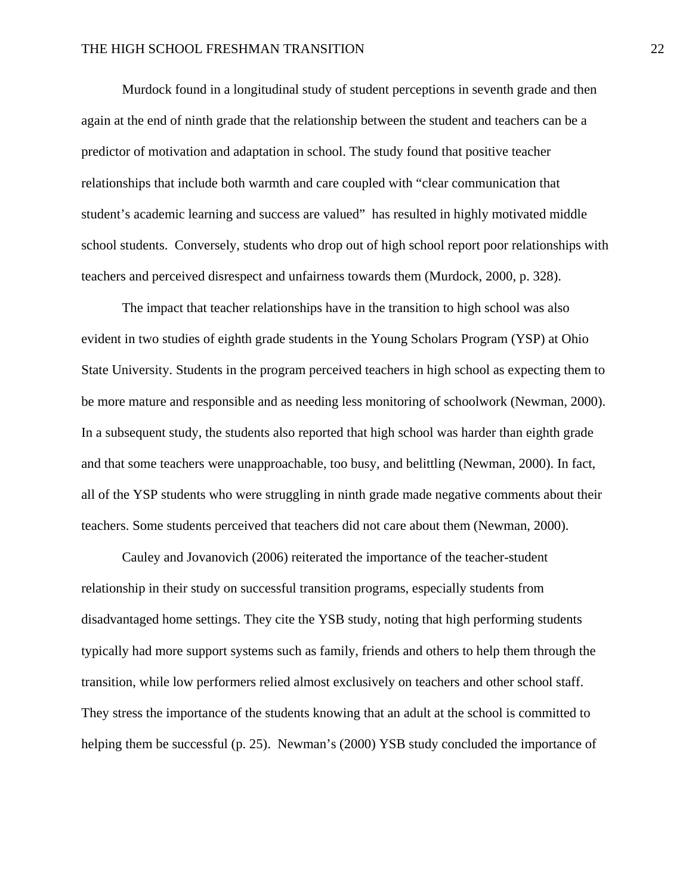Murdock found in a longitudinal study of student perceptions in seventh grade and then again at the end of ninth grade that the relationship between the student and teachers can be a predictor of motivation and adaptation in school. The study found that positive teacher relationships that include both warmth and care coupled with "clear communication that student's academic learning and success are valued" has resulted in highly motivated middle school students. Conversely, students who drop out of high school report poor relationships with teachers and perceived disrespect and unfairness towards them (Murdock, 2000, p. 328).

 The impact that teacher relationships have in the transition to high school was also evident in two studies of eighth grade students in the Young Scholars Program (YSP) at Ohio State University. Students in the program perceived teachers in high school as expecting them to be more mature and responsible and as needing less monitoring of schoolwork (Newman, 2000). In a subsequent study, the students also reported that high school was harder than eighth grade and that some teachers were unapproachable, too busy, and belittling (Newman, 2000). In fact, all of the YSP students who were struggling in ninth grade made negative comments about their teachers. Some students perceived that teachers did not care about them (Newman, 2000).

 Cauley and Jovanovich (2006) reiterated the importance of the teacher-student relationship in their study on successful transition programs, especially students from disadvantaged home settings. They cite the YSB study, noting that high performing students typically had more support systems such as family, friends and others to help them through the transition, while low performers relied almost exclusively on teachers and other school staff. They stress the importance of the students knowing that an adult at the school is committed to helping them be successful (p. 25). Newman's (2000) YSB study concluded the importance of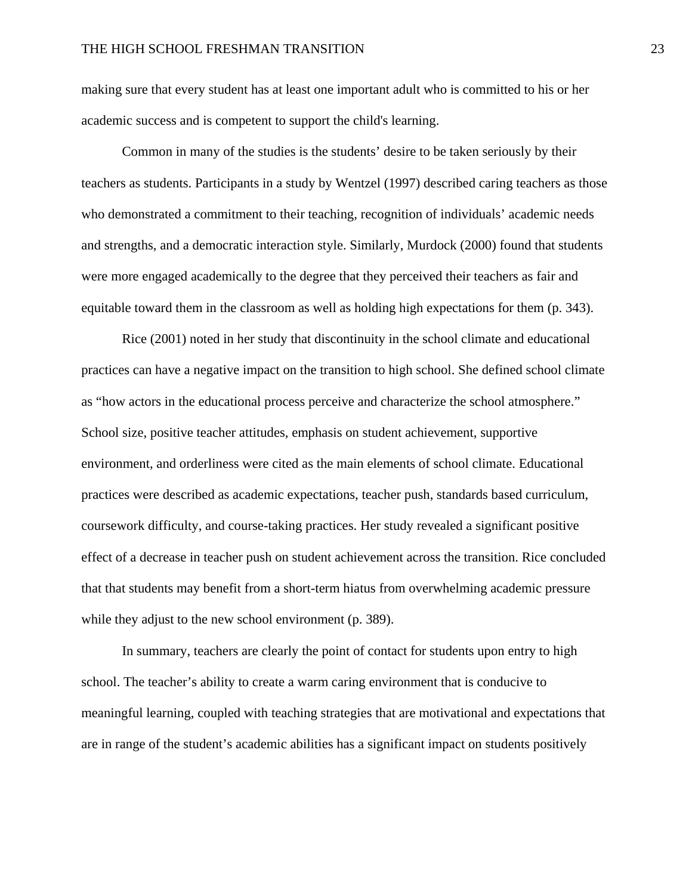making sure that every student has at least one important adult who is committed to his or her academic success and is competent to support the child's learning.

 Common in many of the studies is the students' desire to be taken seriously by their teachers as students. Participants in a study by Wentzel (1997) described caring teachers as those who demonstrated a commitment to their teaching, recognition of individuals' academic needs and strengths, and a democratic interaction style. Similarly, Murdock (2000) found that students were more engaged academically to the degree that they perceived their teachers as fair and equitable toward them in the classroom as well as holding high expectations for them (p. 343).

 Rice (2001) noted in her study that discontinuity in the school climate and educational practices can have a negative impact on the transition to high school. She defined school climate as "how actors in the educational process perceive and characterize the school atmosphere." School size, positive teacher attitudes, emphasis on student achievement, supportive environment, and orderliness were cited as the main elements of school climate. Educational practices were described as academic expectations, teacher push, standards based curriculum, coursework difficulty, and course-taking practices. Her study revealed a significant positive effect of a decrease in teacher push on student achievement across the transition. Rice concluded that that students may benefit from a short-term hiatus from overwhelming academic pressure while they adjust to the new school environment (p. 389).

 In summary, teachers are clearly the point of contact for students upon entry to high school. The teacher's ability to create a warm caring environment that is conducive to meaningful learning, coupled with teaching strategies that are motivational and expectations that are in range of the student's academic abilities has a significant impact on students positively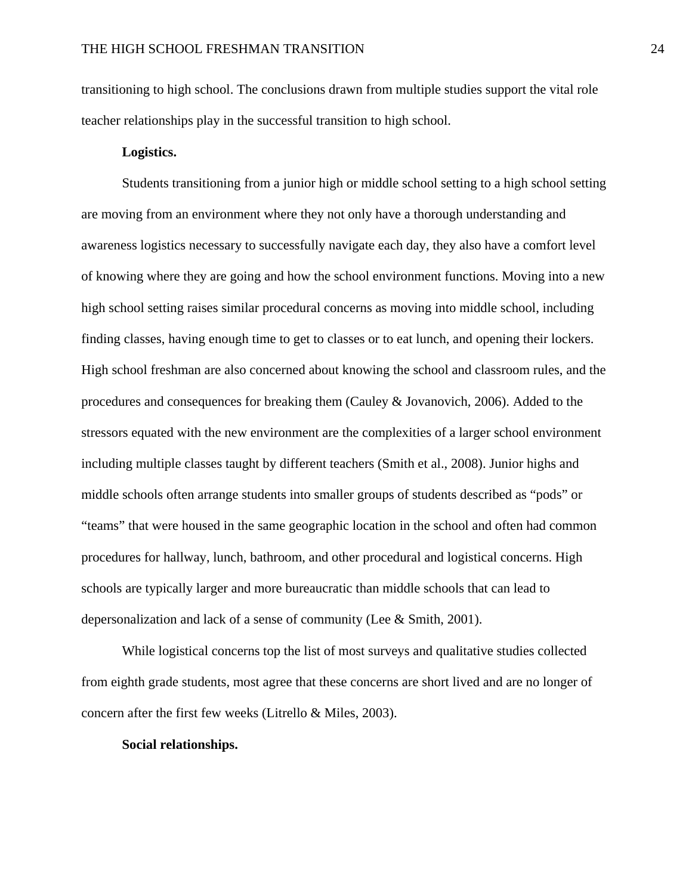transitioning to high school. The conclusions drawn from multiple studies support the vital role teacher relationships play in the successful transition to high school.

## **Logistics.**

Students transitioning from a junior high or middle school setting to a high school setting are moving from an environment where they not only have a thorough understanding and awareness logistics necessary to successfully navigate each day, they also have a comfort level of knowing where they are going and how the school environment functions. Moving into a new high school setting raises similar procedural concerns as moving into middle school, including finding classes, having enough time to get to classes or to eat lunch, and opening their lockers. High school freshman are also concerned about knowing the school and classroom rules, and the procedures and consequences for breaking them (Cauley & Jovanovich, 2006). Added to the stressors equated with the new environment are the complexities of a larger school environment including multiple classes taught by different teachers (Smith et al., 2008). Junior highs and middle schools often arrange students into smaller groups of students described as "pods" or "teams" that were housed in the same geographic location in the school and often had common procedures for hallway, lunch, bathroom, and other procedural and logistical concerns. High schools are typically larger and more bureaucratic than middle schools that can lead to depersonalization and lack of a sense of community (Lee & Smith, 2001).

 While logistical concerns top the list of most surveys and qualitative studies collected from eighth grade students, most agree that these concerns are short lived and are no longer of concern after the first few weeks (Litrello & Miles, 2003).

#### **Social relationships.**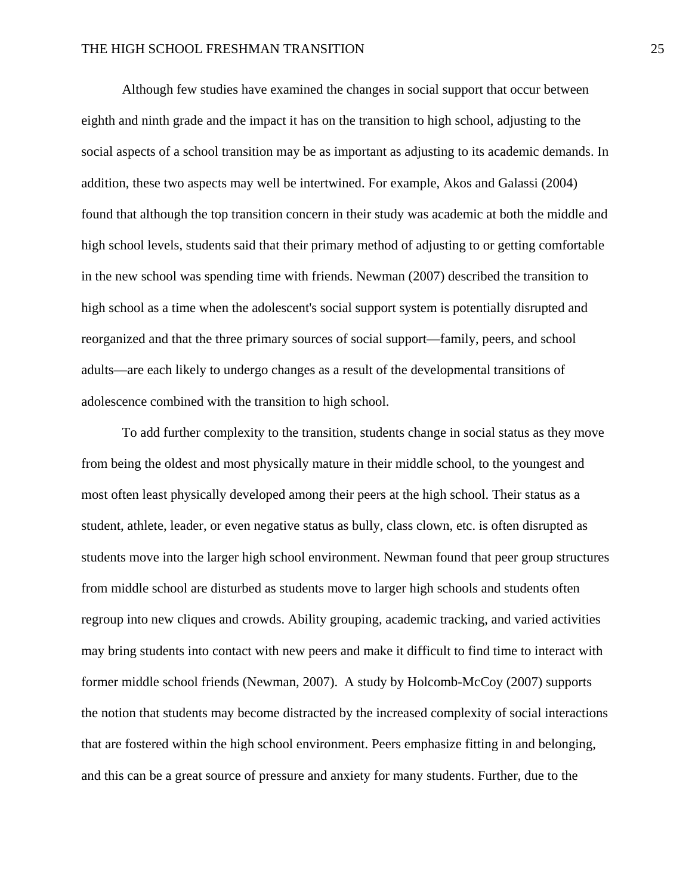Although few studies have examined the changes in social support that occur between eighth and ninth grade and the impact it has on the transition to high school, adjusting to the social aspects of a school transition may be as important as adjusting to its academic demands. In addition, these two aspects may well be intertwined. For example, Akos and Galassi (2004) found that although the top transition concern in their study was academic at both the middle and high school levels, students said that their primary method of adjusting to or getting comfortable in the new school was spending time with friends. Newman (2007) described the transition to high school as a time when the adolescent's social support system is potentially disrupted and reorganized and that the three primary sources of social support—family, peers, and school adults—are each likely to undergo changes as a result of the developmental transitions of adolescence combined with the transition to high school.

 To add further complexity to the transition, students change in social status as they move from being the oldest and most physically mature in their middle school, to the youngest and most often least physically developed among their peers at the high school. Their status as a student, athlete, leader, or even negative status as bully, class clown, etc. is often disrupted as students move into the larger high school environment. Newman found that peer group structures from middle school are disturbed as students move to larger high schools and students often regroup into new cliques and crowds. Ability grouping, academic tracking, and varied activities may bring students into contact with new peers and make it difficult to find time to interact with former middle school friends (Newman, 2007). A study by Holcomb-McCoy (2007) supports the notion that students may become distracted by the increased complexity of social interactions that are fostered within the high school environment. Peers emphasize fitting in and belonging, and this can be a great source of pressure and anxiety for many students. Further, due to the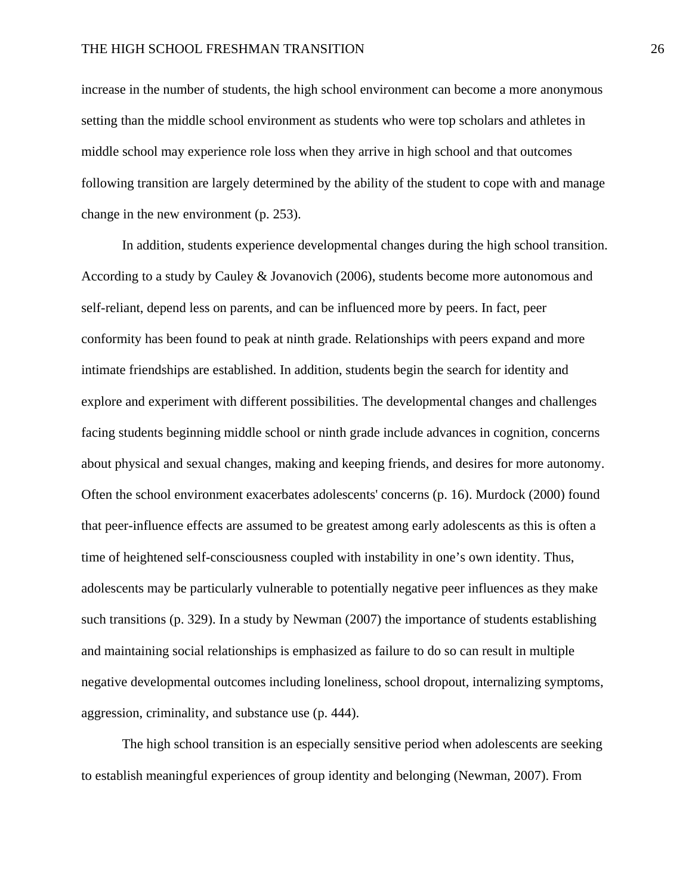#### THE HIGH SCHOOL FRESHMAN TRANSITION 26

increase in the number of students, the high school environment can become a more anonymous setting than the middle school environment as students who were top scholars and athletes in middle school may experience role loss when they arrive in high school and that outcomes following transition are largely determined by the ability of the student to cope with and manage change in the new environment (p. 253).

 In addition, students experience developmental changes during the high school transition. According to a study by Cauley & Jovanovich (2006), students become more autonomous and self-reliant, depend less on parents, and can be influenced more by peers. In fact, peer conformity has been found to peak at ninth grade. Relationships with peers expand and more intimate friendships are established. In addition, students begin the search for identity and explore and experiment with different possibilities. The developmental changes and challenges facing students beginning middle school or ninth grade include advances in cognition, concerns about physical and sexual changes, making and keeping friends, and desires for more autonomy. Often the school environment exacerbates adolescents' concerns (p. 16). Murdock (2000) found that peer-influence effects are assumed to be greatest among early adolescents as this is often a time of heightened self-consciousness coupled with instability in one's own identity. Thus, adolescents may be particularly vulnerable to potentially negative peer influences as they make such transitions (p. 329). In a study by Newman (2007) the importance of students establishing and maintaining social relationships is emphasized as failure to do so can result in multiple negative developmental outcomes including loneliness, school dropout, internalizing symptoms, aggression, criminality, and substance use (p. 444).

 The high school transition is an especially sensitive period when adolescents are seeking to establish meaningful experiences of group identity and belonging (Newman, 2007). From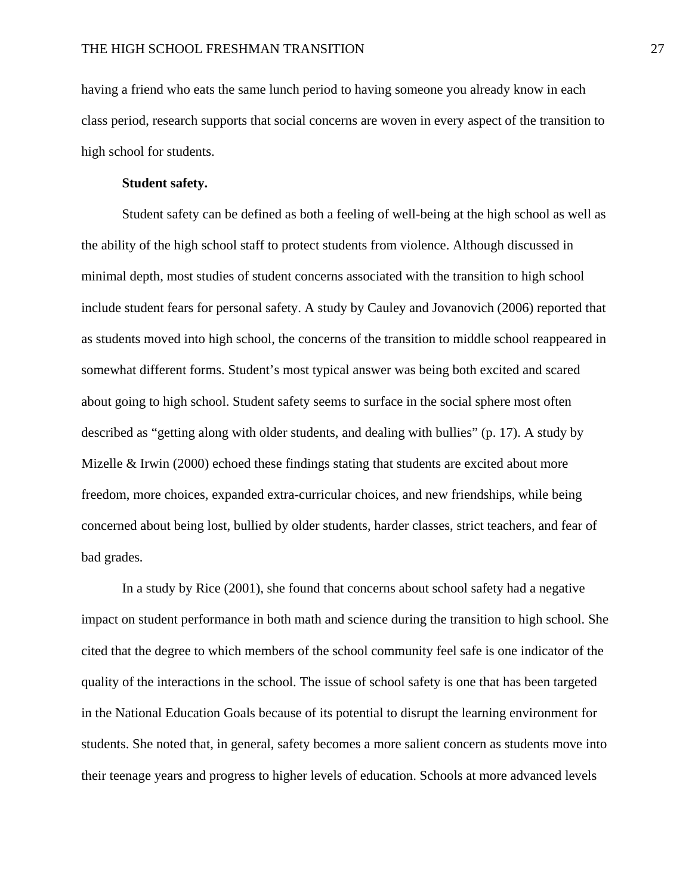having a friend who eats the same lunch period to having someone you already know in each class period, research supports that social concerns are woven in every aspect of the transition to high school for students.

## **Student safety.**

Student safety can be defined as both a feeling of well-being at the high school as well as the ability of the high school staff to protect students from violence. Although discussed in minimal depth, most studies of student concerns associated with the transition to high school include student fears for personal safety. A study by Cauley and Jovanovich (2006) reported that as students moved into high school, the concerns of the transition to middle school reappeared in somewhat different forms. Student's most typical answer was being both excited and scared about going to high school. Student safety seems to surface in the social sphere most often described as "getting along with older students, and dealing with bullies" (p. 17). A study by Mizelle & Irwin (2000) echoed these findings stating that students are excited about more freedom, more choices, expanded extra-curricular choices, and new friendships, while being concerned about being lost, bullied by older students, harder classes, strict teachers, and fear of bad grades*.*

 In a study by Rice (2001), she found that concerns about school safety had a negative impact on student performance in both math and science during the transition to high school. She cited that the degree to which members of the school community feel safe is one indicator of the quality of the interactions in the school. The issue of school safety is one that has been targeted in the National Education Goals because of its potential to disrupt the learning environment for students. She noted that, in general, safety becomes a more salient concern as students move into their teenage years and progress to higher levels of education. Schools at more advanced levels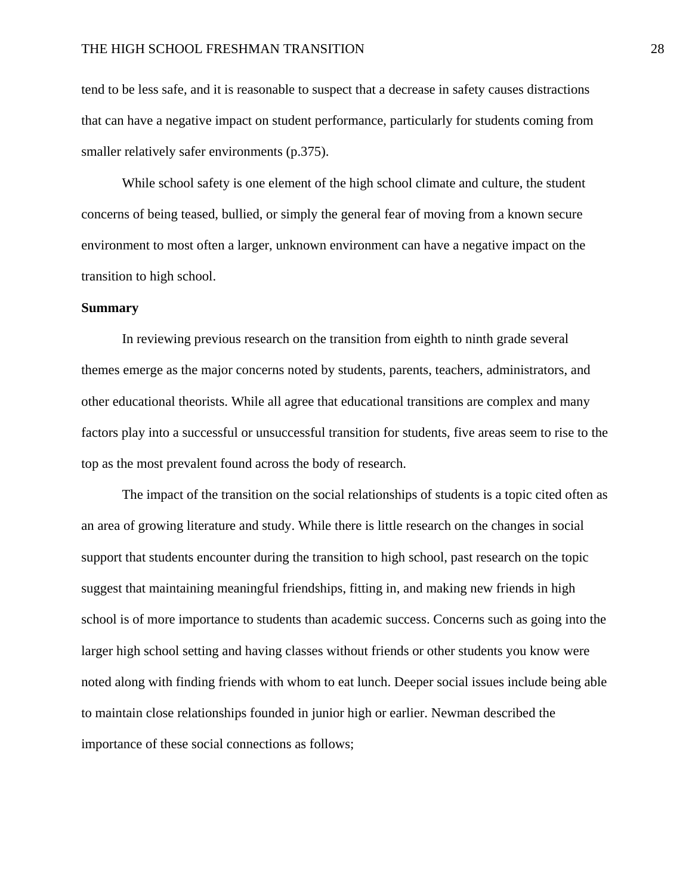## THE HIGH SCHOOL FRESHMAN TRANSITION 28

tend to be less safe, and it is reasonable to suspect that a decrease in safety causes distractions that can have a negative impact on student performance, particularly for students coming from smaller relatively safer environments (p.375).

 While school safety is one element of the high school climate and culture, the student concerns of being teased, bullied, or simply the general fear of moving from a known secure environment to most often a larger, unknown environment can have a negative impact on the transition to high school.

#### **Summary**

In reviewing previous research on the transition from eighth to ninth grade several themes emerge as the major concerns noted by students, parents, teachers, administrators, and other educational theorists. While all agree that educational transitions are complex and many factors play into a successful or unsuccessful transition for students, five areas seem to rise to the top as the most prevalent found across the body of research.

 The impact of the transition on the social relationships of students is a topic cited often as an area of growing literature and study. While there is little research on the changes in social support that students encounter during the transition to high school, past research on the topic suggest that maintaining meaningful friendships, fitting in, and making new friends in high school is of more importance to students than academic success. Concerns such as going into the larger high school setting and having classes without friends or other students you know were noted along with finding friends with whom to eat lunch. Deeper social issues include being able to maintain close relationships founded in junior high or earlier. Newman described the importance of these social connections as follows;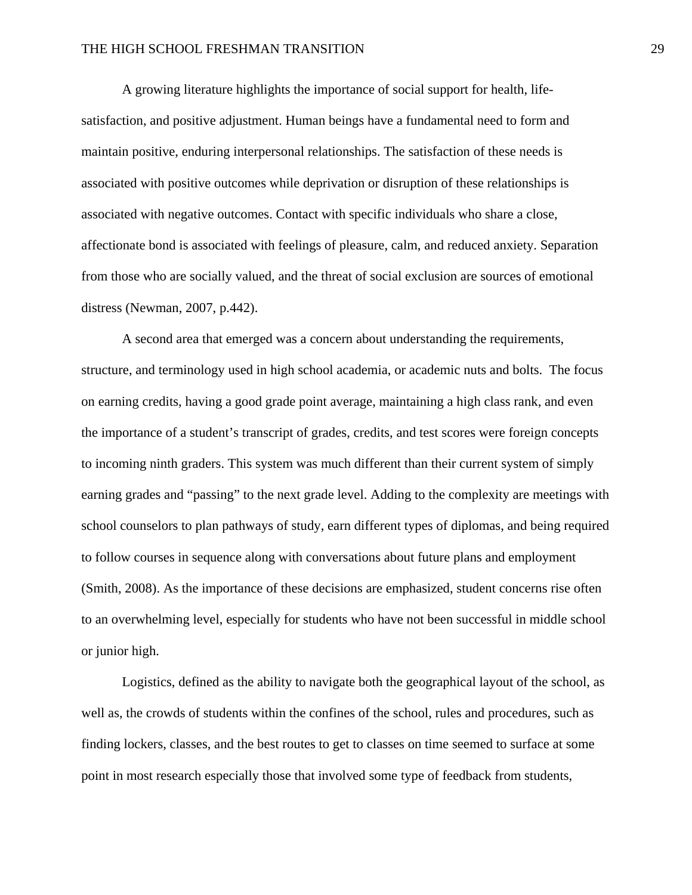A growing literature highlights the importance of social support for health, lifesatisfaction, and positive adjustment. Human beings have a fundamental need to form and maintain positive, enduring interpersonal relationships. The satisfaction of these needs is associated with positive outcomes while deprivation or disruption of these relationships is associated with negative outcomes. Contact with specific individuals who share a close, affectionate bond is associated with feelings of pleasure, calm, and reduced anxiety. Separation from those who are socially valued, and the threat of social exclusion are sources of emotional distress (Newman, 2007, p.442).

 A second area that emerged was a concern about understanding the requirements, structure, and terminology used in high school academia, or academic nuts and bolts. The focus on earning credits, having a good grade point average, maintaining a high class rank, and even the importance of a student's transcript of grades, credits, and test scores were foreign concepts to incoming ninth graders. This system was much different than their current system of simply earning grades and "passing" to the next grade level. Adding to the complexity are meetings with school counselors to plan pathways of study, earn different types of diplomas, and being required to follow courses in sequence along with conversations about future plans and employment (Smith, 2008). As the importance of these decisions are emphasized, student concerns rise often to an overwhelming level, especially for students who have not been successful in middle school or junior high.

 Logistics, defined as the ability to navigate both the geographical layout of the school, as well as, the crowds of students within the confines of the school, rules and procedures, such as finding lockers, classes, and the best routes to get to classes on time seemed to surface at some point in most research especially those that involved some type of feedback from students,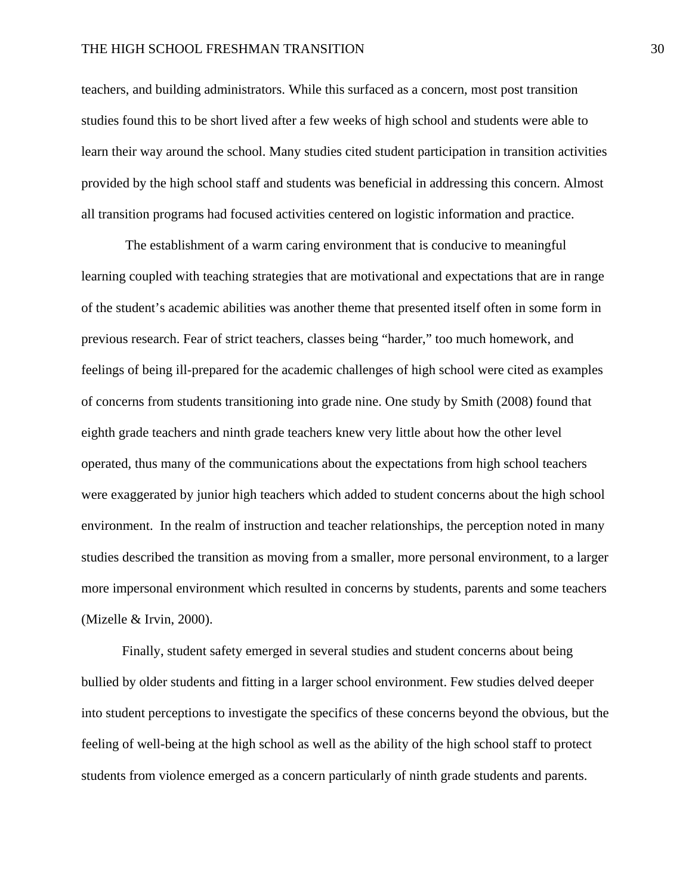### THE HIGH SCHOOL FRESHMAN TRANSITION 30

teachers, and building administrators. While this surfaced as a concern, most post transition studies found this to be short lived after a few weeks of high school and students were able to learn their way around the school. Many studies cited student participation in transition activities provided by the high school staff and students was beneficial in addressing this concern. Almost all transition programs had focused activities centered on logistic information and practice.

 The establishment of a warm caring environment that is conducive to meaningful learning coupled with teaching strategies that are motivational and expectations that are in range of the student's academic abilities was another theme that presented itself often in some form in previous research. Fear of strict teachers, classes being "harder," too much homework, and feelings of being ill-prepared for the academic challenges of high school were cited as examples of concerns from students transitioning into grade nine. One study by Smith (2008) found that eighth grade teachers and ninth grade teachers knew very little about how the other level operated, thus many of the communications about the expectations from high school teachers were exaggerated by junior high teachers which added to student concerns about the high school environment. In the realm of instruction and teacher relationships, the perception noted in many studies described the transition as moving from a smaller, more personal environment, to a larger more impersonal environment which resulted in concerns by students, parents and some teachers (Mizelle & Irvin, 2000).

 Finally, student safety emerged in several studies and student concerns about being bullied by older students and fitting in a larger school environment. Few studies delved deeper into student perceptions to investigate the specifics of these concerns beyond the obvious, but the feeling of well-being at the high school as well as the ability of the high school staff to protect students from violence emerged as a concern particularly of ninth grade students and parents.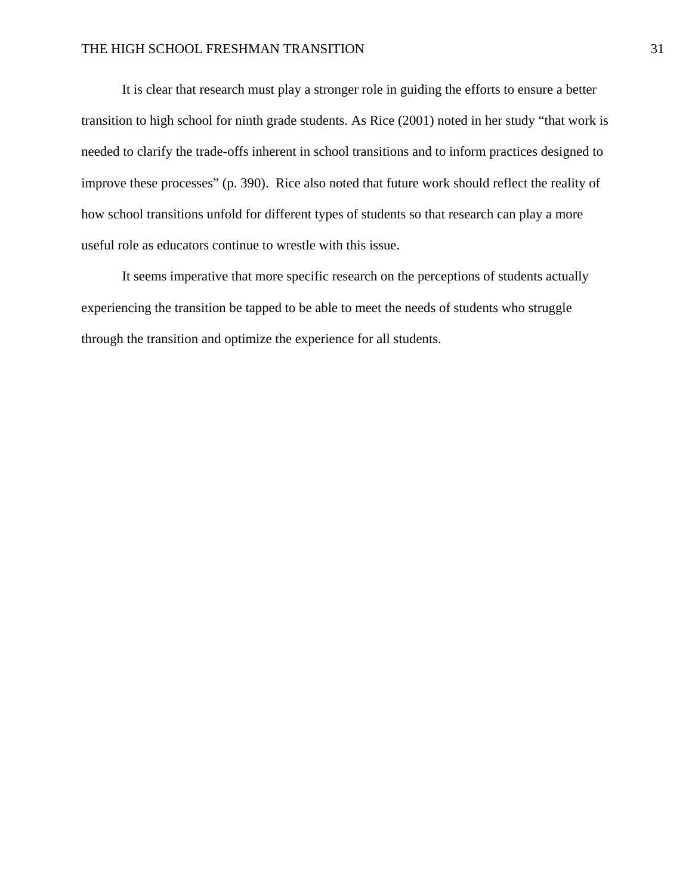It is clear that research must play a stronger role in guiding the efforts to ensure a better transition to high school for ninth grade students. As Rice (2001) noted in her study "that work is needed to clarify the trade-offs inherent in school transitions and to inform practices designed to improve these processes" (p. 390). Rice also noted that future work should reflect the reality of how school transitions unfold for different types of students so that research can play a more useful role as educators continue to wrestle with this issue.

 It seems imperative that more specific research on the perceptions of students actually experiencing the transition be tapped to be able to meet the needs of students who struggle through the transition and optimize the experience for all students.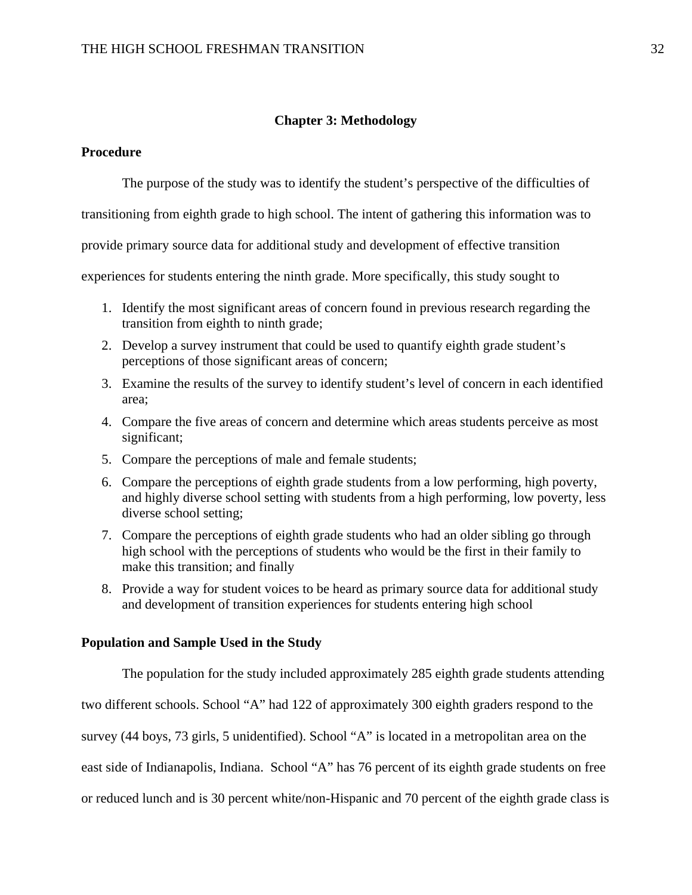## **Chapter 3: Methodology**

## **Procedure**

The purpose of the study was to identify the student's perspective of the difficulties of

transitioning from eighth grade to high school. The intent of gathering this information was to

provide primary source data for additional study and development of effective transition

experiences for students entering the ninth grade. More specifically, this study sought to

- 1. Identify the most significant areas of concern found in previous research regarding the transition from eighth to ninth grade;
- 2. Develop a survey instrument that could be used to quantify eighth grade student's perceptions of those significant areas of concern;
- 3. Examine the results of the survey to identify student's level of concern in each identified area;
- 4. Compare the five areas of concern and determine which areas students perceive as most significant;
- 5. Compare the perceptions of male and female students;
- 6. Compare the perceptions of eighth grade students from a low performing, high poverty, and highly diverse school setting with students from a high performing, low poverty, less diverse school setting;
- 7. Compare the perceptions of eighth grade students who had an older sibling go through high school with the perceptions of students who would be the first in their family to make this transition; and finally
- 8. Provide a way for student voices to be heard as primary source data for additional study and development of transition experiences for students entering high school

## **Population and Sample Used in the Study**

The population for the study included approximately 285 eighth grade students attending

two different schools. School "A" had 122 of approximately 300 eighth graders respond to the

survey (44 boys, 73 girls, 5 unidentified). School "A" is located in a metropolitan area on the

east side of Indianapolis, Indiana. School "A" has 76 percent of its eighth grade students on free

or reduced lunch and is 30 percent white/non-Hispanic and 70 percent of the eighth grade class is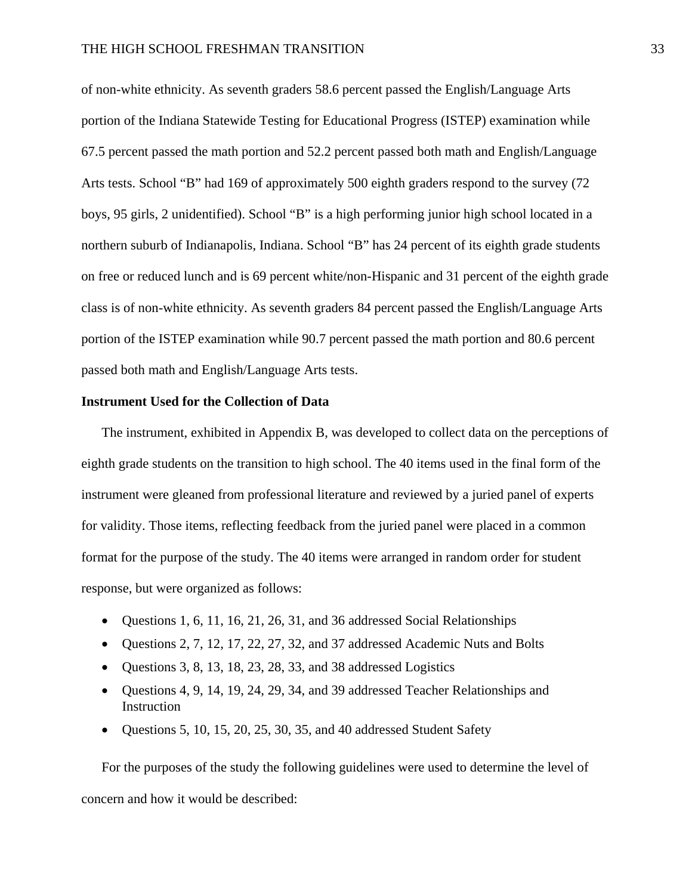### THE HIGH SCHOOL FRESHMAN TRANSITION 33

of non-white ethnicity. As seventh graders 58.6 percent passed the English/Language Arts portion of the Indiana Statewide Testing for Educational Progress (ISTEP) examination while 67.5 percent passed the math portion and 52.2 percent passed both math and English/Language Arts tests. School "B" had 169 of approximately 500 eighth graders respond to the survey (72 boys, 95 girls, 2 unidentified). School "B" is a high performing junior high school located in a northern suburb of Indianapolis, Indiana. School "B" has 24 percent of its eighth grade students on free or reduced lunch and is 69 percent white/non-Hispanic and 31 percent of the eighth grade class is of non-white ethnicity. As seventh graders 84 percent passed the English/Language Arts portion of the ISTEP examination while 90.7 percent passed the math portion and 80.6 percent passed both math and English/Language Arts tests.

#### **Instrument Used for the Collection of Data**

The instrument, exhibited in Appendix B, was developed to collect data on the perceptions of eighth grade students on the transition to high school. The 40 items used in the final form of the instrument were gleaned from professional literature and reviewed by a juried panel of experts for validity. Those items, reflecting feedback from the juried panel were placed in a common format for the purpose of the study. The 40 items were arranged in random order for student response, but were organized as follows:

- Questions 1, 6, 11, 16, 21, 26, 31, and 36 addressed Social Relationships
- Questions 2, 7, 12, 17, 22, 27, 32, and 37 addressed Academic Nuts and Bolts
- Questions 3, 8, 13, 18, 23, 28, 33, and 38 addressed Logistics
- Questions 4, 9, 14, 19, 24, 29, 34, and 39 addressed Teacher Relationships and **Instruction**
- Questions 5, 10, 15, 20, 25, 30, 35, and 40 addressed Student Safety

For the purposes of the study the following guidelines were used to determine the level of concern and how it would be described: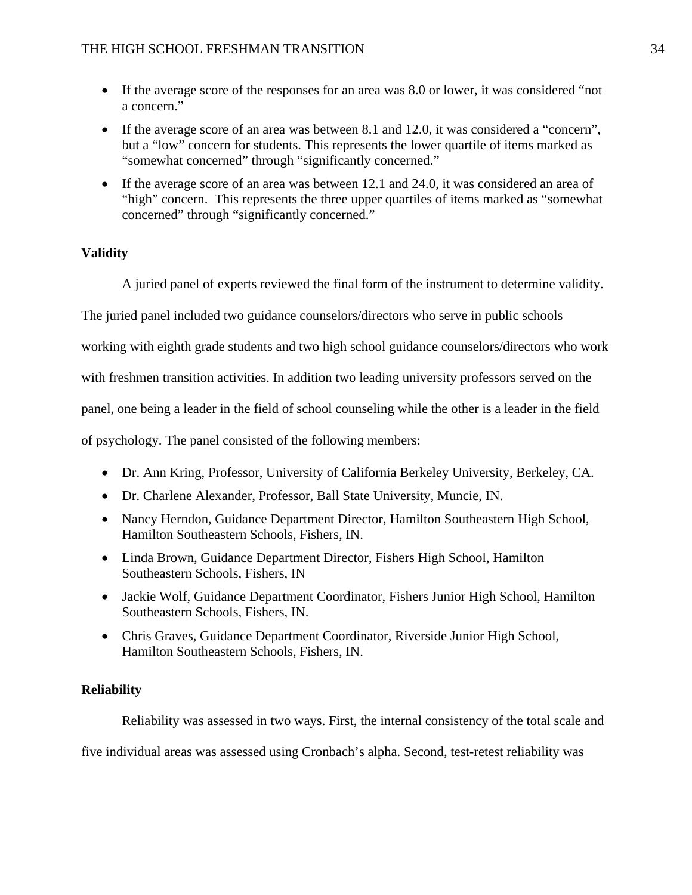- If the average score of the responses for an area was 8.0 or lower, it was considered "not a concern."
- If the average score of an area was between 8.1 and 12.0, it was considered a "concern", but a "low" concern for students. This represents the lower quartile of items marked as "somewhat concerned" through "significantly concerned."
- If the average score of an area was between 12.1 and 24.0, it was considered an area of "high" concern. This represents the three upper quartiles of items marked as "somewhat concerned" through "significantly concerned."

## **Validity**

A juried panel of experts reviewed the final form of the instrument to determine validity.

The juried panel included two guidance counselors/directors who serve in public schools

working with eighth grade students and two high school guidance counselors/directors who work

with freshmen transition activities. In addition two leading university professors served on the

panel, one being a leader in the field of school counseling while the other is a leader in the field

of psychology. The panel consisted of the following members:

- Dr. Ann Kring, Professor, University of California Berkeley University, Berkeley, CA.
- Dr. Charlene Alexander, Professor, Ball State University, Muncie, IN.
- Nancy Herndon, Guidance Department Director, Hamilton Southeastern High School, Hamilton Southeastern Schools, Fishers, IN.
- Linda Brown, Guidance Department Director, Fishers High School, Hamilton Southeastern Schools, Fishers, IN
- Jackie Wolf, Guidance Department Coordinator, Fishers Junior High School, Hamilton Southeastern Schools, Fishers, IN.
- Chris Graves, Guidance Department Coordinator, Riverside Junior High School, Hamilton Southeastern Schools, Fishers, IN.

## **Reliability**

Reliability was assessed in two ways. First, the internal consistency of the total scale and

five individual areas was assessed using Cronbach's alpha. Second, test-retest reliability was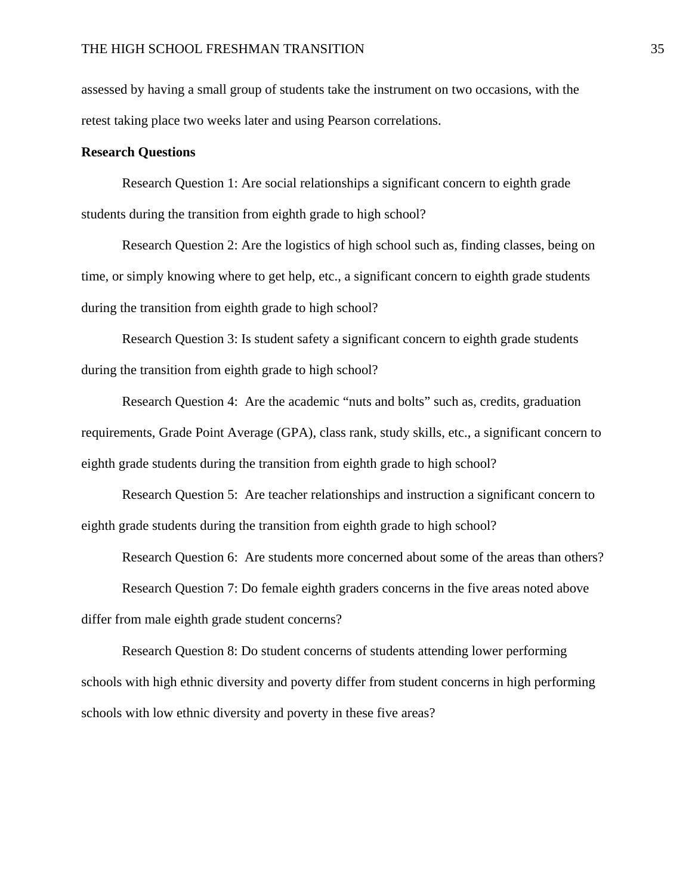assessed by having a small group of students take the instrument on two occasions, with the retest taking place two weeks later and using Pearson correlations.

## **Research Questions**

 Research Question 1: Are social relationships a significant concern to eighth grade students during the transition from eighth grade to high school?

Research Question 2: Are the logistics of high school such as, finding classes, being on time, or simply knowing where to get help, etc., a significant concern to eighth grade students during the transition from eighth grade to high school?

Research Question 3: Is student safety a significant concern to eighth grade students during the transition from eighth grade to high school?

Research Question 4: Are the academic "nuts and bolts" such as, credits, graduation requirements, Grade Point Average (GPA), class rank, study skills, etc., a significant concern to eighth grade students during the transition from eighth grade to high school?

Research Question 5: Are teacher relationships and instruction a significant concern to eighth grade students during the transition from eighth grade to high school?

Research Question 6: Are students more concerned about some of the areas than others?

Research Question 7: Do female eighth graders concerns in the five areas noted above differ from male eighth grade student concerns?

Research Question 8: Do student concerns of students attending lower performing schools with high ethnic diversity and poverty differ from student concerns in high performing schools with low ethnic diversity and poverty in these five areas?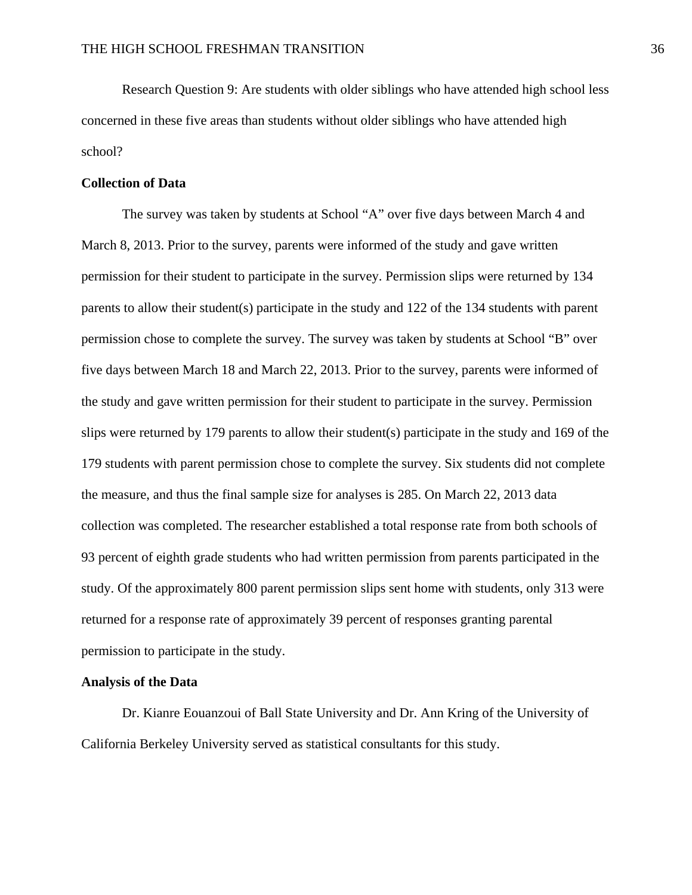Research Question 9: Are students with older siblings who have attended high school less concerned in these five areas than students without older siblings who have attended high school?

## **Collection of Data**

The survey was taken by students at School "A" over five days between March 4 and March 8, 2013. Prior to the survey, parents were informed of the study and gave written permission for their student to participate in the survey. Permission slips were returned by 134 parents to allow their student(s) participate in the study and 122 of the 134 students with parent permission chose to complete the survey. The survey was taken by students at School "B" over five days between March 18 and March 22, 2013. Prior to the survey, parents were informed of the study and gave written permission for their student to participate in the survey. Permission slips were returned by 179 parents to allow their student(s) participate in the study and 169 of the 179 students with parent permission chose to complete the survey. Six students did not complete the measure, and thus the final sample size for analyses is 285. On March 22, 2013 data collection was completed. The researcher established a total response rate from both schools of 93 percent of eighth grade students who had written permission from parents participated in the study. Of the approximately 800 parent permission slips sent home with students, only 313 were returned for a response rate of approximately 39 percent of responses granting parental permission to participate in the study.

#### **Analysis of the Data**

Dr. Kianre Eouanzoui of Ball State University and Dr. Ann Kring of the University of California Berkeley University served as statistical consultants for this study.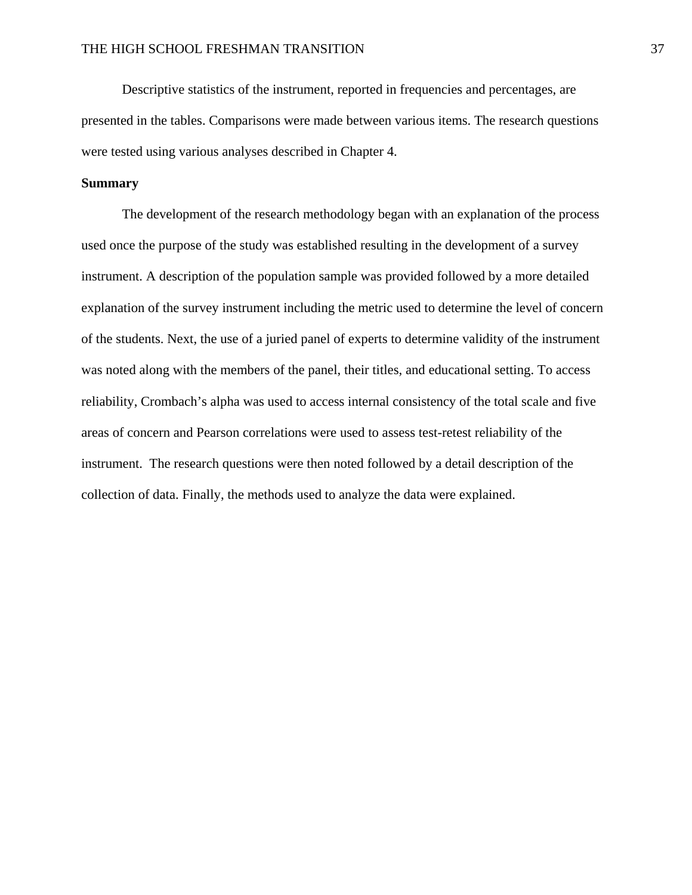Descriptive statistics of the instrument, reported in frequencies and percentages, are presented in the tables. Comparisons were made between various items. The research questions were tested using various analyses described in Chapter 4.

### **Summary**

The development of the research methodology began with an explanation of the process used once the purpose of the study was established resulting in the development of a survey instrument. A description of the population sample was provided followed by a more detailed explanation of the survey instrument including the metric used to determine the level of concern of the students. Next, the use of a juried panel of experts to determine validity of the instrument was noted along with the members of the panel, their titles, and educational setting. To access reliability, Crombach's alpha was used to access internal consistency of the total scale and five areas of concern and Pearson correlations were used to assess test-retest reliability of the instrument. The research questions were then noted followed by a detail description of the collection of data. Finally, the methods used to analyze the data were explained.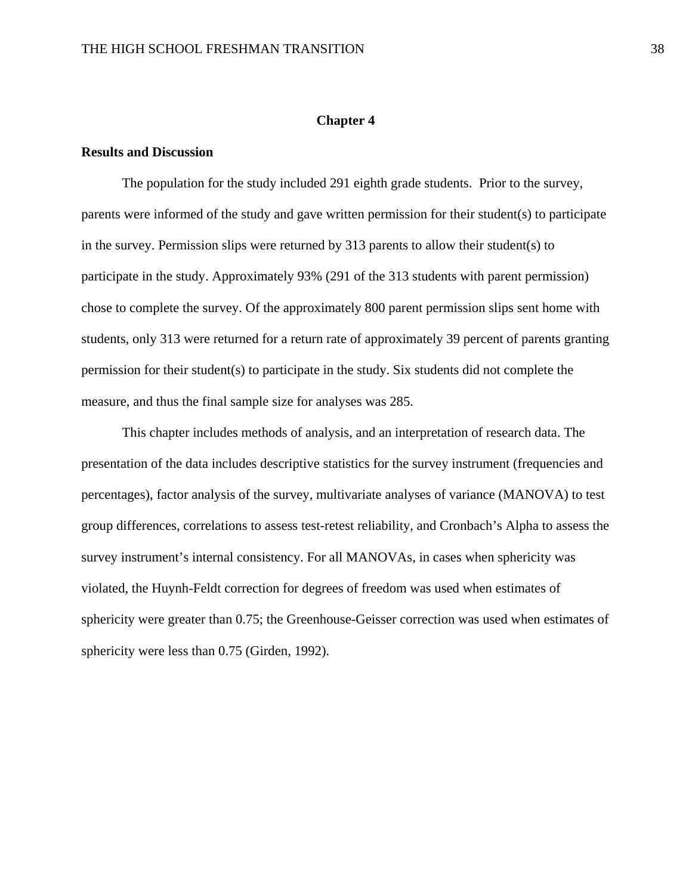## **Chapter 4**

## **Results and Discussion**

 The population for the study included 291 eighth grade students. Prior to the survey, parents were informed of the study and gave written permission for their student(s) to participate in the survey. Permission slips were returned by 313 parents to allow their student(s) to participate in the study. Approximately 93% (291 of the 313 students with parent permission) chose to complete the survey. Of the approximately 800 parent permission slips sent home with students, only 313 were returned for a return rate of approximately 39 percent of parents granting permission for their student(s) to participate in the study. Six students did not complete the measure, and thus the final sample size for analyses was 285.

 This chapter includes methods of analysis, and an interpretation of research data. The presentation of the data includes descriptive statistics for the survey instrument (frequencies and percentages), factor analysis of the survey, multivariate analyses of variance (MANOVA) to test group differences, correlations to assess test-retest reliability, and Cronbach's Alpha to assess the survey instrument's internal consistency. For all MANOVAs, in cases when sphericity was violated, the Huynh-Feldt correction for degrees of freedom was used when estimates of sphericity were greater than 0.75; the Greenhouse-Geisser correction was used when estimates of sphericity were less than 0.75 (Girden, 1992).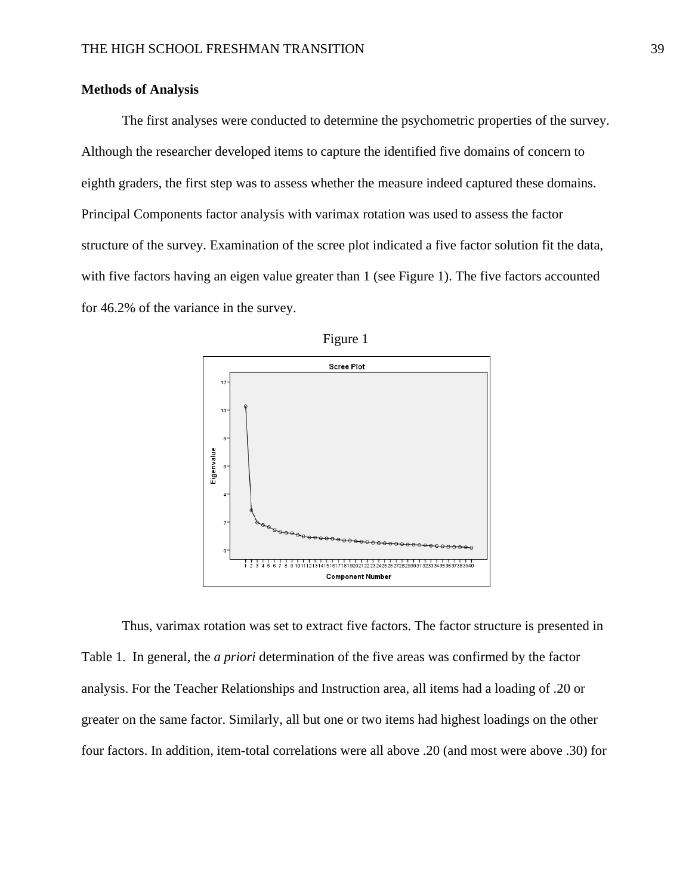### **Methods of Analysis**

The first analyses were conducted to determine the psychometric properties of the survey. Although the researcher developed items to capture the identified five domains of concern to eighth graders, the first step was to assess whether the measure indeed captured these domains. Principal Components factor analysis with varimax rotation was used to assess the factor structure of the survey. Examination of the scree plot indicated a five factor solution fit the data, with five factors having an eigen value greater than 1 (see Figure 1). The five factors accounted for 46.2% of the variance in the survey.





Thus, varimax rotation was set to extract five factors. The factor structure is presented in Table 1. In general, the *a priori* determination of the five areas was confirmed by the factor analysis. For the Teacher Relationships and Instruction area, all items had a loading of .20 or greater on the same factor. Similarly, all but one or two items had highest loadings on the other four factors. In addition, item-total correlations were all above .20 (and most were above .30) for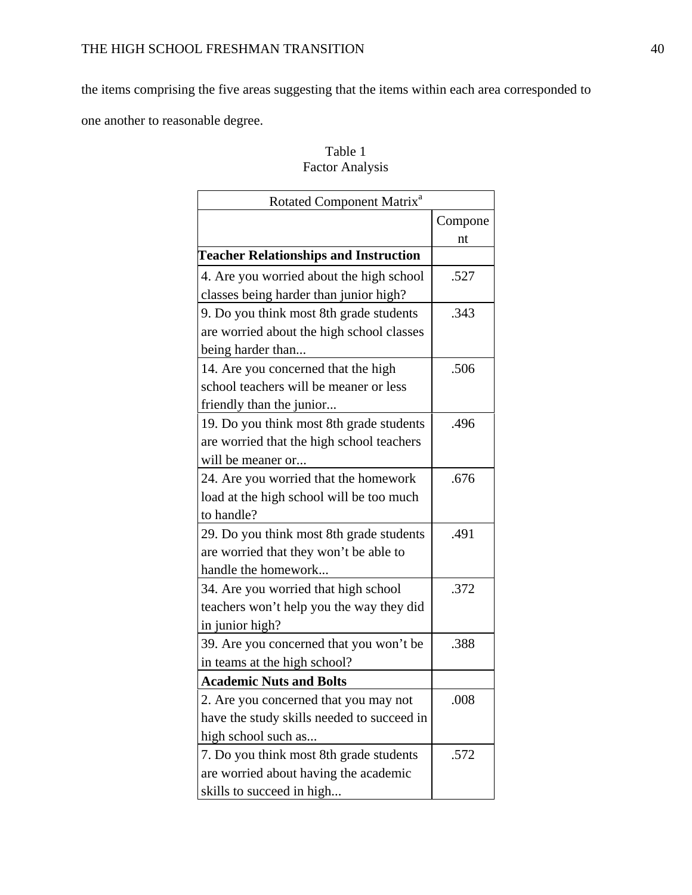the items comprising the five areas suggesting that the items within each area corresponded to

one another to reasonable degree.

| Rotated Component Matrix <sup>a</sup>        |         |
|----------------------------------------------|---------|
|                                              | Compone |
|                                              | nt      |
| <b>Teacher Relationships and Instruction</b> |         |
| 4. Are you worried about the high school     | .527    |
| classes being harder than junior high?       |         |
| 9. Do you think most 8th grade students      | .343    |
| are worried about the high school classes    |         |
| being harder than                            |         |
| 14. Are you concerned that the high          | .506    |
| school teachers will be meaner or less       |         |
| friendly than the junior                     |         |
| 19. Do you think most 8th grade students     | .496    |
| are worried that the high school teachers    |         |
| will be meaner or                            |         |
| 24. Are you worried that the homework        | .676    |
| load at the high school will be too much     |         |
| to handle?                                   |         |
| 29. Do you think most 8th grade students     | .491    |
| are worried that they won't be able to       |         |
| handle the homework                          |         |
| 34. Are you worried that high school         | .372    |
| teachers won't help you the way they did     |         |
| in junior high?                              |         |
| 39. Are you concerned that you won't be      | .388    |
| in teams at the high school?                 |         |
| <b>Academic Nuts and Bolts</b>               |         |
| 2. Are you concerned that you may not        | .008    |
| have the study skills needed to succeed in   |         |
| high school such as                          |         |
| 7. Do you think most 8th grade students      | .572    |
| are worried about having the academic        |         |
| skills to succeed in high                    |         |

# Table 1 Factor Analysis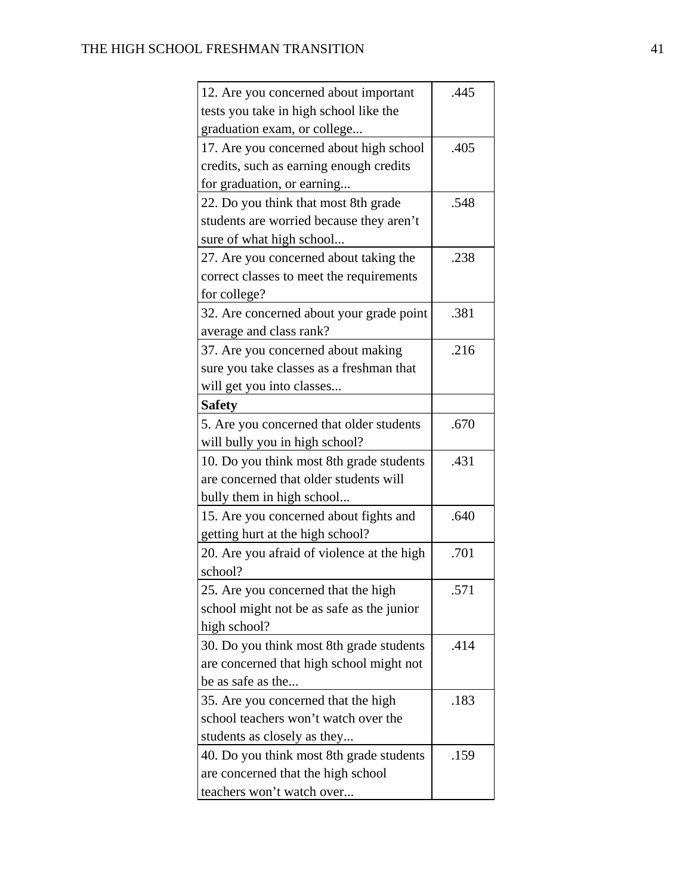| 12. Are you concerned about important      | .445 |
|--------------------------------------------|------|
| tests you take in high school like the     |      |
| graduation exam, or college                |      |
| 17. Are you concerned about high school    | .405 |
| credits, such as earning enough credits    |      |
| for graduation, or earning                 |      |
| 22. Do you think that most 8th grade       | .548 |
| students are worried because they aren't   |      |
| sure of what high school                   |      |
| 27. Are you concerned about taking the     | .238 |
| correct classes to meet the requirements   |      |
| for college?                               |      |
| 32. Are concerned about your grade point   | .381 |
| average and class rank?                    |      |
| 37. Are you concerned about making         | .216 |
| sure you take classes as a freshman that   |      |
| will get you into classes                  |      |
| <b>Safety</b>                              |      |
| 5. Are you concerned that older students   | .670 |
| will bully you in high school?             |      |
| 10. Do you think most 8th grade students   | .431 |
| are concerned that older students will     |      |
| bully them in high school                  |      |
| 15. Are you concerned about fights and     | .640 |
| getting hurt at the high school?           |      |
| 20. Are you afraid of violence at the high | .701 |
| school?                                    |      |
| 25. Are you concerned that the high        | .571 |
| school might not be as safe as the junior  |      |
| high school?                               |      |
| 30. Do you think most 8th grade students   | .414 |
| are concerned that high school might not   |      |
| be as safe as the                          |      |
| 35. Are you concerned that the high        | .183 |
| school teachers won't watch over the       |      |
| students as closely as they                |      |
| 40. Do you think most 8th grade students   | .159 |
| are concerned that the high school         |      |
| teachers won't watch over                  |      |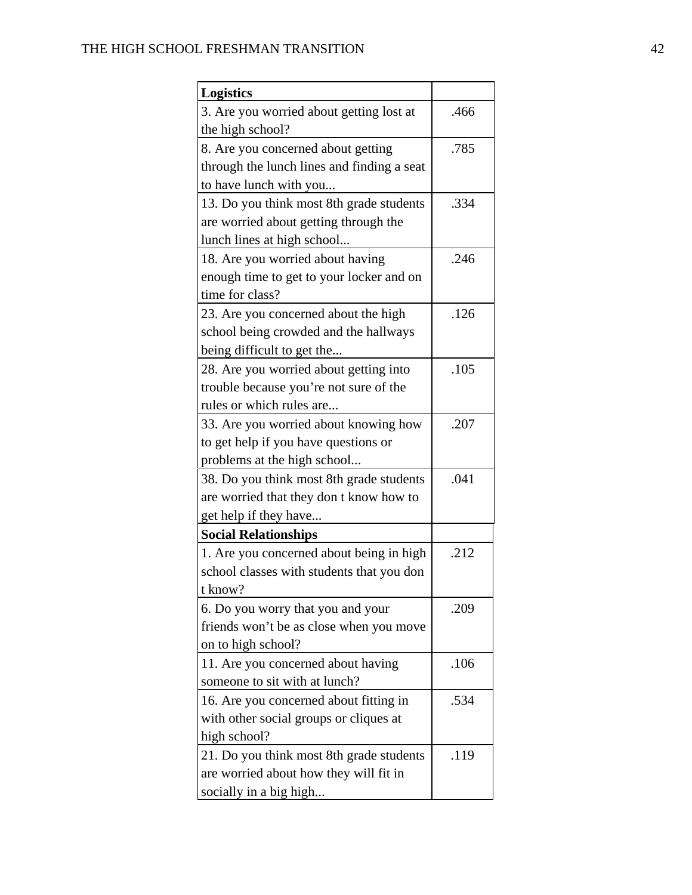| <b>Logistics</b>                           |      |
|--------------------------------------------|------|
| 3. Are you worried about getting lost at   | .466 |
| the high school?                           |      |
| 8. Are you concerned about getting         | .785 |
| through the lunch lines and finding a seat |      |
| to have lunch with you                     |      |
| 13. Do you think most 8th grade students   | .334 |
| are worried about getting through the      |      |
| lunch lines at high school                 |      |
| 18. Are you worried about having           | .246 |
| enough time to get to your locker and on   |      |
| time for class?                            |      |
| 23. Are you concerned about the high       | .126 |
| school being crowded and the hallways      |      |
| being difficult to get the                 |      |
| 28. Are you worried about getting into     | .105 |
| trouble because you're not sure of the     |      |
| rules or which rules are                   |      |
| 33. Are you worried about knowing how      | .207 |
| to get help if you have questions or       |      |
| problems at the high school                |      |
| 38. Do you think most 8th grade students   | .041 |
| are worried that they don t know how to    |      |
| get help if they have                      |      |
| <b>Social Relationships</b>                |      |
| 1. Are you concerned about being in high   | .212 |
| school classes with students that you don  |      |
| t know?                                    |      |
| 6. Do you worry that you and your          | .209 |
| friends won't be as close when you move    |      |
| on to high school?                         |      |
| 11. Are you concerned about having         | .106 |
| someone to sit with at lunch?              |      |
| 16. Are you concerned about fitting in     | .534 |
| with other social groups or cliques at     |      |
| high school?                               |      |
| 21. Do you think most 8th grade students   | .119 |
| are worried about how they will fit in     |      |
| socially in a big high                     |      |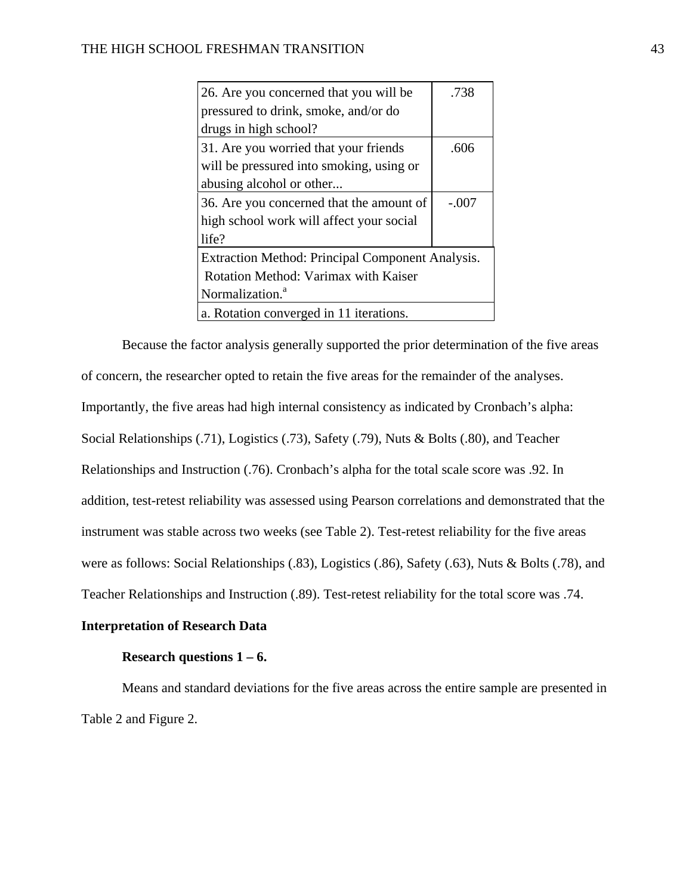| 26. Are you concerned that you will be           | .738    |
|--------------------------------------------------|---------|
| pressured to drink, smoke, and/or do             |         |
| drugs in high school?                            |         |
| 31. Are you worried that your friends            | .606    |
| will be pressured into smoking, using or         |         |
| abusing alcohol or other                         |         |
| 36. Are you concerned that the amount of         | $-.007$ |
| high school work will affect your social         |         |
| life?                                            |         |
| Extraction Method: Principal Component Analysis. |         |
| Rotation Method: Varimax with Kaiser             |         |
| Normalization. <sup>a</sup>                      |         |
| a. Rotation converged in 11 iterations.          |         |

Because the factor analysis generally supported the prior determination of the five areas of concern, the researcher opted to retain the five areas for the remainder of the analyses. Importantly, the five areas had high internal consistency as indicated by Cronbach's alpha: Social Relationships (.71), Logistics (.73), Safety (.79), Nuts & Bolts (.80), and Teacher Relationships and Instruction (.76). Cronbach's alpha for the total scale score was .92. In addition, test-retest reliability was assessed using Pearson correlations and demonstrated that the instrument was stable across two weeks (see Table 2). Test-retest reliability for the five areas were as follows: Social Relationships (.83), Logistics (.86), Safety (.63), Nuts & Bolts (.78), and Teacher Relationships and Instruction (.89). Test-retest reliability for the total score was .74.

## **Interpretation of Research Data**

## **Research questions 1 – 6.**

Means and standard deviations for the five areas across the entire sample are presented in Table 2 and Figure 2.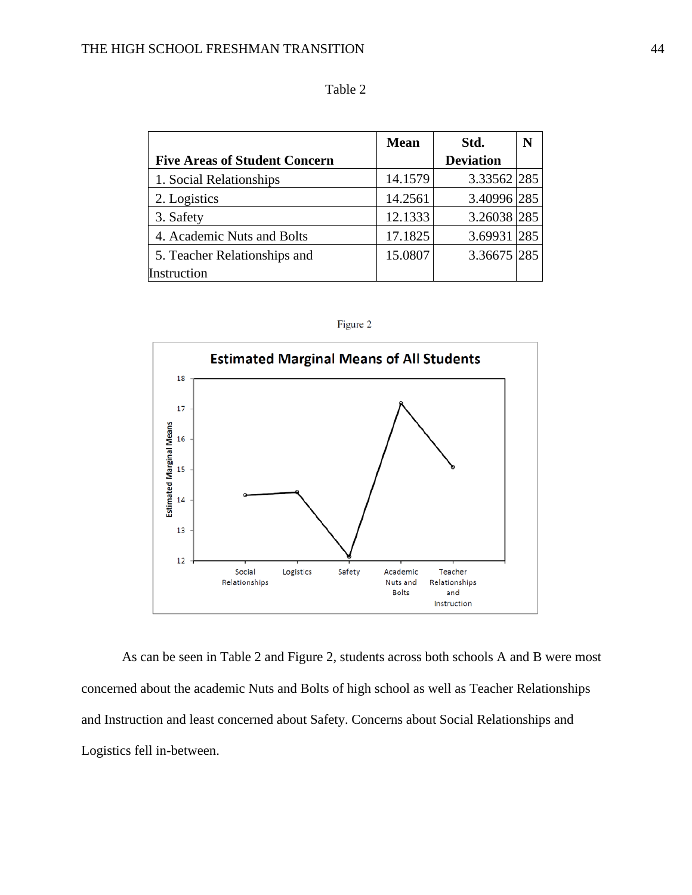|                                      | <b>Mean</b> | Std.             | N   |
|--------------------------------------|-------------|------------------|-----|
| <b>Five Areas of Student Concern</b> |             | <b>Deviation</b> |     |
| 1. Social Relationships              | 14.1579     | 3.33562 285      |     |
| 2. Logistics                         | 14.2561     | 3.40996 285      |     |
| 3. Safety                            | 12.1333     | 3.26038 285      |     |
| 4. Academic Nuts and Bolts           | 17.1825     | 3.69931          | 285 |
| 5. Teacher Relationships and         | 15.0807     | 3.36675 285      |     |
| Instruction                          |             |                  |     |

| anie |  |
|------|--|
|------|--|

| Figure |  |
|--------|--|
|        |  |
|        |  |



As can be seen in Table 2 and Figure 2, students across both schools A and B were most concerned about the academic Nuts and Bolts of high school as well as Teacher Relationships and Instruction and least concerned about Safety. Concerns about Social Relationships and Logistics fell in-between.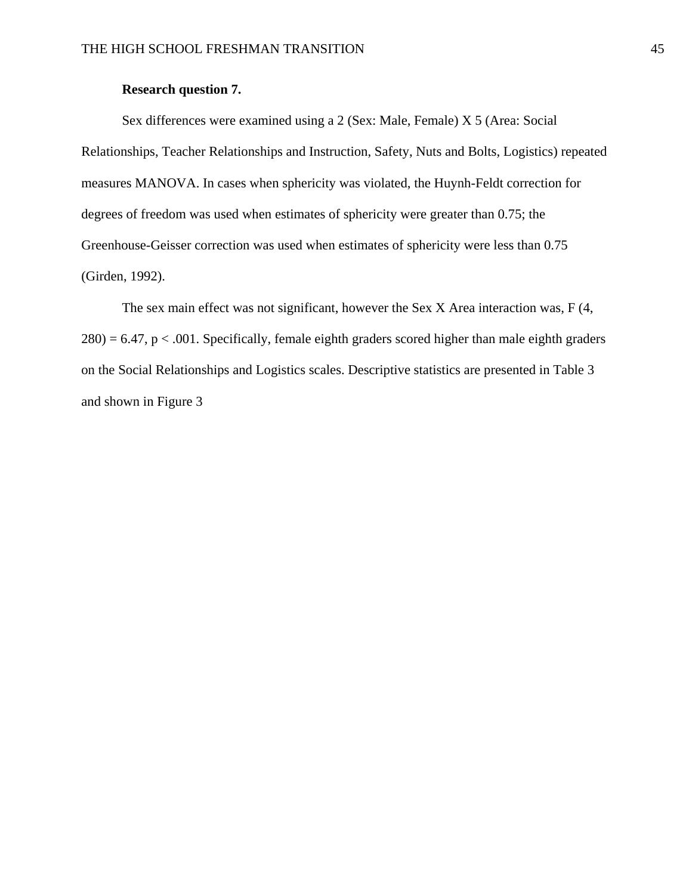## **Research question 7.**

Sex differences were examined using a 2 (Sex: Male, Female) X 5 (Area: Social Relationships, Teacher Relationships and Instruction, Safety, Nuts and Bolts, Logistics) repeated measures MANOVA. In cases when sphericity was violated, the Huynh-Feldt correction for degrees of freedom was used when estimates of sphericity were greater than 0.75; the Greenhouse-Geisser correction was used when estimates of sphericity were less than 0.75 (Girden, 1992).

The sex main effect was not significant, however the Sex X Area interaction was, F (4,  $280$ ) = 6.47, p < .001. Specifically, female eighth graders scored higher than male eighth graders on the Social Relationships and Logistics scales. Descriptive statistics are presented in Table 3 and shown in Figure 3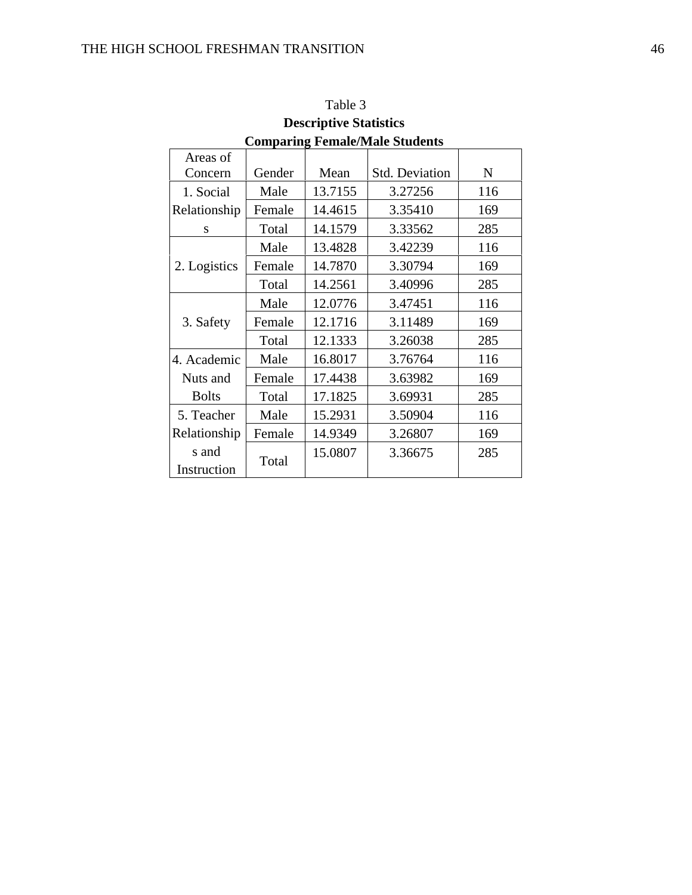| Comparing Female/Male Students |        |         |                       |     |
|--------------------------------|--------|---------|-----------------------|-----|
| Areas of                       |        |         |                       |     |
| Concern                        | Gender | Mean    | <b>Std. Deviation</b> | N   |
| 1. Social                      | Male   | 13.7155 | 3.27256               | 116 |
| Relationship                   | Female | 14.4615 | 3.35410               | 169 |
| S                              | Total  | 14.1579 | 3.33562               | 285 |
|                                | Male   | 13.4828 | 3.42239               | 116 |
| 2. Logistics                   | Female | 14.7870 | 3.30794               | 169 |
|                                | Total  | 14.2561 | 3.40996               | 285 |
|                                | Male   | 12.0776 | 3.47451               | 116 |
| 3. Safety                      | Female | 12.1716 | 3.11489               | 169 |
|                                | Total  | 12.1333 | 3.26038               | 285 |
| 4. Academic                    | Male   | 16.8017 | 3.76764               | 116 |
| Nuts and                       | Female | 17.4438 | 3.63982               | 169 |
| <b>Bolts</b>                   | Total  | 17.1825 | 3.69931               | 285 |
| 5. Teacher                     | Male   | 15.2931 | 3.50904               | 116 |
| Relationship                   | Female | 14.9349 | 3.26807               | 169 |
| s and                          |        | 15.0807 | 3.36675               | 285 |
| Instruction                    | Total  |         |                       |     |

Table 3 **Descriptive Statistics Comparing Female/Male Students**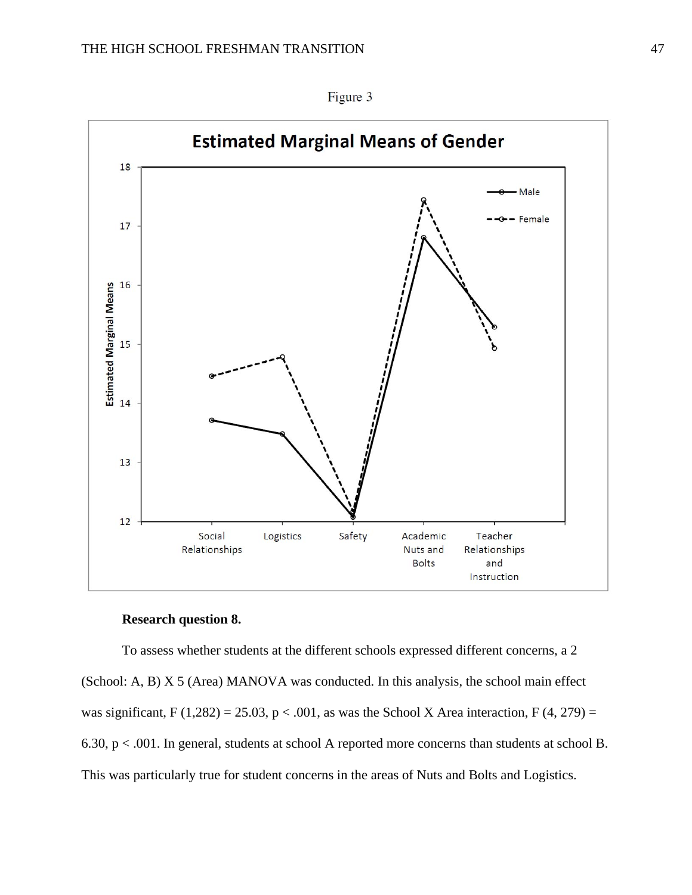

Figure 3

## **Research question 8.**

To assess whether students at the different schools expressed different concerns, a 2 (School: A, B) X 5 (Area) MANOVA was conducted. In this analysis, the school main effect was significant, F (1,282) = 25.03, p < .001, as was the School X Area interaction, F (4, 279) = 6.30, p < .001. In general, students at school A reported more concerns than students at school B. This was particularly true for student concerns in the areas of Nuts and Bolts and Logistics.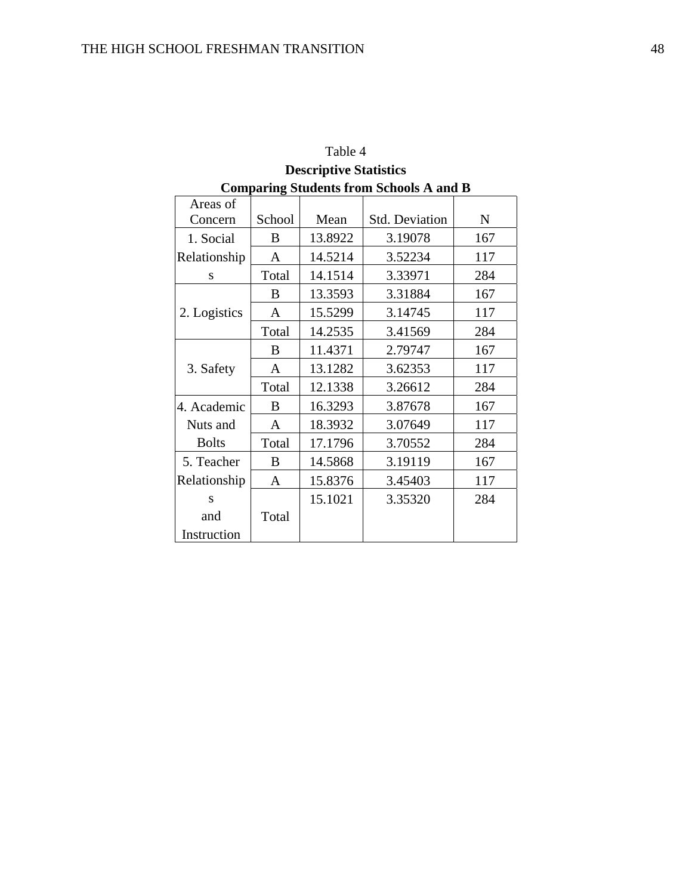| Table 4      |        |                               |                                                |     |
|--------------|--------|-------------------------------|------------------------------------------------|-----|
|              |        | <b>Descriptive Statistics</b> |                                                |     |
|              |        |                               | <b>Comparing Students from Schools A and B</b> |     |
| Areas of     |        |                               |                                                |     |
| Concern      | School | Mean                          | <b>Std. Deviation</b>                          | N   |
| 1. Social    | B      | 13.8922                       | 3.19078                                        | 167 |
| Relationship | A      | 14.5214                       | 3.52234                                        | 117 |
| S            | Total  | 14.1514                       | 3.33971                                        | 284 |
|              | B      | 13.3593                       | 3.31884                                        | 167 |
| 2. Logistics | A      | 15.5299                       | 3.14745                                        | 117 |
|              | Total  | 14.2535                       | 3.41569                                        | 284 |
|              | B      | 11.4371                       | 2.79747                                        | 167 |
| 3. Safety    | A      | 13.1282                       | 3.62353                                        | 117 |
|              | Total  | 12.1338                       | 3.26612                                        | 284 |
| 4. Academic  | B      | 16.3293                       | 3.87678                                        | 167 |
| Nuts and     | A      | 18.3932                       | 3.07649                                        | 117 |
| <b>Bolts</b> | Total  | 17.1796                       | 3.70552                                        | 284 |
| 5. Teacher   | B      | 14.5868                       | 3.19119                                        | 167 |
| Relationship | A      | 15.8376                       | 3.45403                                        | 117 |
| S            |        | 15.1021                       | 3.35320                                        | 284 |
| and          | Total  |                               |                                                |     |
| Instruction  |        |                               |                                                |     |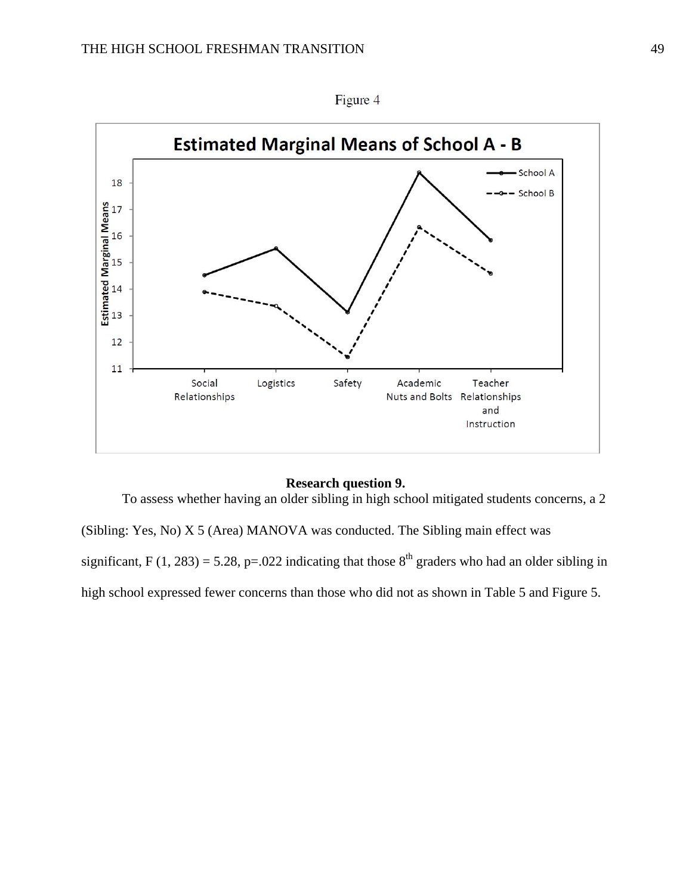

Figure 4

#### **Research question 9.**

To assess whether having an older sibling in high school mitigated students concerns, a 2

(Sibling: Yes, No) X 5 (Area) MANOVA was conducted. The Sibling main effect was significant, F (1, 283) = 5.28, p=.022 indicating that those  $8<sup>th</sup>$  graders who had an older sibling in high school expressed fewer concerns than those who did not as shown in Table 5 and Figure 5.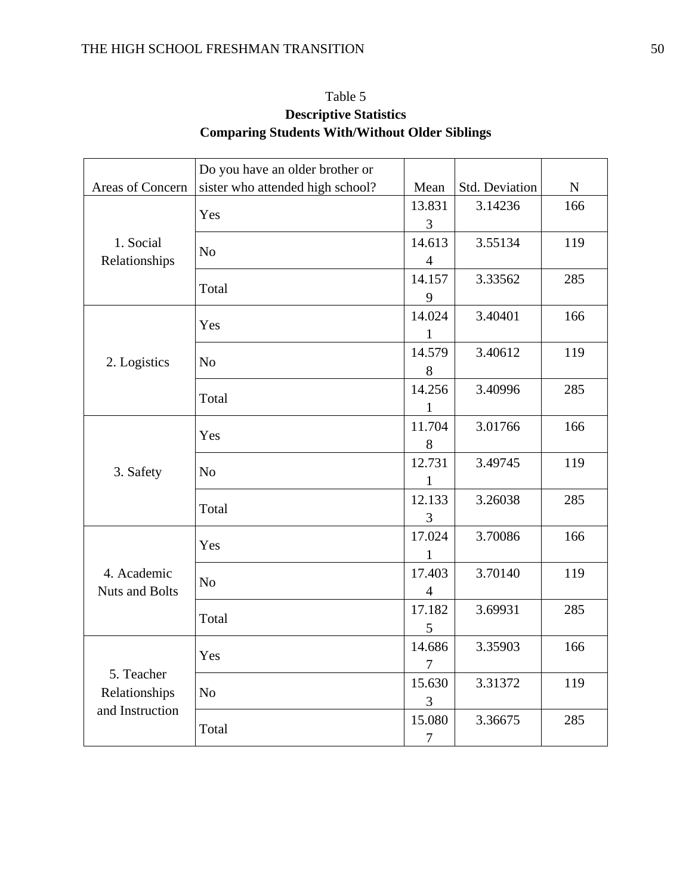| Table 5                                               |
|-------------------------------------------------------|
| <b>Descriptive Statistics</b>                         |
| <b>Comparing Students With/Without Older Siblings</b> |

|                                  | Do you have an older brother or  |                |                |           |
|----------------------------------|----------------------------------|----------------|----------------|-----------|
| Areas of Concern                 | sister who attended high school? | Mean           | Std. Deviation | ${\bf N}$ |
|                                  | Yes                              | 13.831         | 3.14236        | 166       |
|                                  |                                  | 3              |                |           |
| 1. Social                        | N <sub>o</sub>                   | 14.613         | 3.55134        | 119       |
| Relationships                    |                                  | $\overline{4}$ |                |           |
|                                  | Total                            | 14.157         | 3.33562        | 285       |
|                                  |                                  | 9              |                |           |
|                                  |                                  | 14.024         | 3.40401        | 166       |
|                                  | Yes                              | $\mathbf{1}$   |                |           |
|                                  |                                  | 14.579         | 3.40612        | 119       |
| 2. Logistics                     | N <sub>o</sub>                   | 8              |                |           |
|                                  |                                  | 14.256         | 3.40996        | 285       |
|                                  | Total                            | 1              |                |           |
|                                  |                                  | 11.704         | 3.01766        | 166       |
|                                  | Yes                              | 8              |                |           |
|                                  | N <sub>o</sub>                   | 12.731         | 3.49745        | 119       |
| 3. Safety                        |                                  | 1              |                |           |
|                                  | Total                            | 12.133         | 3.26038        | 285       |
|                                  |                                  | 3              |                |           |
|                                  | Yes                              | 17.024         | 3.70086        | 166       |
|                                  |                                  | 1              |                |           |
| 4. Academic                      | N <sub>o</sub>                   | 17.403         | 3.70140        | 119       |
| <b>Nuts and Bolts</b>            |                                  | $\overline{4}$ |                |           |
|                                  |                                  | 17.182         | 3.69931        | 285       |
|                                  | Total                            | 5              |                |           |
| 5. Teacher                       | Yes                              | 14.686         | 3.35903        | 166       |
|                                  |                                  | 7              |                |           |
|                                  |                                  | 15.630         | 3.31372        | 119       |
| Relationships<br>and Instruction | N <sub>o</sub>                   | 3              |                |           |
|                                  | Total                            | 15.080         | 3.36675        | 285       |
|                                  |                                  | $\overline{7}$ |                |           |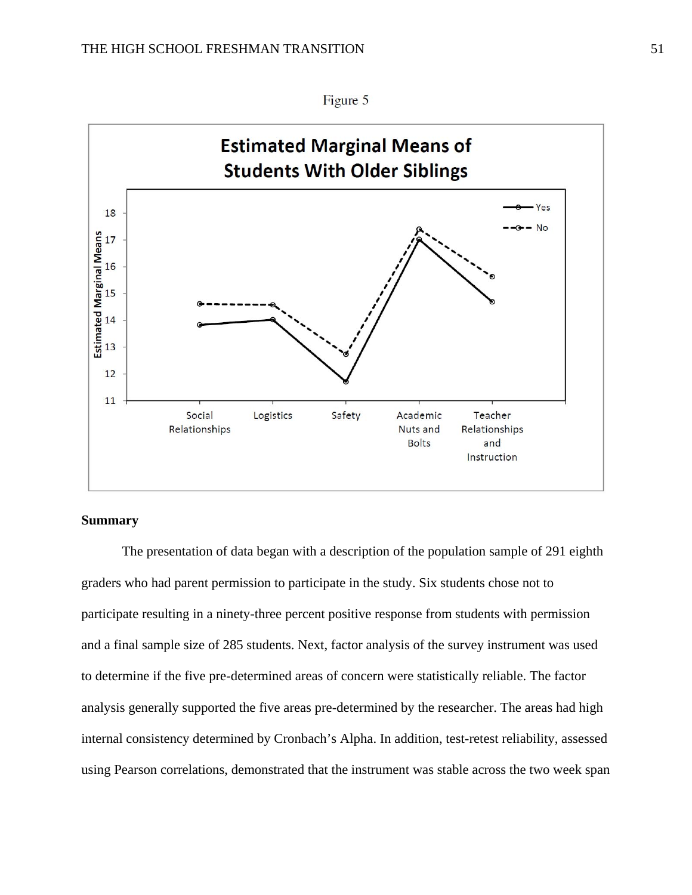

#### Figure 5

## **Summary**

 The presentation of data began with a description of the population sample of 291 eighth graders who had parent permission to participate in the study. Six students chose not to participate resulting in a ninety-three percent positive response from students with permission and a final sample size of 285 students. Next, factor analysis of the survey instrument was used to determine if the five pre-determined areas of concern were statistically reliable. The factor analysis generally supported the five areas pre-determined by the researcher. The areas had high internal consistency determined by Cronbach's Alpha. In addition, test-retest reliability, assessed using Pearson correlations, demonstrated that the instrument was stable across the two week span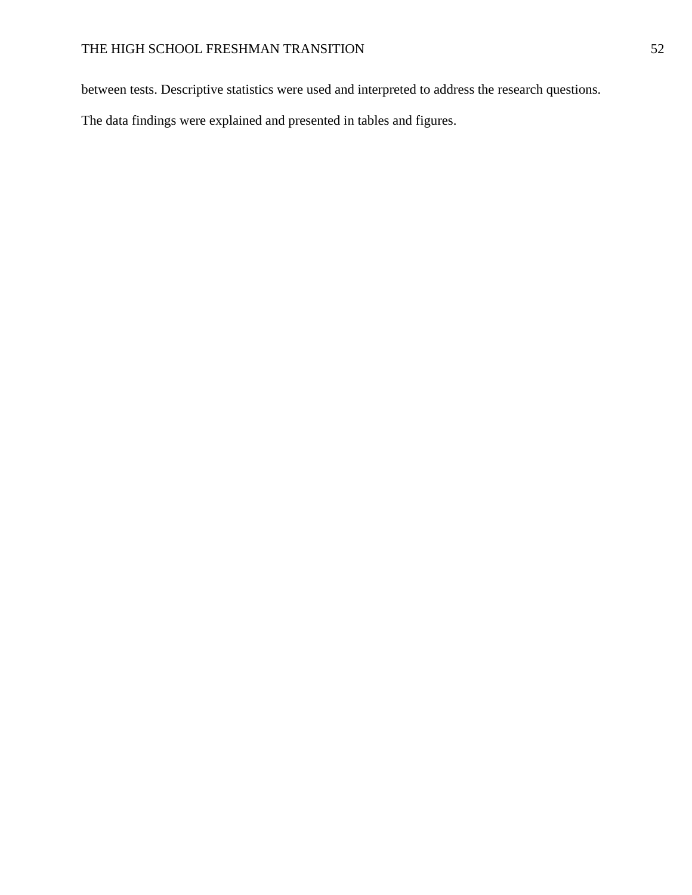between tests. Descriptive statistics were used and interpreted to address the research questions.

The data findings were explained and presented in tables and figures.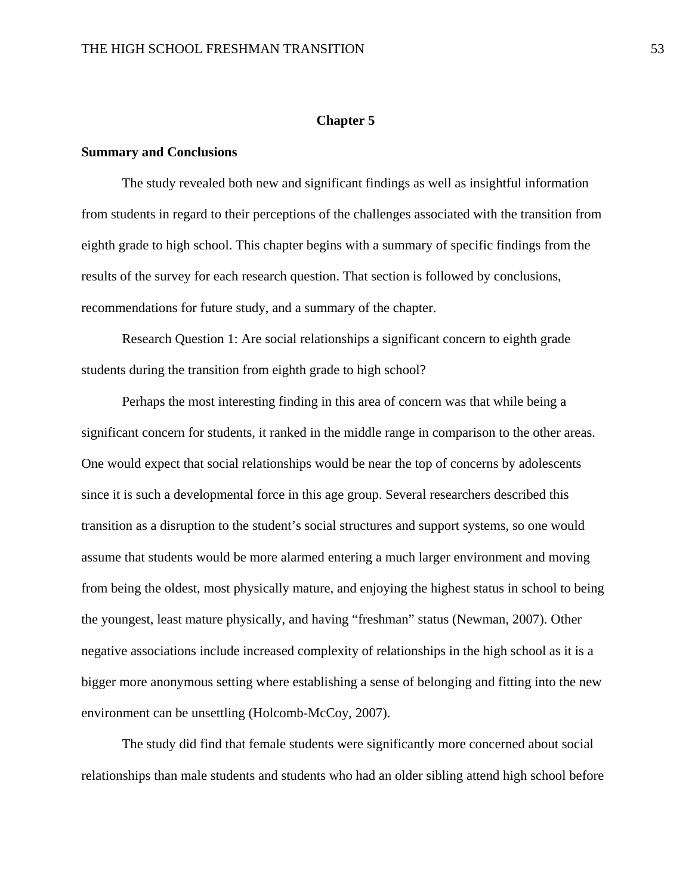#### **Chapter 5**

#### **Summary and Conclusions**

The study revealed both new and significant findings as well as insightful information from students in regard to their perceptions of the challenges associated with the transition from eighth grade to high school. This chapter begins with a summary of specific findings from the results of the survey for each research question. That section is followed by conclusions, recommendations for future study, and a summary of the chapter.

 Research Question 1: Are social relationships a significant concern to eighth grade students during the transition from eighth grade to high school?

 Perhaps the most interesting finding in this area of concern was that while being a significant concern for students, it ranked in the middle range in comparison to the other areas. One would expect that social relationships would be near the top of concerns by adolescents since it is such a developmental force in this age group. Several researchers described this transition as a disruption to the student's social structures and support systems, so one would assume that students would be more alarmed entering a much larger environment and moving from being the oldest, most physically mature, and enjoying the highest status in school to being the youngest, least mature physically, and having "freshman" status (Newman, 2007). Other negative associations include increased complexity of relationships in the high school as it is a bigger more anonymous setting where establishing a sense of belonging and fitting into the new environment can be unsettling (Holcomb-McCoy, 2007).

 The study did find that female students were significantly more concerned about social relationships than male students and students who had an older sibling attend high school before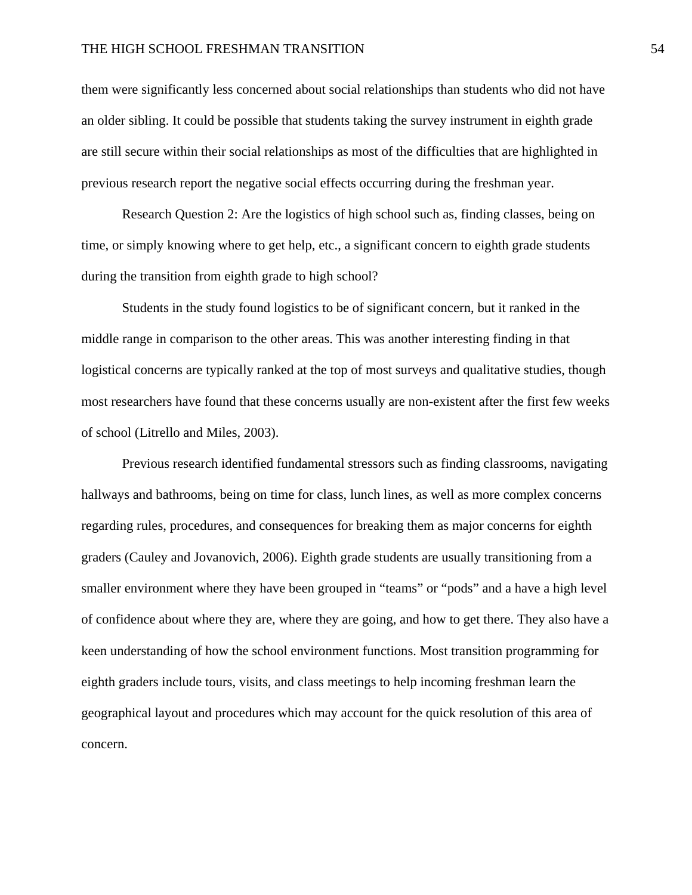them were significantly less concerned about social relationships than students who did not have an older sibling. It could be possible that students taking the survey instrument in eighth grade are still secure within their social relationships as most of the difficulties that are highlighted in previous research report the negative social effects occurring during the freshman year.

 Research Question 2: Are the logistics of high school such as, finding classes, being on time, or simply knowing where to get help, etc., a significant concern to eighth grade students during the transition from eighth grade to high school?

Students in the study found logistics to be of significant concern, but it ranked in the middle range in comparison to the other areas. This was another interesting finding in that logistical concerns are typically ranked at the top of most surveys and qualitative studies, though most researchers have found that these concerns usually are non-existent after the first few weeks of school (Litrello and Miles, 2003).

 Previous research identified fundamental stressors such as finding classrooms, navigating hallways and bathrooms, being on time for class, lunch lines, as well as more complex concerns regarding rules, procedures, and consequences for breaking them as major concerns for eighth graders (Cauley and Jovanovich, 2006). Eighth grade students are usually transitioning from a smaller environment where they have been grouped in "teams" or "pods" and a have a high level of confidence about where they are, where they are going, and how to get there. They also have a keen understanding of how the school environment functions. Most transition programming for eighth graders include tours, visits, and class meetings to help incoming freshman learn the geographical layout and procedures which may account for the quick resolution of this area of concern.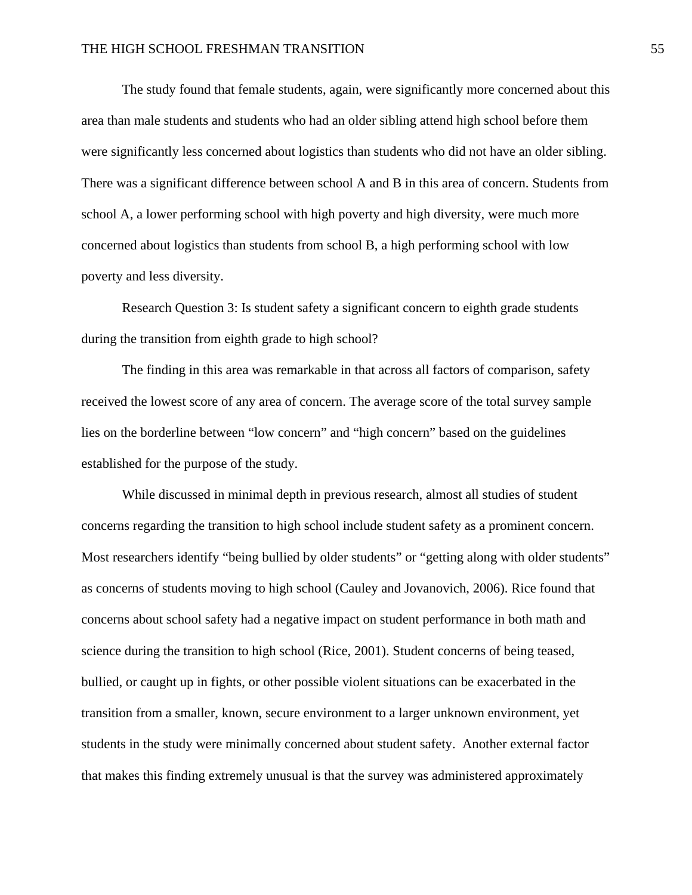The study found that female students, again, were significantly more concerned about this area than male students and students who had an older sibling attend high school before them were significantly less concerned about logistics than students who did not have an older sibling. There was a significant difference between school A and B in this area of concern. Students from school A, a lower performing school with high poverty and high diversity, were much more concerned about logistics than students from school B, a high performing school with low poverty and less diversity.

 Research Question 3: Is student safety a significant concern to eighth grade students during the transition from eighth grade to high school?

 The finding in this area was remarkable in that across all factors of comparison, safety received the lowest score of any area of concern. The average score of the total survey sample lies on the borderline between "low concern" and "high concern" based on the guidelines established for the purpose of the study.

 While discussed in minimal depth in previous research, almost all studies of student concerns regarding the transition to high school include student safety as a prominent concern. Most researchers identify "being bullied by older students" or "getting along with older students" as concerns of students moving to high school (Cauley and Jovanovich, 2006). Rice found that concerns about school safety had a negative impact on student performance in both math and science during the transition to high school (Rice, 2001). Student concerns of being teased, bullied, or caught up in fights, or other possible violent situations can be exacerbated in the transition from a smaller, known, secure environment to a larger unknown environment, yet students in the study were minimally concerned about student safety. Another external factor that makes this finding extremely unusual is that the survey was administered approximately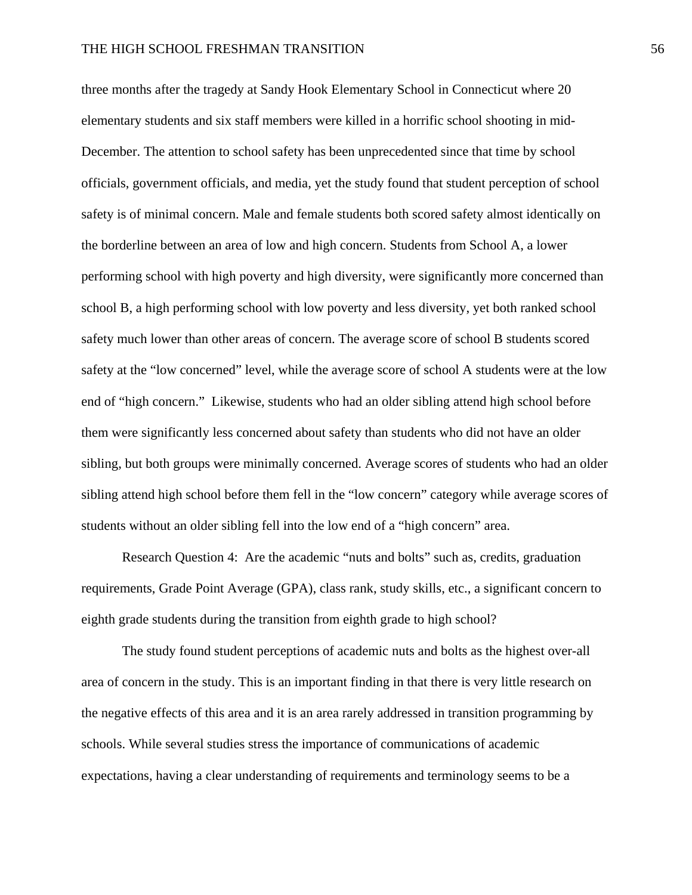three months after the tragedy at Sandy Hook Elementary School in Connecticut where 20 elementary students and six staff members were killed in a horrific school shooting in mid-December. The attention to school safety has been unprecedented since that time by school officials, government officials, and media, yet the study found that student perception of school safety is of minimal concern. Male and female students both scored safety almost identically on the borderline between an area of low and high concern. Students from School A, a lower performing school with high poverty and high diversity, were significantly more concerned than school B, a high performing school with low poverty and less diversity, yet both ranked school safety much lower than other areas of concern. The average score of school B students scored safety at the "low concerned" level, while the average score of school A students were at the low end of "high concern." Likewise, students who had an older sibling attend high school before them were significantly less concerned about safety than students who did not have an older sibling, but both groups were minimally concerned. Average scores of students who had an older sibling attend high school before them fell in the "low concern" category while average scores of students without an older sibling fell into the low end of a "high concern" area.

 Research Question 4: Are the academic "nuts and bolts" such as, credits, graduation requirements, Grade Point Average (GPA), class rank, study skills, etc., a significant concern to eighth grade students during the transition from eighth grade to high school?

 The study found student perceptions of academic nuts and bolts as the highest over-all area of concern in the study. This is an important finding in that there is very little research on the negative effects of this area and it is an area rarely addressed in transition programming by schools. While several studies stress the importance of communications of academic expectations, having a clear understanding of requirements and terminology seems to be a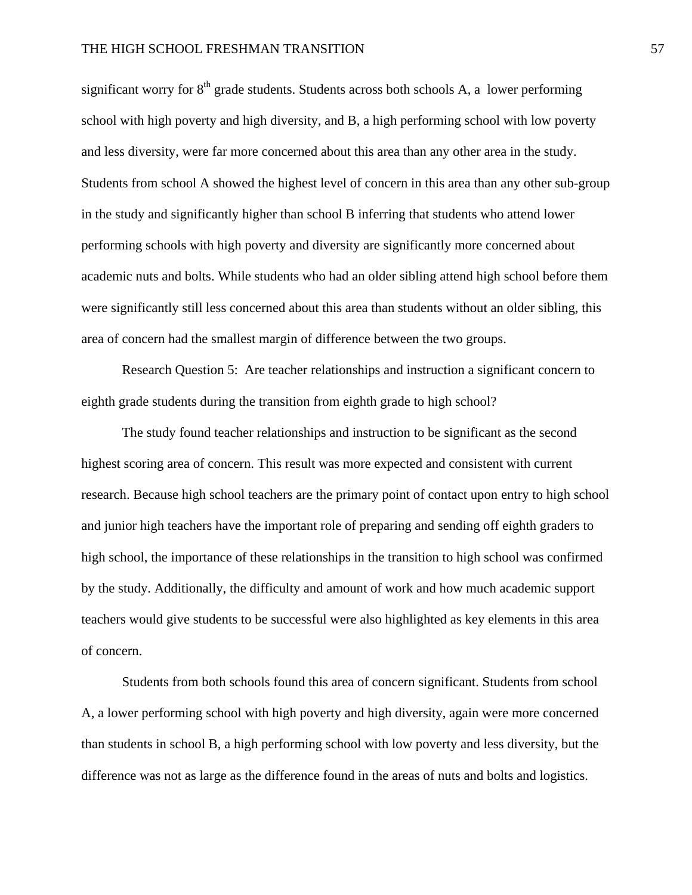significant worry for  $8<sup>th</sup>$  grade students. Students across both schools A, a lower performing school with high poverty and high diversity, and B, a high performing school with low poverty and less diversity, were far more concerned about this area than any other area in the study. Students from school A showed the highest level of concern in this area than any other sub-group in the study and significantly higher than school B inferring that students who attend lower performing schools with high poverty and diversity are significantly more concerned about academic nuts and bolts. While students who had an older sibling attend high school before them were significantly still less concerned about this area than students without an older sibling, this area of concern had the smallest margin of difference between the two groups.

 Research Question 5: Are teacher relationships and instruction a significant concern to eighth grade students during the transition from eighth grade to high school?

 The study found teacher relationships and instruction to be significant as the second highest scoring area of concern. This result was more expected and consistent with current research. Because high school teachers are the primary point of contact upon entry to high school and junior high teachers have the important role of preparing and sending off eighth graders to high school, the importance of these relationships in the transition to high school was confirmed by the study. Additionally, the difficulty and amount of work and how much academic support teachers would give students to be successful were also highlighted as key elements in this area of concern.

Students from both schools found this area of concern significant. Students from school A, a lower performing school with high poverty and high diversity, again were more concerned than students in school B, a high performing school with low poverty and less diversity, but the difference was not as large as the difference found in the areas of nuts and bolts and logistics.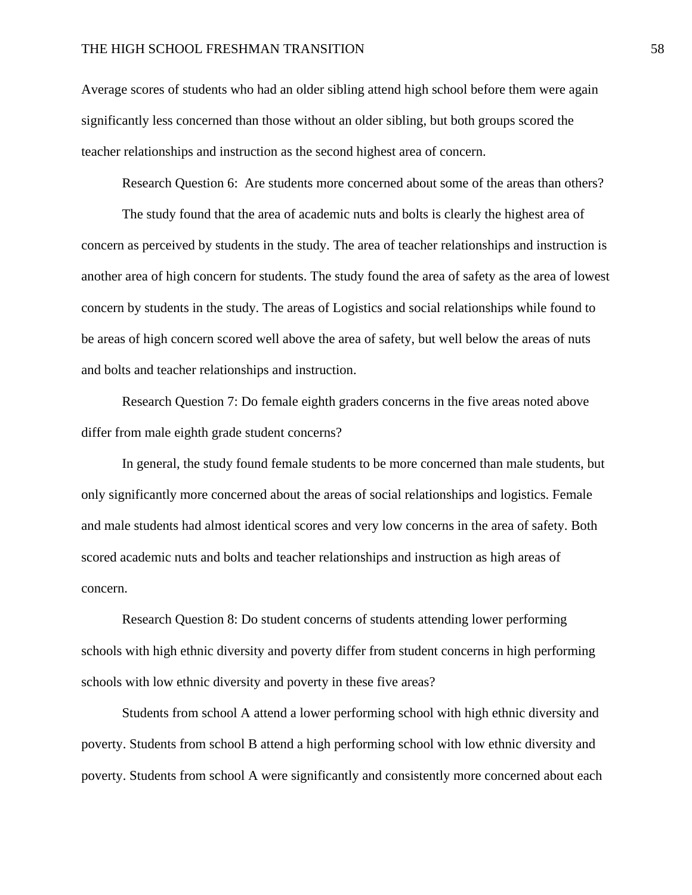Average scores of students who had an older sibling attend high school before them were again significantly less concerned than those without an older sibling, but both groups scored the teacher relationships and instruction as the second highest area of concern.

Research Question 6: Are students more concerned about some of the areas than others?

 The study found that the area of academic nuts and bolts is clearly the highest area of concern as perceived by students in the study. The area of teacher relationships and instruction is another area of high concern for students. The study found the area of safety as the area of lowest concern by students in the study. The areas of Logistics and social relationships while found to be areas of high concern scored well above the area of safety, but well below the areas of nuts and bolts and teacher relationships and instruction.

Research Question 7: Do female eighth graders concerns in the five areas noted above differ from male eighth grade student concerns?

 In general, the study found female students to be more concerned than male students, but only significantly more concerned about the areas of social relationships and logistics. Female and male students had almost identical scores and very low concerns in the area of safety. Both scored academic nuts and bolts and teacher relationships and instruction as high areas of concern.

 Research Question 8: Do student concerns of students attending lower performing schools with high ethnic diversity and poverty differ from student concerns in high performing schools with low ethnic diversity and poverty in these five areas?

 Students from school A attend a lower performing school with high ethnic diversity and poverty. Students from school B attend a high performing school with low ethnic diversity and poverty. Students from school A were significantly and consistently more concerned about each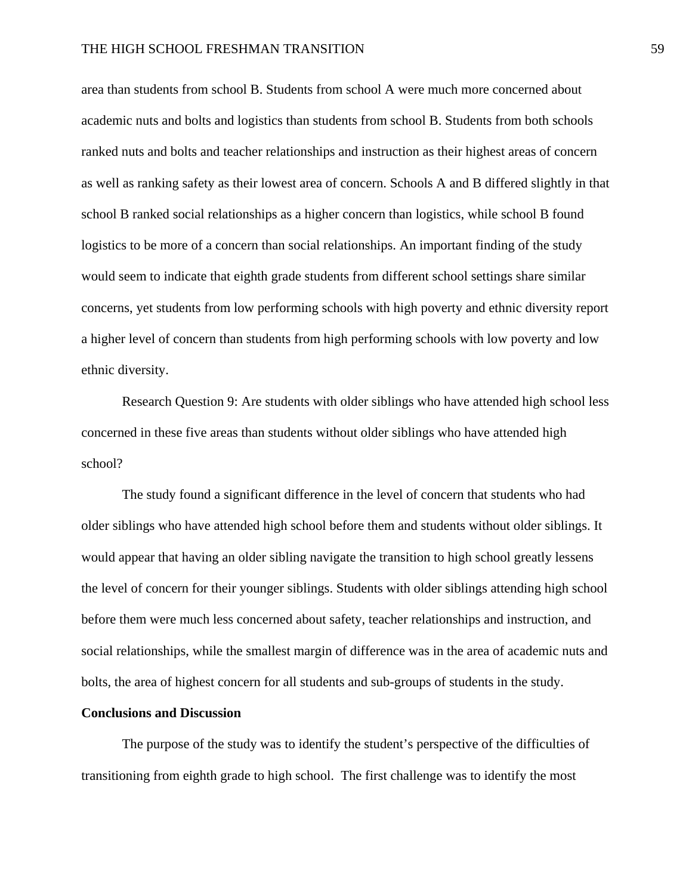area than students from school B. Students from school A were much more concerned about academic nuts and bolts and logistics than students from school B. Students from both schools ranked nuts and bolts and teacher relationships and instruction as their highest areas of concern as well as ranking safety as their lowest area of concern. Schools A and B differed slightly in that school B ranked social relationships as a higher concern than logistics, while school B found logistics to be more of a concern than social relationships. An important finding of the study would seem to indicate that eighth grade students from different school settings share similar concerns, yet students from low performing schools with high poverty and ethnic diversity report a higher level of concern than students from high performing schools with low poverty and low ethnic diversity.

Research Question 9: Are students with older siblings who have attended high school less concerned in these five areas than students without older siblings who have attended high school?

The study found a significant difference in the level of concern that students who had older siblings who have attended high school before them and students without older siblings. It would appear that having an older sibling navigate the transition to high school greatly lessens the level of concern for their younger siblings. Students with older siblings attending high school before them were much less concerned about safety, teacher relationships and instruction, and social relationships, while the smallest margin of difference was in the area of academic nuts and bolts, the area of highest concern for all students and sub-groups of students in the study.

### **Conclusions and Discussion**

The purpose of the study was to identify the student's perspective of the difficulties of transitioning from eighth grade to high school. The first challenge was to identify the most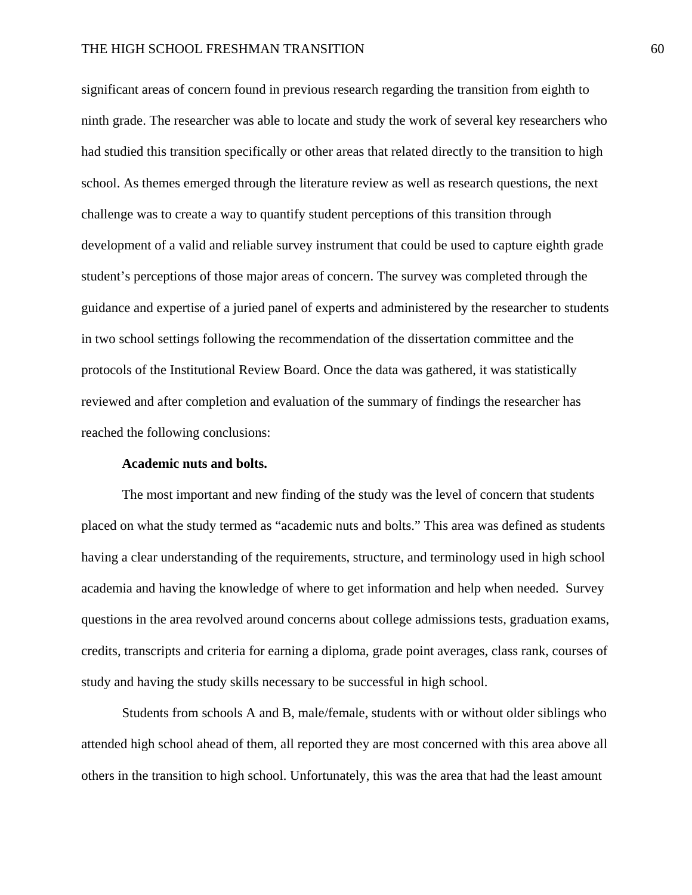significant areas of concern found in previous research regarding the transition from eighth to ninth grade. The researcher was able to locate and study the work of several key researchers who had studied this transition specifically or other areas that related directly to the transition to high school. As themes emerged through the literature review as well as research questions, the next challenge was to create a way to quantify student perceptions of this transition through development of a valid and reliable survey instrument that could be used to capture eighth grade student's perceptions of those major areas of concern. The survey was completed through the guidance and expertise of a juried panel of experts and administered by the researcher to students in two school settings following the recommendation of the dissertation committee and the protocols of the Institutional Review Board. Once the data was gathered, it was statistically reviewed and after completion and evaluation of the summary of findings the researcher has reached the following conclusions:

#### **Academic nuts and bolts.**

The most important and new finding of the study was the level of concern that students placed on what the study termed as "academic nuts and bolts." This area was defined as students having a clear understanding of the requirements, structure, and terminology used in high school academia and having the knowledge of where to get information and help when needed. Survey questions in the area revolved around concerns about college admissions tests, graduation exams, credits, transcripts and criteria for earning a diploma, grade point averages, class rank, courses of study and having the study skills necessary to be successful in high school.

 Students from schools A and B, male/female, students with or without older siblings who attended high school ahead of them, all reported they are most concerned with this area above all others in the transition to high school. Unfortunately, this was the area that had the least amount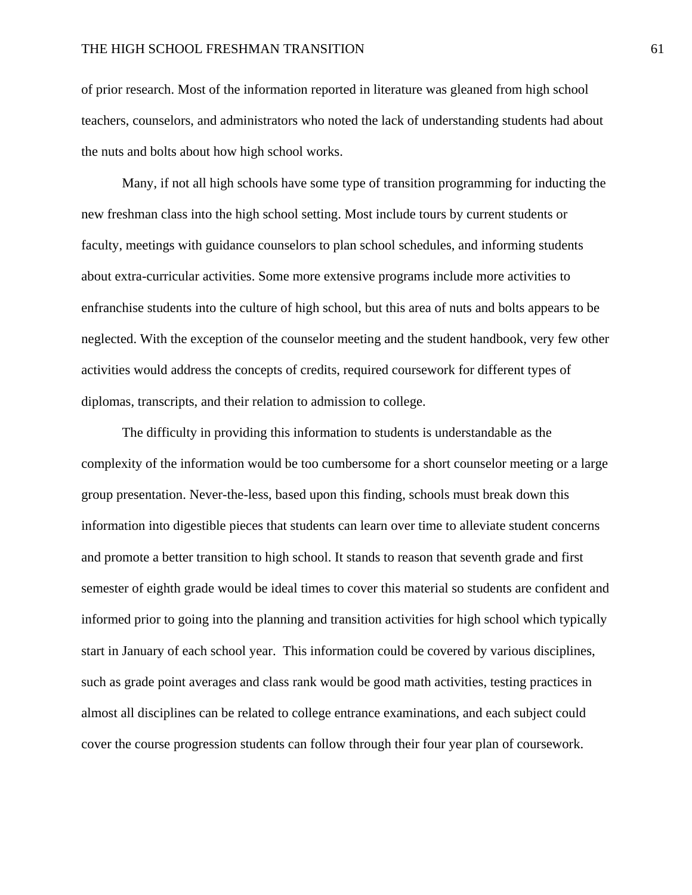of prior research. Most of the information reported in literature was gleaned from high school teachers, counselors, and administrators who noted the lack of understanding students had about the nuts and bolts about how high school works.

Many, if not all high schools have some type of transition programming for inducting the new freshman class into the high school setting. Most include tours by current students or faculty, meetings with guidance counselors to plan school schedules, and informing students about extra-curricular activities. Some more extensive programs include more activities to enfranchise students into the culture of high school, but this area of nuts and bolts appears to be neglected. With the exception of the counselor meeting and the student handbook, very few other activities would address the concepts of credits, required coursework for different types of diplomas, transcripts, and their relation to admission to college.

The difficulty in providing this information to students is understandable as the complexity of the information would be too cumbersome for a short counselor meeting or a large group presentation. Never-the-less, based upon this finding, schools must break down this information into digestible pieces that students can learn over time to alleviate student concerns and promote a better transition to high school. It stands to reason that seventh grade and first semester of eighth grade would be ideal times to cover this material so students are confident and informed prior to going into the planning and transition activities for high school which typically start in January of each school year. This information could be covered by various disciplines, such as grade point averages and class rank would be good math activities, testing practices in almost all disciplines can be related to college entrance examinations, and each subject could cover the course progression students can follow through their four year plan of coursework.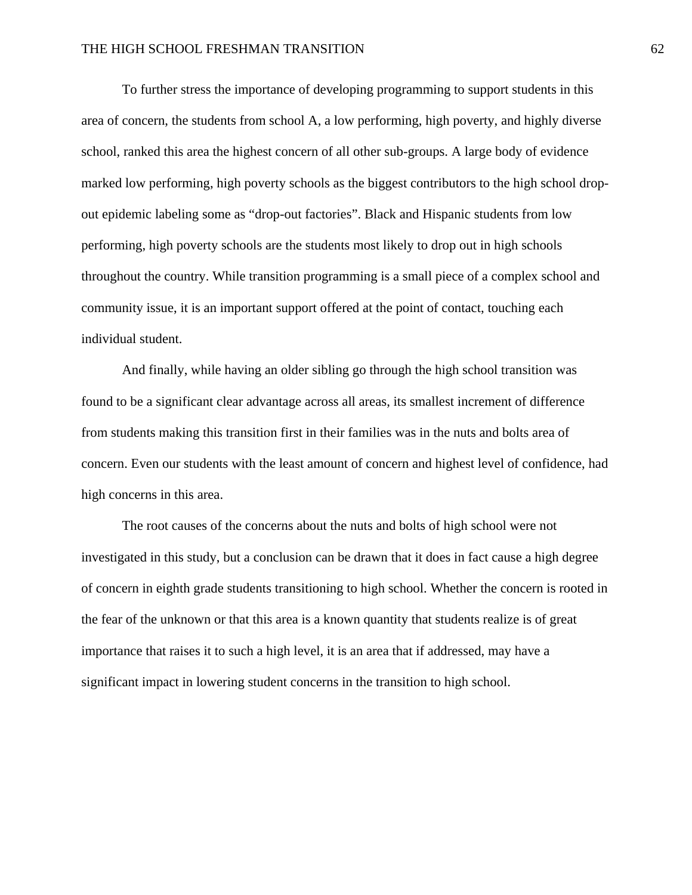To further stress the importance of developing programming to support students in this area of concern, the students from school A, a low performing, high poverty, and highly diverse school, ranked this area the highest concern of all other sub-groups. A large body of evidence marked low performing, high poverty schools as the biggest contributors to the high school dropout epidemic labeling some as "drop-out factories". Black and Hispanic students from low performing, high poverty schools are the students most likely to drop out in high schools throughout the country. While transition programming is a small piece of a complex school and community issue, it is an important support offered at the point of contact, touching each individual student.

And finally, while having an older sibling go through the high school transition was found to be a significant clear advantage across all areas, its smallest increment of difference from students making this transition first in their families was in the nuts and bolts area of concern. Even our students with the least amount of concern and highest level of confidence, had high concerns in this area.

The root causes of the concerns about the nuts and bolts of high school were not investigated in this study, but a conclusion can be drawn that it does in fact cause a high degree of concern in eighth grade students transitioning to high school. Whether the concern is rooted in the fear of the unknown or that this area is a known quantity that students realize is of great importance that raises it to such a high level, it is an area that if addressed, may have a significant impact in lowering student concerns in the transition to high school.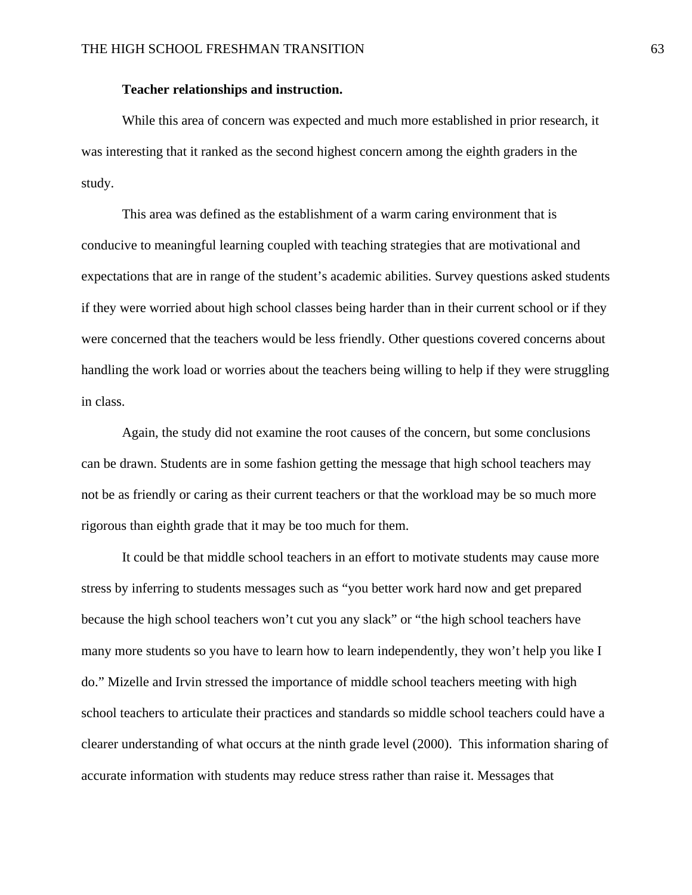## **Teacher relationships and instruction.**

While this area of concern was expected and much more established in prior research, it was interesting that it ranked as the second highest concern among the eighth graders in the study.

This area was defined as the establishment of a warm caring environment that is conducive to meaningful learning coupled with teaching strategies that are motivational and expectations that are in range of the student's academic abilities. Survey questions asked students if they were worried about high school classes being harder than in their current school or if they were concerned that the teachers would be less friendly. Other questions covered concerns about handling the work load or worries about the teachers being willing to help if they were struggling in class.

Again, the study did not examine the root causes of the concern, but some conclusions can be drawn. Students are in some fashion getting the message that high school teachers may not be as friendly or caring as their current teachers or that the workload may be so much more rigorous than eighth grade that it may be too much for them.

It could be that middle school teachers in an effort to motivate students may cause more stress by inferring to students messages such as "you better work hard now and get prepared because the high school teachers won't cut you any slack" or "the high school teachers have many more students so you have to learn how to learn independently, they won't help you like I do." Mizelle and Irvin stressed the importance of middle school teachers meeting with high school teachers to articulate their practices and standards so middle school teachers could have a clearer understanding of what occurs at the ninth grade level (2000). This information sharing of accurate information with students may reduce stress rather than raise it. Messages that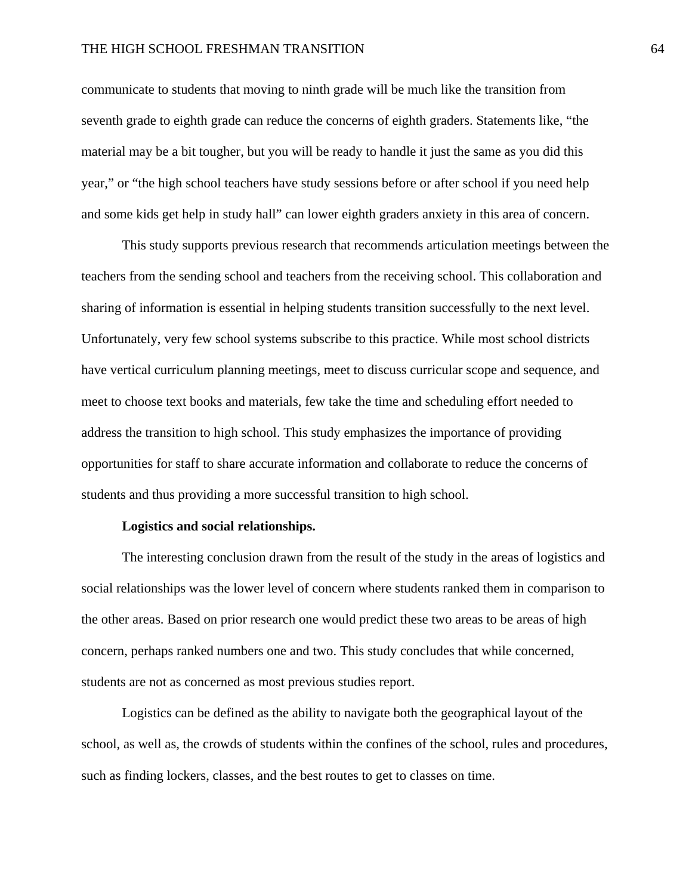communicate to students that moving to ninth grade will be much like the transition from seventh grade to eighth grade can reduce the concerns of eighth graders. Statements like, "the material may be a bit tougher, but you will be ready to handle it just the same as you did this year," or "the high school teachers have study sessions before or after school if you need help and some kids get help in study hall" can lower eighth graders anxiety in this area of concern.

This study supports previous research that recommends articulation meetings between the teachers from the sending school and teachers from the receiving school. This collaboration and sharing of information is essential in helping students transition successfully to the next level. Unfortunately, very few school systems subscribe to this practice. While most school districts have vertical curriculum planning meetings, meet to discuss curricular scope and sequence, and meet to choose text books and materials, few take the time and scheduling effort needed to address the transition to high school. This study emphasizes the importance of providing opportunities for staff to share accurate information and collaborate to reduce the concerns of students and thus providing a more successful transition to high school.

#### **Logistics and social relationships.**

The interesting conclusion drawn from the result of the study in the areas of logistics and social relationships was the lower level of concern where students ranked them in comparison to the other areas. Based on prior research one would predict these two areas to be areas of high concern, perhaps ranked numbers one and two. This study concludes that while concerned, students are not as concerned as most previous studies report.

 Logistics can be defined as the ability to navigate both the geographical layout of the school, as well as, the crowds of students within the confines of the school, rules and procedures, such as finding lockers, classes, and the best routes to get to classes on time.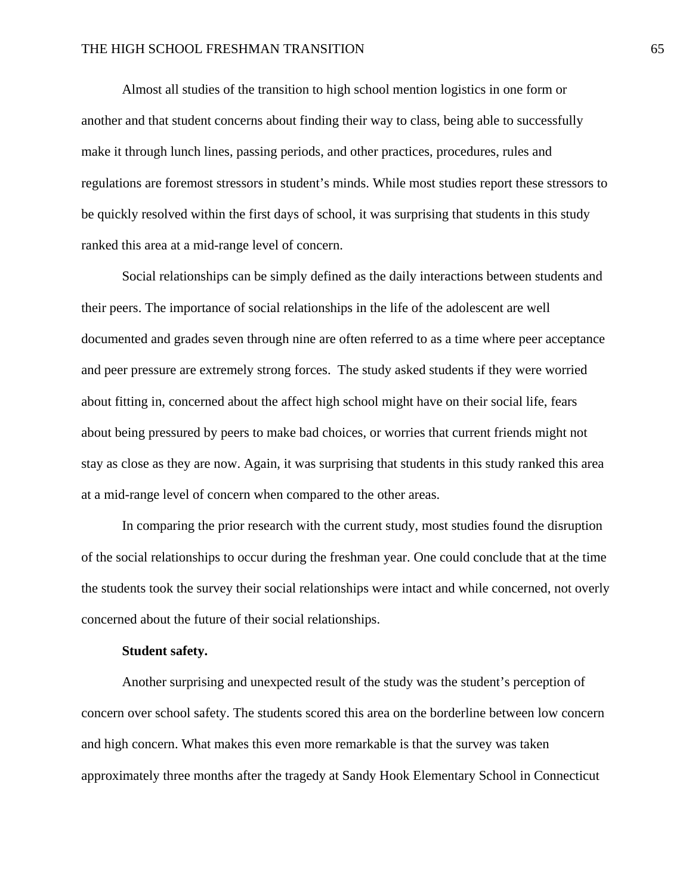Almost all studies of the transition to high school mention logistics in one form or another and that student concerns about finding their way to class, being able to successfully make it through lunch lines, passing periods, and other practices, procedures, rules and regulations are foremost stressors in student's minds. While most studies report these stressors to be quickly resolved within the first days of school, it was surprising that students in this study ranked this area at a mid-range level of concern.

Social relationships can be simply defined as the daily interactions between students and their peers. The importance of social relationships in the life of the adolescent are well documented and grades seven through nine are often referred to as a time where peer acceptance and peer pressure are extremely strong forces. The study asked students if they were worried about fitting in, concerned about the affect high school might have on their social life, fears about being pressured by peers to make bad choices, or worries that current friends might not stay as close as they are now. Again, it was surprising that students in this study ranked this area at a mid-range level of concern when compared to the other areas.

In comparing the prior research with the current study, most studies found the disruption of the social relationships to occur during the freshman year. One could conclude that at the time the students took the survey their social relationships were intact and while concerned, not overly concerned about the future of their social relationships.

#### **Student safety.**

Another surprising and unexpected result of the study was the student's perception of concern over school safety. The students scored this area on the borderline between low concern and high concern. What makes this even more remarkable is that the survey was taken approximately three months after the tragedy at Sandy Hook Elementary School in Connecticut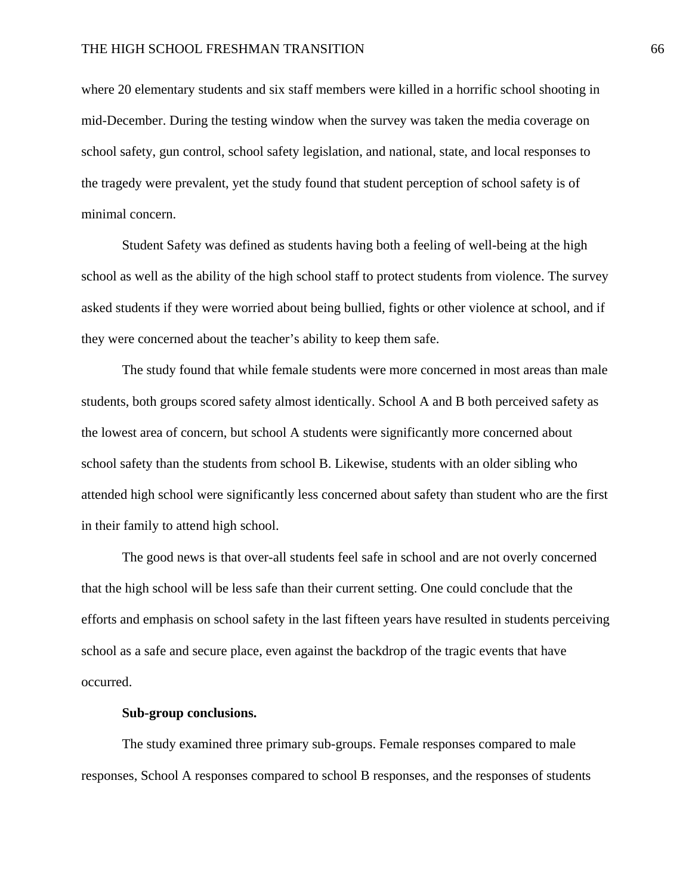where 20 elementary students and six staff members were killed in a horrific school shooting in mid-December. During the testing window when the survey was taken the media coverage on school safety, gun control, school safety legislation, and national, state, and local responses to the tragedy were prevalent, yet the study found that student perception of school safety is of minimal concern.

Student Safety was defined as students having both a feeling of well-being at the high school as well as the ability of the high school staff to protect students from violence. The survey asked students if they were worried about being bullied, fights or other violence at school, and if they were concerned about the teacher's ability to keep them safe.

The study found that while female students were more concerned in most areas than male students, both groups scored safety almost identically. School A and B both perceived safety as the lowest area of concern, but school A students were significantly more concerned about school safety than the students from school B. Likewise, students with an older sibling who attended high school were significantly less concerned about safety than student who are the first in their family to attend high school.

The good news is that over-all students feel safe in school and are not overly concerned that the high school will be less safe than their current setting. One could conclude that the efforts and emphasis on school safety in the last fifteen years have resulted in students perceiving school as a safe and secure place, even against the backdrop of the tragic events that have occurred.

#### **Sub-group conclusions.**

The study examined three primary sub-groups. Female responses compared to male responses, School A responses compared to school B responses, and the responses of students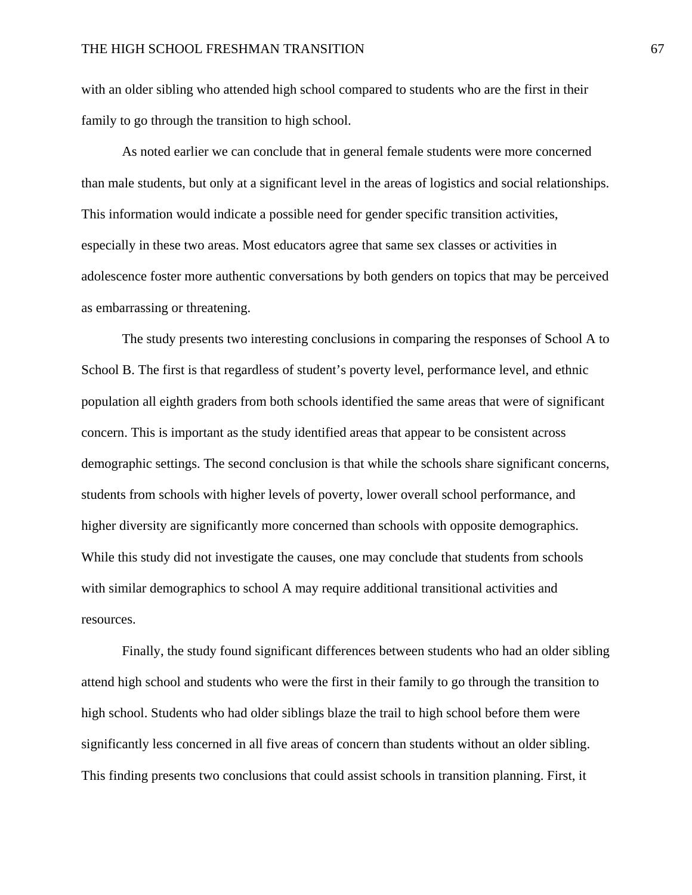with an older sibling who attended high school compared to students who are the first in their family to go through the transition to high school.

 As noted earlier we can conclude that in general female students were more concerned than male students, but only at a significant level in the areas of logistics and social relationships. This information would indicate a possible need for gender specific transition activities, especially in these two areas. Most educators agree that same sex classes or activities in adolescence foster more authentic conversations by both genders on topics that may be perceived as embarrassing or threatening.

 The study presents two interesting conclusions in comparing the responses of School A to School B. The first is that regardless of student's poverty level, performance level, and ethnic population all eighth graders from both schools identified the same areas that were of significant concern. This is important as the study identified areas that appear to be consistent across demographic settings. The second conclusion is that while the schools share significant concerns, students from schools with higher levels of poverty, lower overall school performance, and higher diversity are significantly more concerned than schools with opposite demographics. While this study did not investigate the causes, one may conclude that students from schools with similar demographics to school A may require additional transitional activities and resources.

 Finally, the study found significant differences between students who had an older sibling attend high school and students who were the first in their family to go through the transition to high school. Students who had older siblings blaze the trail to high school before them were significantly less concerned in all five areas of concern than students without an older sibling. This finding presents two conclusions that could assist schools in transition planning. First, it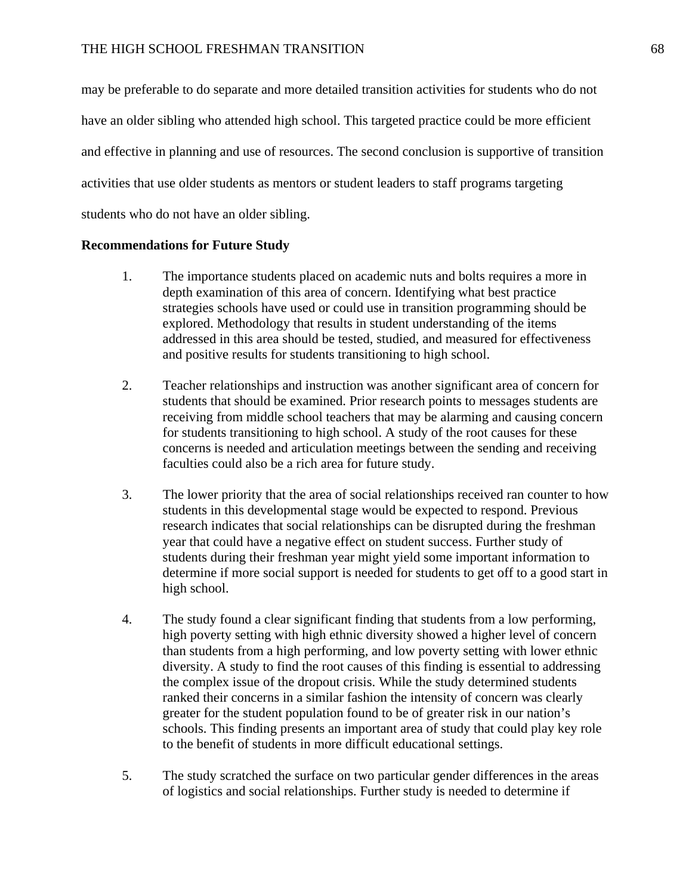may be preferable to do separate and more detailed transition activities for students who do not have an older sibling who attended high school. This targeted practice could be more efficient and effective in planning and use of resources. The second conclusion is supportive of transition activities that use older students as mentors or student leaders to staff programs targeting students who do not have an older sibling.

## **Recommendations for Future Study**

- 1. The importance students placed on academic nuts and bolts requires a more in depth examination of this area of concern. Identifying what best practice strategies schools have used or could use in transition programming should be explored. Methodology that results in student understanding of the items addressed in this area should be tested, studied, and measured for effectiveness and positive results for students transitioning to high school.
- 2. Teacher relationships and instruction was another significant area of concern for students that should be examined. Prior research points to messages students are receiving from middle school teachers that may be alarming and causing concern for students transitioning to high school. A study of the root causes for these concerns is needed and articulation meetings between the sending and receiving faculties could also be a rich area for future study.
- 3. The lower priority that the area of social relationships received ran counter to how students in this developmental stage would be expected to respond. Previous research indicates that social relationships can be disrupted during the freshman year that could have a negative effect on student success. Further study of students during their freshman year might yield some important information to determine if more social support is needed for students to get off to a good start in high school.
- 4. The study found a clear significant finding that students from a low performing, high poverty setting with high ethnic diversity showed a higher level of concern than students from a high performing, and low poverty setting with lower ethnic diversity. A study to find the root causes of this finding is essential to addressing the complex issue of the dropout crisis. While the study determined students ranked their concerns in a similar fashion the intensity of concern was clearly greater for the student population found to be of greater risk in our nation's schools. This finding presents an important area of study that could play key role to the benefit of students in more difficult educational settings.
- 5. The study scratched the surface on two particular gender differences in the areas of logistics and social relationships. Further study is needed to determine if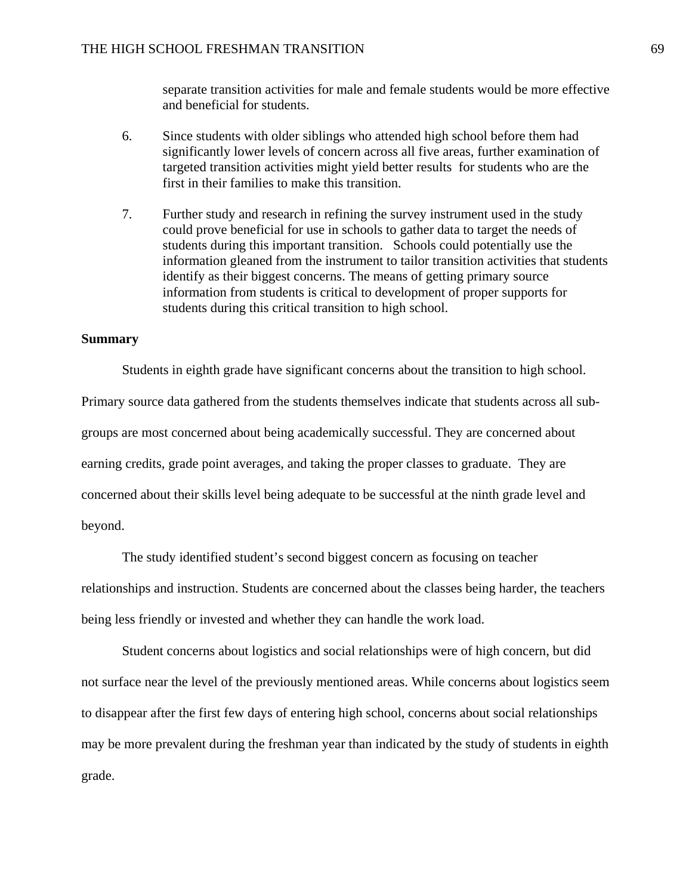separate transition activities for male and female students would be more effective and beneficial for students.

- 6. Since students with older siblings who attended high school before them had significantly lower levels of concern across all five areas, further examination of targeted transition activities might yield better results for students who are the first in their families to make this transition.
- 7. Further study and research in refining the survey instrument used in the study could prove beneficial for use in schools to gather data to target the needs of students during this important transition. Schools could potentially use the information gleaned from the instrument to tailor transition activities that students identify as their biggest concerns. The means of getting primary source information from students is critical to development of proper supports for students during this critical transition to high school.

## **Summary**

Students in eighth grade have significant concerns about the transition to high school. Primary source data gathered from the students themselves indicate that students across all subgroups are most concerned about being academically successful. They are concerned about earning credits, grade point averages, and taking the proper classes to graduate. They are concerned about their skills level being adequate to be successful at the ninth grade level and beyond.

 The study identified student's second biggest concern as focusing on teacher relationships and instruction. Students are concerned about the classes being harder, the teachers being less friendly or invested and whether they can handle the work load.

 Student concerns about logistics and social relationships were of high concern, but did not surface near the level of the previously mentioned areas. While concerns about logistics seem to disappear after the first few days of entering high school, concerns about social relationships may be more prevalent during the freshman year than indicated by the study of students in eighth grade.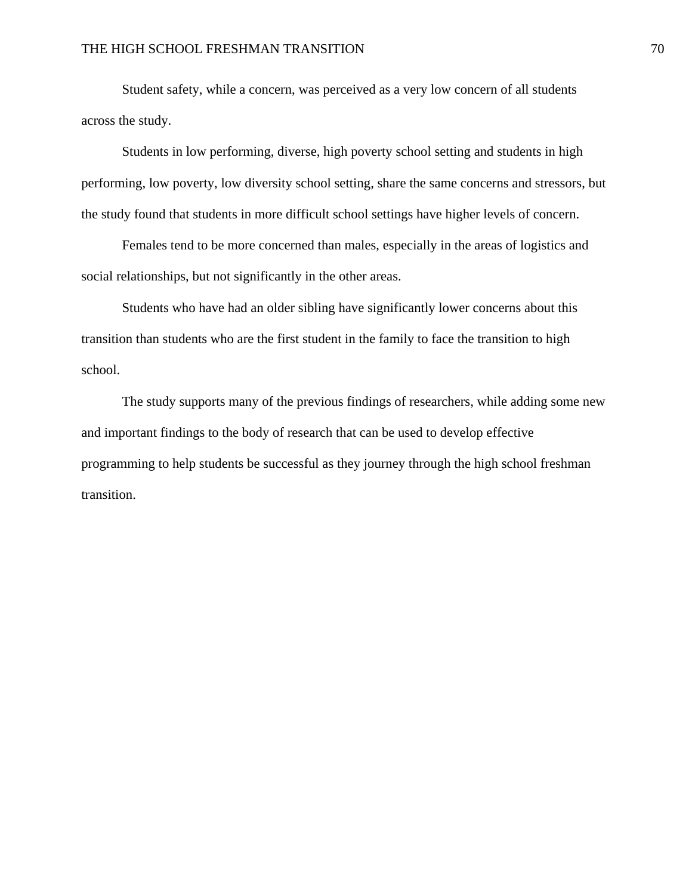Student safety, while a concern, was perceived as a very low concern of all students across the study.

Students in low performing, diverse, high poverty school setting and students in high performing, low poverty, low diversity school setting, share the same concerns and stressors, but the study found that students in more difficult school settings have higher levels of concern.

Females tend to be more concerned than males, especially in the areas of logistics and social relationships, but not significantly in the other areas.

 Students who have had an older sibling have significantly lower concerns about this transition than students who are the first student in the family to face the transition to high school.

The study supports many of the previous findings of researchers, while adding some new and important findings to the body of research that can be used to develop effective programming to help students be successful as they journey through the high school freshman transition.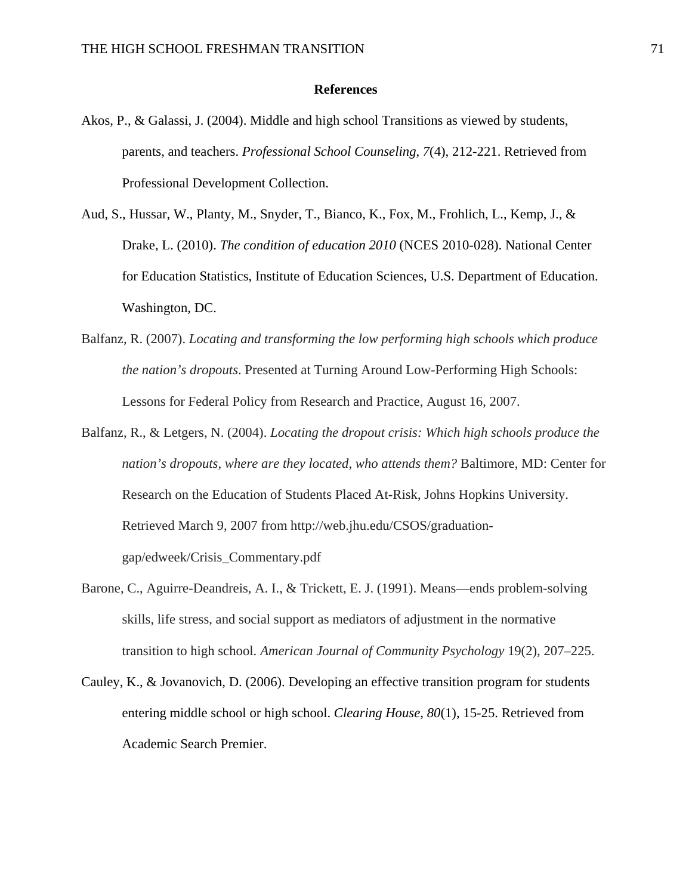#### **References**

- Akos, P., & Galassi, J. (2004). Middle and high school Transitions as viewed by students, parents, and teachers. *Professional School Counseling*, *7*(4), 212-221. Retrieved from Professional Development Collection.
- Aud, S., Hussar, W., Planty, M., Snyder, T., Bianco, K., Fox, M., Frohlich, L., Kemp, J., & Drake, L. (2010). *The condition of education 2010* (NCES 2010-028). National Center for Education Statistics, Institute of Education Sciences, U.S. Department of Education. Washington, DC.
- Balfanz, R. (2007). *Locating and transforming the low performing high schools which produce the nation's dropouts*. Presented at Turning Around Low-Performing High Schools: Lessons for Federal Policy from Research and Practice, August 16, 2007.
- Balfanz, R., & Letgers, N. (2004). *Locating the dropout crisis: Which high schools produce the nation's dropouts, where are they located, who attends them?* Baltimore, MD: Center for Research on the Education of Students Placed At-Risk, Johns Hopkins University. Retrieved March 9, 2007 from http://web.jhu.edu/CSOS/graduationgap/edweek/Crisis\_Commentary.pdf
- Barone, C., Aguirre-Deandreis, A. I., & Trickett, E. J. (1991). Means—ends problem-solving skills, life stress, and social support as mediators of adjustment in the normative transition to high school. *American Journal of Community Psychology* 19(2), 207–225.
- Cauley, K., & Jovanovich, D. (2006). Developing an effective transition program for students entering middle school or high school. *Clearing House*, *80*(1), 15-25. Retrieved from Academic Search Premier.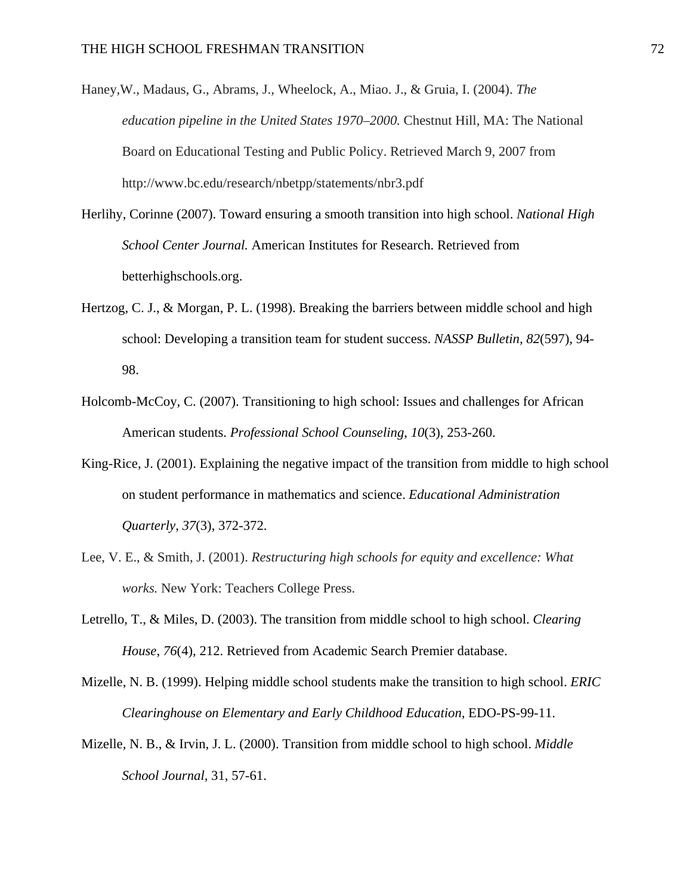- Haney,W., Madaus, G., Abrams, J., Wheelock, A., Miao. J., & Gruia, I. (2004). *The education pipeline in the United States 1970–2000.* Chestnut Hill, MA: The National Board on Educational Testing and Public Policy. Retrieved March 9, 2007 from http://www.bc.edu/research/nbetpp/statements/nbr3.pdf
- Herlihy, Corinne (2007). Toward ensuring a smooth transition into high school. *National High School Center Journal.* American Institutes for Research. Retrieved from betterhighschools.org.
- Hertzog, C. J., & Morgan, P. L. (1998). Breaking the barriers between middle school and high school: Developing a transition team for student success. *NASSP Bulletin, 82*(597), 94- 98.
- Holcomb-McCoy, C. (2007). Transitioning to high school: Issues and challenges for African American students. *Professional School Counseling*, *10*(3), 253-260.
- King-Rice, J. (2001). Explaining the negative impact of the transition from middle to high school on student performance in mathematics and science. *Educational Administration Quarterly*, *37*(3), 372-372.
- Lee, V. E., & Smith, J. (2001). *Restructuring high schools for equity and excellence: What works.* New York: Teachers College Press.
- Letrello, T., & Miles, D. (2003). The transition from middle school to high school. *Clearing House*, *76*(4), 212. Retrieved from Academic Search Premier database.
- Mizelle, N. B. (1999). Helping middle school students make the transition to high school. *ERIC Clearinghouse on Elementary and Early Childhood Education,* EDO-PS-99-11.
- Mizelle, N. B., & Irvin, J. L. (2000). Transition from middle school to high school. *Middle School Journal,* 31, 57-61.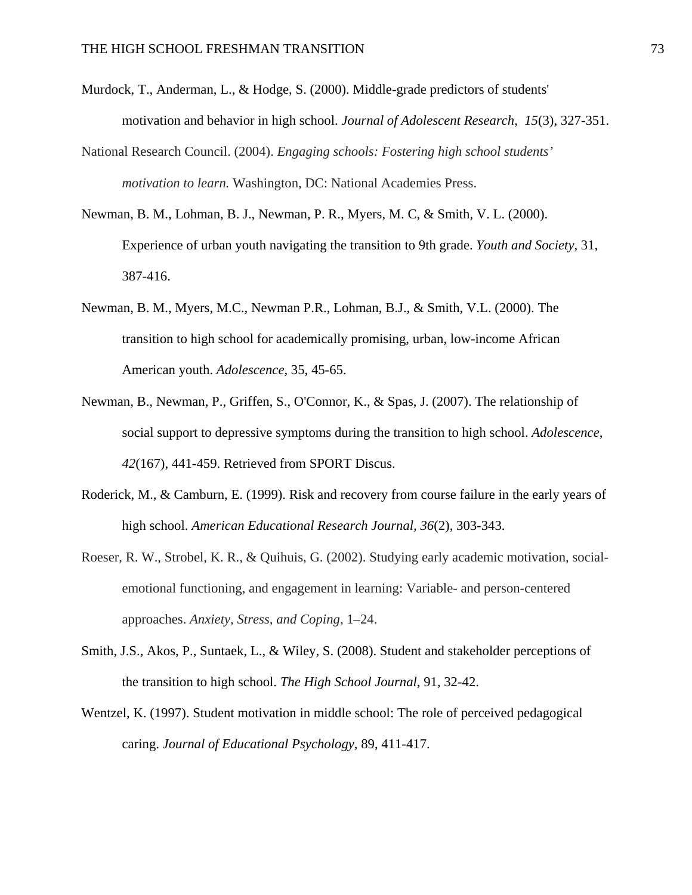- Murdock, T., Anderman, L., & Hodge, S. (2000). Middle-grade predictors of students' motivation and behavior in high school. *Journal of Adolescent Research*, *15*(3), 327-351.
- National Research Council. (2004). *Engaging schools: Fostering high school students' motivation to learn.* Washington, DC: National Academies Press.
- Newman, B. M., Lohman, B. J., Newman, P. R., Myers, M. C, & Smith, V. L. (2000). Experience of urban youth navigating the transition to 9th grade. *Youth and Society,* 31, 387-416.
- Newman, B. M., Myers, M.C., Newman P.R., Lohman, B.J., & Smith, V.L. (2000). The transition to high school for academically promising, urban, low-income African American youth. *Adolescence,* 35, 45-65.
- Newman, B., Newman, P., Griffen, S., O'Connor, K., & Spas, J. (2007). The relationship of social support to depressive symptoms during the transition to high school. *Adolescence*, *42*(167), 441-459. Retrieved from SPORT Discus.
- Roderick, M., & Camburn, E. (1999). Risk and recovery from course failure in the early years of high school. *American Educational Research Journal, 36*(2), 303-343.
- Roeser, R. W., Strobel, K. R., & Quihuis, G. (2002). Studying early academic motivation, socialemotional functioning, and engagement in learning: Variable- and person-centered approaches. *Anxiety, Stress, and Coping,* 1–24.
- Smith, J.S., Akos, P., Suntaek, L., & Wiley, S. (2008). Student and stakeholder perceptions of the transition to high school. *The High School Journal*, 91, 32-42.
- Wentzel, K. (1997). Student motivation in middle school: The role of perceived pedagogical caring. *Journal of Educational Psychology*, 89, 411-417.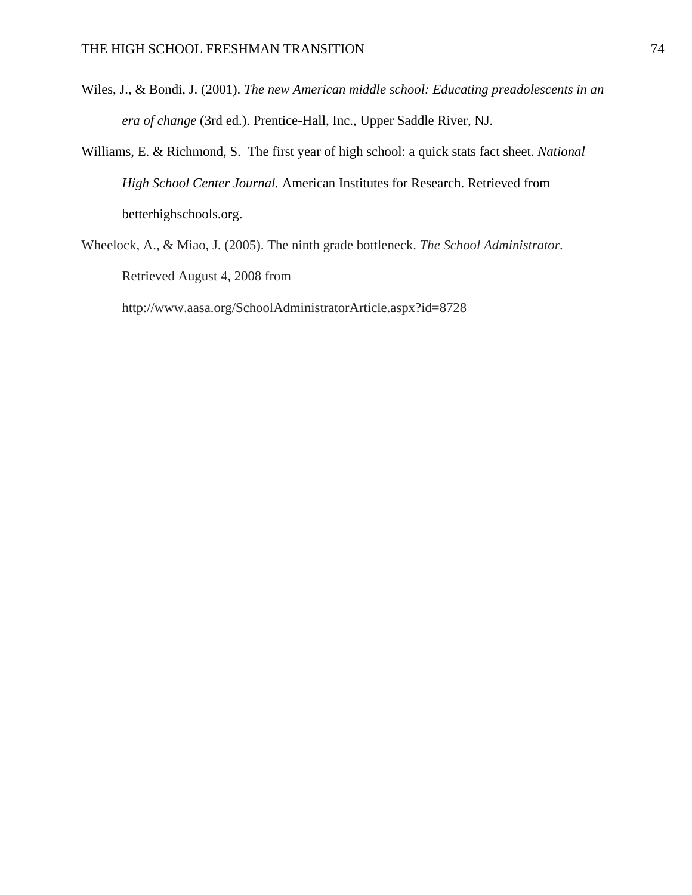- Wiles, J., & Bondi, J. (2001). *The new American middle school: Educating preadolescents in an era of change* (3rd ed.). Prentice-Hall, Inc., Upper Saddle River, NJ.
- Williams, E. & Richmond, S. The first year of high school: a quick stats fact sheet. *National High School Center Journal.* American Institutes for Research. Retrieved from betterhighschools.org.
- Wheelock, A., & Miao, J. (2005). The ninth grade bottleneck. *The School Administrator.*  Retrieved August 4, 2008 from

http://www.aasa.org/SchoolAdministratorArticle.aspx?id=8728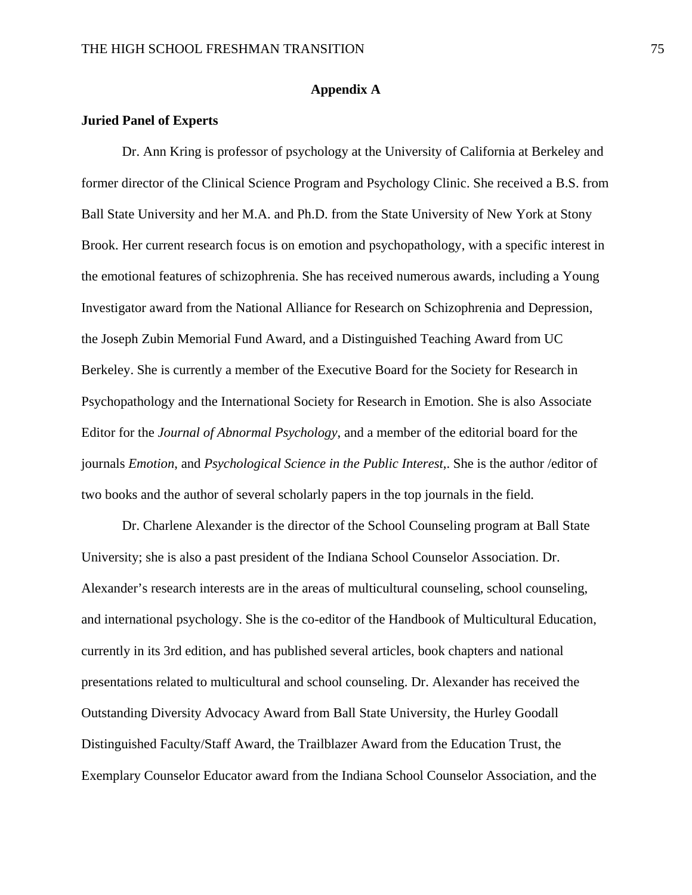#### **Appendix A**

#### **Juried Panel of Experts**

Dr. Ann Kring is professor of psychology at the University of California at Berkeley and former director of the Clinical Science Program and Psychology Clinic. She received a B.S. from Ball State University and her M.A. and Ph.D. from the State University of New York at Stony Brook. Her current research focus is on emotion and psychopathology, with a specific interest in the emotional features of schizophrenia. She has received numerous awards, including a Young Investigator award from the National Alliance for Research on Schizophrenia and Depression, the Joseph Zubin Memorial Fund Award, and a Distinguished Teaching Award from UC Berkeley. She is currently a member of the Executive Board for the Society for Research in Psychopathology and the International Society for Research in Emotion. She is also Associate Editor for the *Journal of Abnormal Psychology*, and a member of the editorial board for the journals *Emotion*, and *Psychological Science in the Public Interest*,. She is the author /editor of two books and the author of several scholarly papers in the top journals in the field.

Dr. Charlene Alexander is the director of the School Counseling program at Ball State University; she is also a past president of the Indiana School Counselor Association. Dr. Alexander's research interests are in the areas of multicultural counseling, school counseling, and international psychology. She is the co-editor of the Handbook of Multicultural Education, currently in its 3rd edition, and has published several articles, book chapters and national presentations related to multicultural and school counseling. Dr. Alexander has received the Outstanding Diversity Advocacy Award from Ball State University, the Hurley Goodall Distinguished Faculty/Staff Award, the Trailblazer Award from the Education Trust, the Exemplary Counselor Educator award from the Indiana School Counselor Association, and the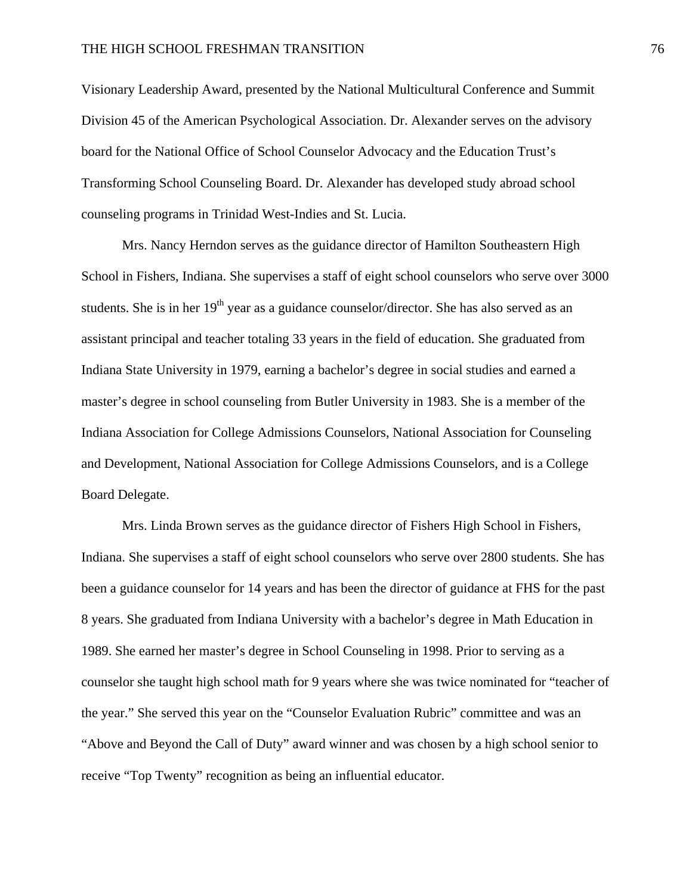Visionary Leadership Award, presented by the National Multicultural Conference and Summit Division 45 of the American Psychological Association. Dr. Alexander serves on the advisory board for the National Office of School Counselor Advocacy and the Education Trust's Transforming School Counseling Board. Dr. Alexander has developed study abroad school counseling programs in Trinidad West-Indies and St. Lucia.

Mrs. Nancy Herndon serves as the guidance director of Hamilton Southeastern High School in Fishers, Indiana. She supervises a staff of eight school counselors who serve over 3000 students. She is in her  $19<sup>th</sup>$  year as a guidance counselor/director. She has also served as an assistant principal and teacher totaling 33 years in the field of education. She graduated from Indiana State University in 1979, earning a bachelor's degree in social studies and earned a master's degree in school counseling from Butler University in 1983. She is a member of the Indiana Association for College Admissions Counselors, National Association for Counseling and Development, National Association for College Admissions Counselors, and is a College Board Delegate.

Mrs. Linda Brown serves as the guidance director of Fishers High School in Fishers, Indiana. She supervises a staff of eight school counselors who serve over 2800 students. She has been a guidance counselor for 14 years and has been the director of guidance at FHS for the past 8 years. She graduated from Indiana University with a bachelor's degree in Math Education in 1989. She earned her master's degree in School Counseling in 1998. Prior to serving as a counselor she taught high school math for 9 years where she was twice nominated for "teacher of the year." She served this year on the "Counselor Evaluation Rubric" committee and was an "Above and Beyond the Call of Duty" award winner and was chosen by a high school senior to receive "Top Twenty" recognition as being an influential educator.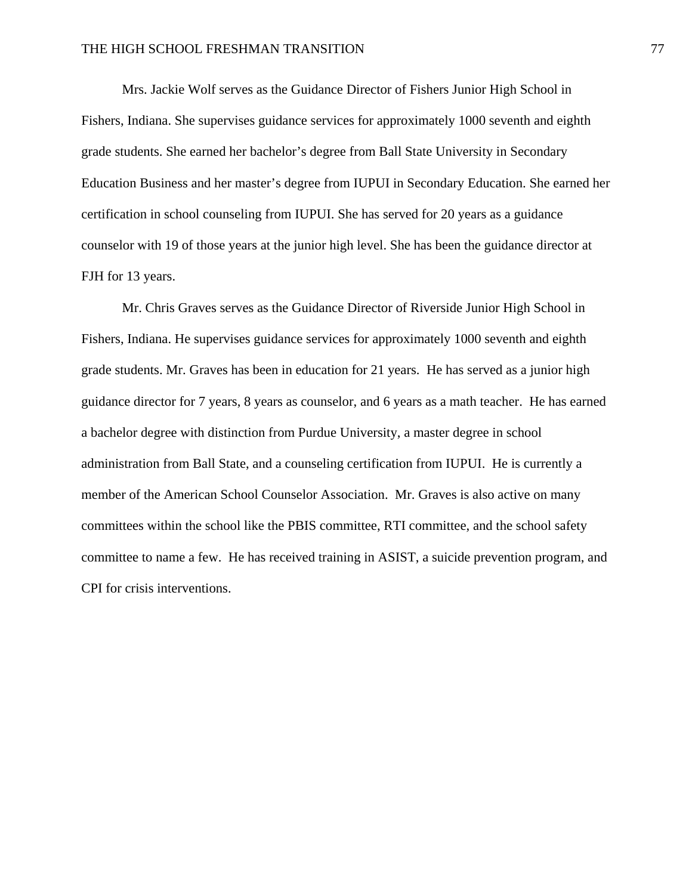Mrs. Jackie Wolf serves as the Guidance Director of Fishers Junior High School in Fishers, Indiana. She supervises guidance services for approximately 1000 seventh and eighth grade students. She earned her bachelor's degree from Ball State University in Secondary Education Business and her master's degree from IUPUI in Secondary Education. She earned her certification in school counseling from IUPUI. She has served for 20 years as a guidance counselor with 19 of those years at the junior high level. She has been the guidance director at FJH for 13 years.

Mr. Chris Graves serves as the Guidance Director of Riverside Junior High School in Fishers, Indiana. He supervises guidance services for approximately 1000 seventh and eighth grade students. Mr. Graves has been in education for 21 years. He has served as a junior high guidance director for 7 years, 8 years as counselor, and 6 years as a math teacher. He has earned a bachelor degree with distinction from Purdue University, a master degree in school administration from Ball State, and a counseling certification from IUPUI. He is currently a member of the American School Counselor Association. Mr. Graves is also active on many committees within the school like the PBIS committee, RTI committee, and the school safety committee to name a few. He has received training in ASIST, a suicide prevention program, and CPI for crisis interventions.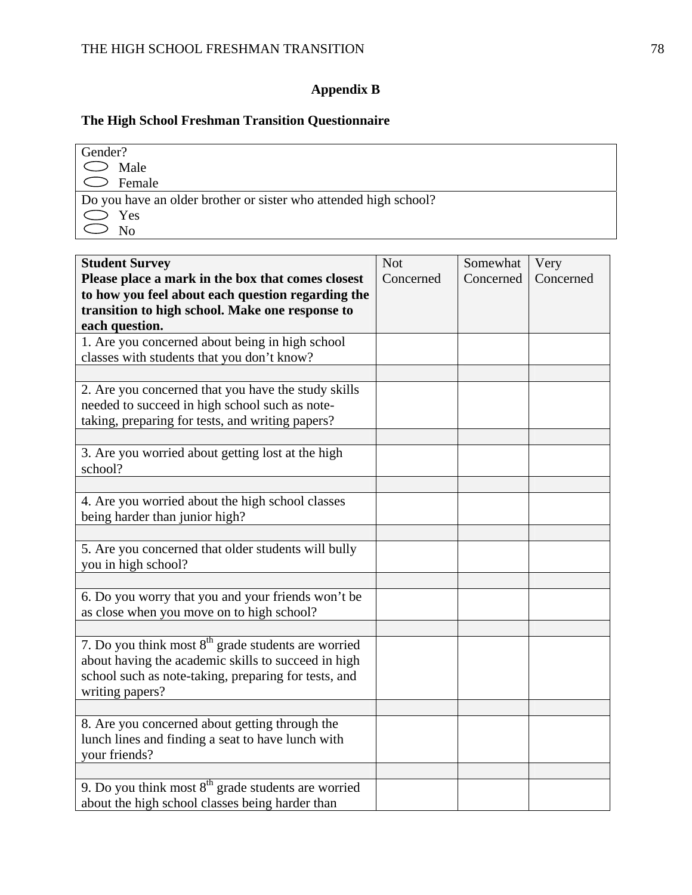## **Appendix B**

## **The High School Freshman Transition Questionnaire**

| Gender?                                                          |
|------------------------------------------------------------------|
| $\bigcirc$ Male                                                  |
| $\circ$ Female                                                   |
| Do you have an older brother or sister who attended high school? |
| $\bigcirc$ Yes                                                   |
| No                                                               |

| <b>Student Survey</b>                                 | <b>Not</b> | Somewhat  | Very      |
|-------------------------------------------------------|------------|-----------|-----------|
| Please place a mark in the box that comes closest     | Concerned  | Concerned | Concerned |
| to how you feel about each question regarding the     |            |           |           |
| transition to high school. Make one response to       |            |           |           |
| each question.                                        |            |           |           |
| 1. Are you concerned about being in high school       |            |           |           |
| classes with students that you don't know?            |            |           |           |
|                                                       |            |           |           |
| 2. Are you concerned that you have the study skills   |            |           |           |
| needed to succeed in high school such as note-        |            |           |           |
| taking, preparing for tests, and writing papers?      |            |           |           |
| 3. Are you worried about getting lost at the high     |            |           |           |
| school?                                               |            |           |           |
|                                                       |            |           |           |
| 4. Are you worried about the high school classes      |            |           |           |
| being harder than junior high?                        |            |           |           |
|                                                       |            |           |           |
| 5. Are you concerned that older students will bully   |            |           |           |
| you in high school?                                   |            |           |           |
|                                                       |            |           |           |
| 6. Do you worry that you and your friends won't be    |            |           |           |
| as close when you move on to high school?             |            |           |           |
|                                                       |            |           |           |
| 7. Do you think most $8th$ grade students are worried |            |           |           |
| about having the academic skills to succeed in high   |            |           |           |
| school such as note-taking, preparing for tests, and  |            |           |           |
| writing papers?                                       |            |           |           |
|                                                       |            |           |           |
| 8. Are you concerned about getting through the        |            |           |           |
| lunch lines and finding a seat to have lunch with     |            |           |           |
| your friends?                                         |            |           |           |
|                                                       |            |           |           |
| 9. Do you think most $8th$ grade students are worried |            |           |           |
| about the high school classes being harder than       |            |           |           |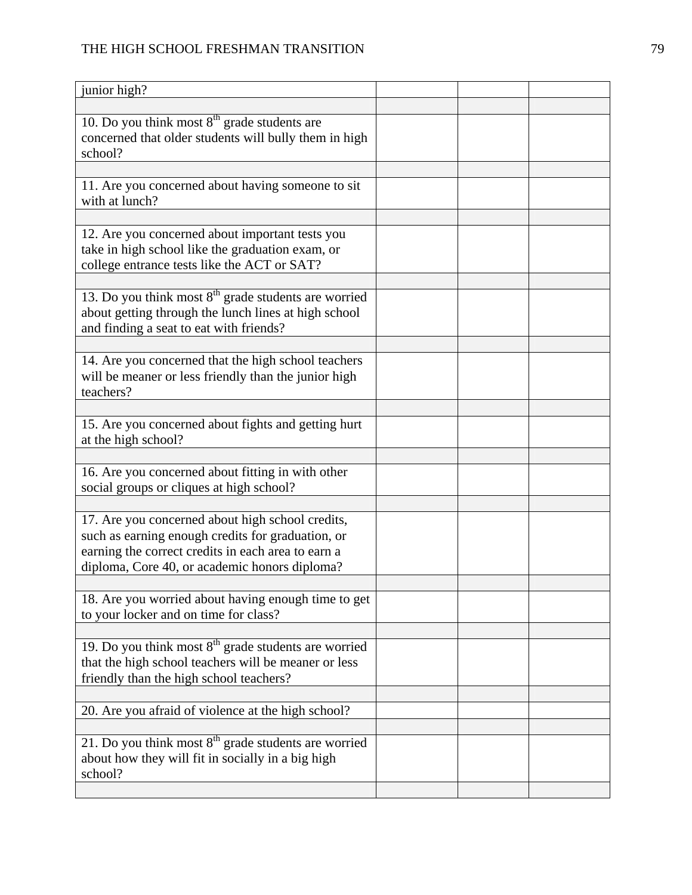## THE HIGH SCHOOL FRESHMAN TRANSITION 79

| junior high?                                                                                                                                                                                                 |  |  |
|--------------------------------------------------------------------------------------------------------------------------------------------------------------------------------------------------------------|--|--|
|                                                                                                                                                                                                              |  |  |
| 10. Do you think most $8th$ grade students are<br>concerned that older students will bully them in high<br>school?                                                                                           |  |  |
|                                                                                                                                                                                                              |  |  |
| 11. Are you concerned about having someone to sit<br>with at lunch?                                                                                                                                          |  |  |
|                                                                                                                                                                                                              |  |  |
| 12. Are you concerned about important tests you<br>take in high school like the graduation exam, or<br>college entrance tests like the ACT or SAT?                                                           |  |  |
|                                                                                                                                                                                                              |  |  |
| 13. Do you think most $8th$ grade students are worried<br>about getting through the lunch lines at high school<br>and finding a seat to eat with friends?                                                    |  |  |
|                                                                                                                                                                                                              |  |  |
| 14. Are you concerned that the high school teachers<br>will be meaner or less friendly than the junior high<br>teachers?                                                                                     |  |  |
|                                                                                                                                                                                                              |  |  |
| 15. Are you concerned about fights and getting hurt<br>at the high school?                                                                                                                                   |  |  |
|                                                                                                                                                                                                              |  |  |
| 16. Are you concerned about fitting in with other<br>social groups or cliques at high school?                                                                                                                |  |  |
|                                                                                                                                                                                                              |  |  |
| 17. Are you concerned about high school credits,<br>such as earning enough credits for graduation, or<br>earning the correct credits in each area to earn a<br>diploma, Core 40, or academic honors diploma? |  |  |
|                                                                                                                                                                                                              |  |  |
| 18. Are you worried about having enough time to get<br>to your locker and on time for class?                                                                                                                 |  |  |
|                                                                                                                                                                                                              |  |  |
| 19. Do you think most $8th$ grade students are worried<br>that the high school teachers will be meaner or less<br>friendly than the high school teachers?                                                    |  |  |
|                                                                                                                                                                                                              |  |  |
| 20. Are you afraid of violence at the high school?                                                                                                                                                           |  |  |
|                                                                                                                                                                                                              |  |  |
| 21. Do you think most $8th$ grade students are worried<br>about how they will fit in socially in a big high<br>school?                                                                                       |  |  |
|                                                                                                                                                                                                              |  |  |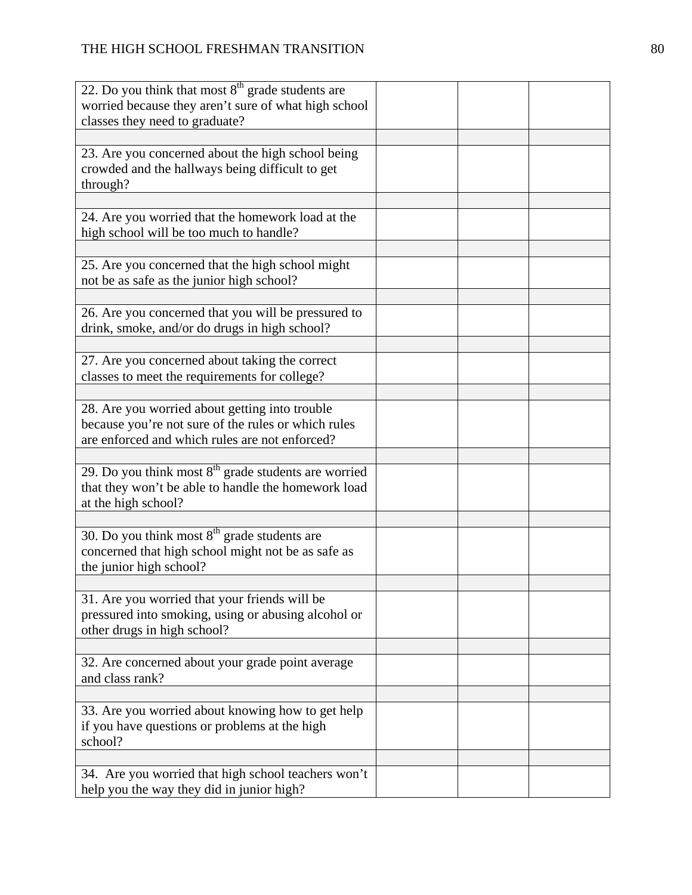| 22. Do you think that most $8th$ grade students are                                                                                                     |  |
|---------------------------------------------------------------------------------------------------------------------------------------------------------|--|
| worried because they aren't sure of what high school<br>classes they need to graduate?                                                                  |  |
|                                                                                                                                                         |  |
| 23. Are you concerned about the high school being<br>crowded and the hallways being difficult to get<br>through?                                        |  |
|                                                                                                                                                         |  |
| 24. Are you worried that the homework load at the<br>high school will be too much to handle?                                                            |  |
| 25. Are you concerned that the high school might<br>not be as safe as the junior high school?                                                           |  |
| 26. Are you concerned that you will be pressured to<br>drink, smoke, and/or do drugs in high school?                                                    |  |
| 27. Are you concerned about taking the correct<br>classes to meet the requirements for college?                                                         |  |
|                                                                                                                                                         |  |
| 28. Are you worried about getting into trouble<br>because you're not sure of the rules or which rules<br>are enforced and which rules are not enforced? |  |
|                                                                                                                                                         |  |
| 29. Do you think most $8th$ grade students are worried<br>that they won't be able to handle the homework load<br>at the high school?                    |  |
|                                                                                                                                                         |  |
| 30. Do you think most $8th$ grade students are<br>concerned that high school might not be as safe as<br>the junior high school?                         |  |
|                                                                                                                                                         |  |
| 31. Are you worried that your friends will be<br>pressured into smoking, using or abusing alcohol or<br>other drugs in high school?                     |  |
|                                                                                                                                                         |  |
| 32. Are concerned about your grade point average<br>and class rank?                                                                                     |  |
|                                                                                                                                                         |  |
| 33. Are you worried about knowing how to get help<br>if you have questions or problems at the high<br>school?                                           |  |
|                                                                                                                                                         |  |
| 34. Are you worried that high school teachers won't<br>help you the way they did in junior high?                                                        |  |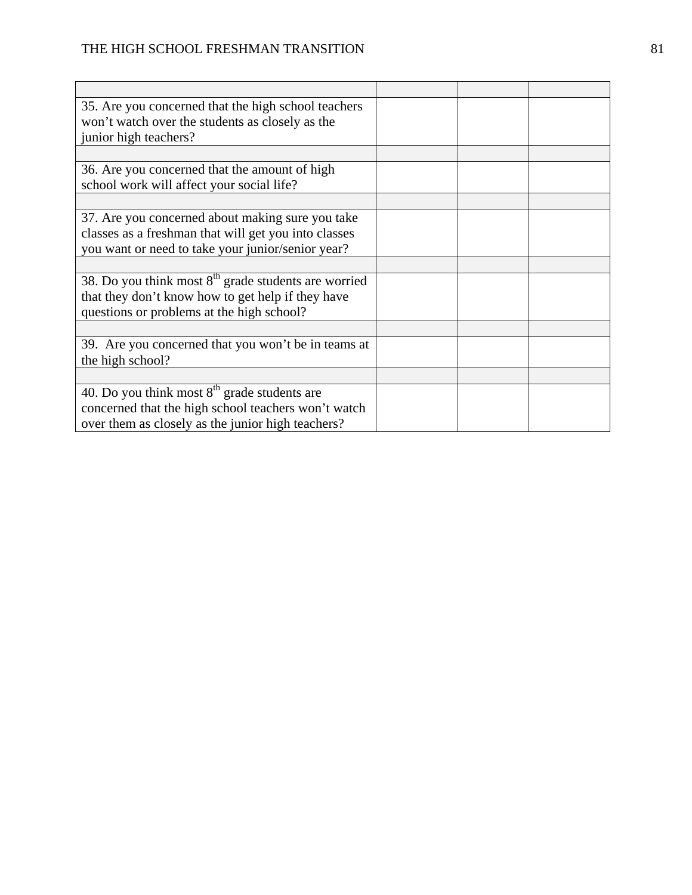| 35. Are you concerned that the high school teachers<br>won't watch over the students as closely as the<br>junior high teachers?                               |  |  |
|---------------------------------------------------------------------------------------------------------------------------------------------------------------|--|--|
|                                                                                                                                                               |  |  |
| 36. Are you concerned that the amount of high<br>school work will affect your social life?                                                                    |  |  |
|                                                                                                                                                               |  |  |
| 37. Are you concerned about making sure you take<br>classes as a freshman that will get you into classes<br>you want or need to take your junior/senior year? |  |  |
|                                                                                                                                                               |  |  |
| 38. Do you think most $8th$ grade students are worried<br>that they don't know how to get help if they have<br>questions or problems at the high school?      |  |  |
|                                                                                                                                                               |  |  |
| 39. Are you concerned that you won't be in teams at<br>the high school?                                                                                       |  |  |
|                                                                                                                                                               |  |  |
| 40. Do you think most $8th$ grade students are<br>concerned that the high school teachers won't watch<br>over them as closely as the junior high teachers?    |  |  |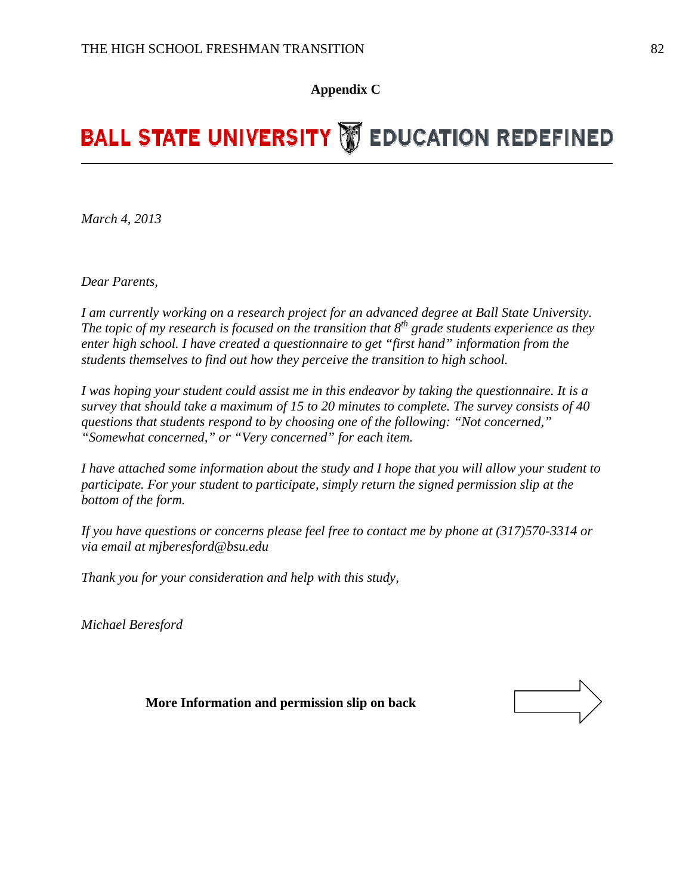**Appendix C** 

# **BALL STATE UNIVERSITY WEDUCATION REDEFINED**

*March 4, 2013* 

*Dear Parents,* 

*I am currently working on a research project for an advanced degree at Ball State University. The topic of my research is focused on the transition that 8<sup>th</sup> grade students experience as they enter high school. I have created a questionnaire to get "first hand" information from the students themselves to find out how they perceive the transition to high school.* 

*I was hoping your student could assist me in this endeavor by taking the questionnaire. It is a survey that should take a maximum of 15 to 20 minutes to complete. The survey consists of 40 questions that students respond to by choosing one of the following: "Not concerned," "Somewhat concerned," or "Very concerned" for each item.* 

*I have attached some information about the study and I hope that you will allow your student to participate. For your student to participate, simply return the signed permission slip at the bottom of the form.* 

*If you have questions or concerns please feel free to contact me by phone at (317)570-3314 or via email at mjberesford@bsu.edu* 

*Thank you for your consideration and help with this study,* 

*Michael Beresford*

 **More Information and permission slip on back** 

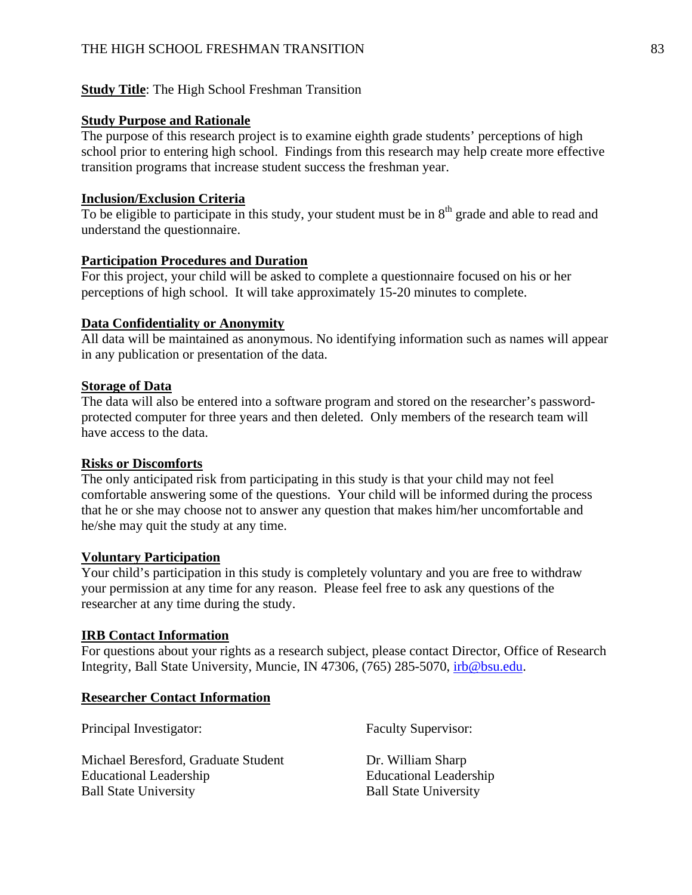#### **Study Title:** The High School Freshman Transition

#### **Study Purpose and Rationale**

The purpose of this research project is to examine eighth grade students' perceptions of high school prior to entering high school. Findings from this research may help create more effective transition programs that increase student success the freshman year.

#### **Inclusion/Exclusion Criteria**

To be eligible to participate in this study, your student must be in  $8<sup>th</sup>$  grade and able to read and understand the questionnaire.

#### **Participation Procedures and Duration**

For this project, your child will be asked to complete a questionnaire focused on his or her perceptions of high school. It will take approximately 15-20 minutes to complete.

#### **Data Confidentiality or Anonymity**

All data will be maintained as anonymous. No identifying information such as names will appear in any publication or presentation of the data.

#### **Storage of Data**

The data will also be entered into a software program and stored on the researcher's passwordprotected computer for three years and then deleted. Only members of the research team will have access to the data.

#### **Risks or Discomforts**

The only anticipated risk from participating in this study is that your child may not feel comfortable answering some of the questions. Your child will be informed during the process that he or she may choose not to answer any question that makes him/her uncomfortable and he/she may quit the study at any time.

#### **Voluntary Participation**

Your child's participation in this study is completely voluntary and you are free to withdraw your permission at any time for any reason. Please feel free to ask any questions of the researcher at any time during the study.

#### **IRB Contact Information**

For questions about your rights as a research subject, please contact Director, Office of Research Integrity, Ball State University, Muncie, IN 47306, (765) 285-5070, irb@bsu.edu.

#### **Researcher Contact Information**

Principal Investigator: Faculty Supervisor:

Michael Beresford, Graduate Student Dr. William Sharp Educational Leadership Educational Leadership Ball State University Ball State University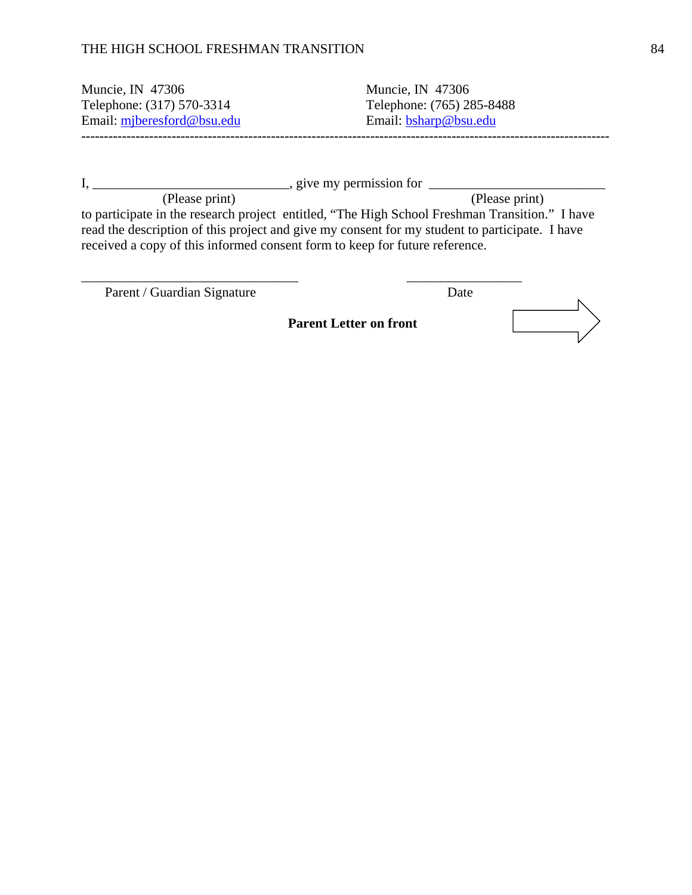#### THE HIGH SCHOOL FRESHMAN TRANSITION 84

Muncie, IN 47306 Muncie, IN 47306 Telephone: (317) 570-3314 Telephone: (765) 285-8488 Email: mjberesford@bsu.edu Email: bsharp@bsu.edu **---------------------------------------------------------------------------------------------------------------------** 

 $I, \underline{\hspace{1cm}}$   $I, \underline{\hspace{1cm}}$   $I, \underline{\hspace{1cm}}$   $I, \underline{\hspace{1cm}}$   $I, \underline{\hspace{1cm}}$   $I, \underline{\hspace{1cm}}$   $I, \underline{\hspace{1cm}}$   $I, \underline{\hspace{1cm}}$   $I, \underline{\hspace{1cm}}$   $I, \underline{\hspace{1cm}}$   $I, \underline{\hspace{1cm}}$   $I, \underline{\hspace{1cm}}$   $I, \underline{\hspace{1cm}}$   $I, \underline{\hspace{1cm}}$   $I, \underline{\hspace{1cm}}$   $I, \underline{\hspace{1cm$ (Please print) (Please print) to participate in the research project entitled, "The High School Freshman Transition." I have read the description of this project and give my consent for my student to participate. I have received a copy of this informed consent form to keep for future reference.

\_\_\_\_\_\_\_\_\_\_\_\_\_\_\_\_\_\_\_\_\_\_\_\_\_\_\_\_\_\_\_\_ \_\_\_\_\_\_\_\_\_\_\_\_\_\_\_\_\_

Parent / Guardian Signature Date

 **Parent Letter on front**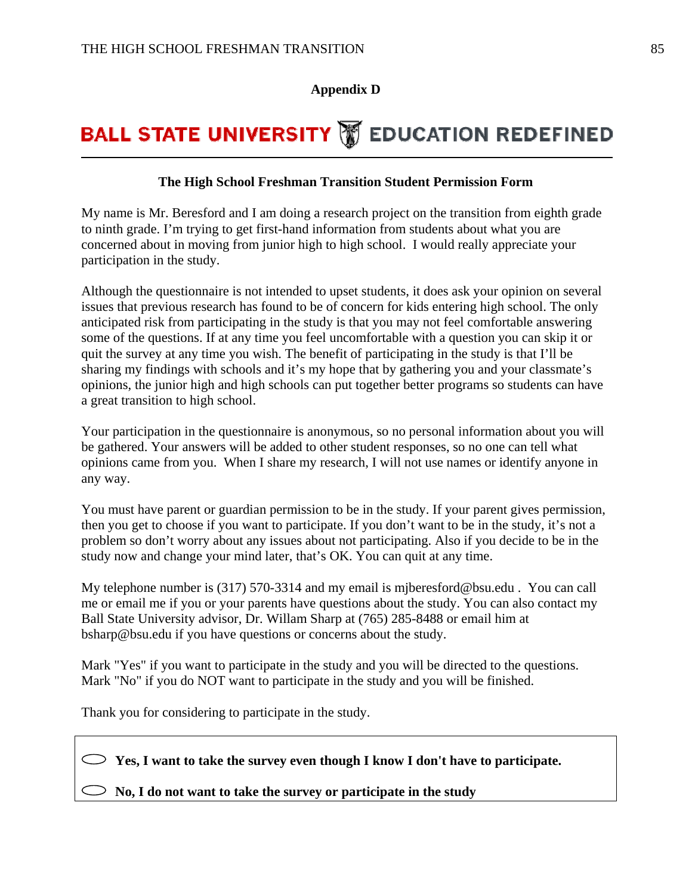#### **Appendix D**

## **BALL STATE UNIVERSITY WEDUCATION REDEFINED**

#### **The High School Freshman Transition Student Permission Form**

My name is Mr. Beresford and I am doing a research project on the transition from eighth grade to ninth grade. I'm trying to get first-hand information from students about what you are concerned about in moving from junior high to high school. I would really appreciate your participation in the study.

Although the questionnaire is not intended to upset students, it does ask your opinion on several issues that previous research has found to be of concern for kids entering high school. The only anticipated risk from participating in the study is that you may not feel comfortable answering some of the questions. If at any time you feel uncomfortable with a question you can skip it or quit the survey at any time you wish. The benefit of participating in the study is that I'll be sharing my findings with schools and it's my hope that by gathering you and your classmate's opinions, the junior high and high schools can put together better programs so students can have a great transition to high school.

Your participation in the questionnaire is anonymous, so no personal information about you will be gathered. Your answers will be added to other student responses, so no one can tell what opinions came from you. When I share my research, I will not use names or identify anyone in any way.

You must have parent or guardian permission to be in the study. If your parent gives permission, then you get to choose if you want to participate. If you don't want to be in the study, it's not a problem so don't worry about any issues about not participating. Also if you decide to be in the study now and change your mind later, that's OK. You can quit at any time.

My telephone number is (317) 570-3314 and my email is mjberesford@bsu.edu . You can call me or email me if you or your parents have questions about the study. You can also contact my Ball State University advisor, Dr. Willam Sharp at (765) 285-8488 or email him at bsharp@bsu.edu if you have questions or concerns about the study.

Mark "Yes" if you want to participate in the study and you will be directed to the questions. Mark "No" if you do NOT want to participate in the study and you will be finished.

Thank you for considering to participate in the study.

 **Yes, I want to take the survey even though I know I don't have to participate.** 

 $\circ$  No, I do not want to take the survey or participate in the study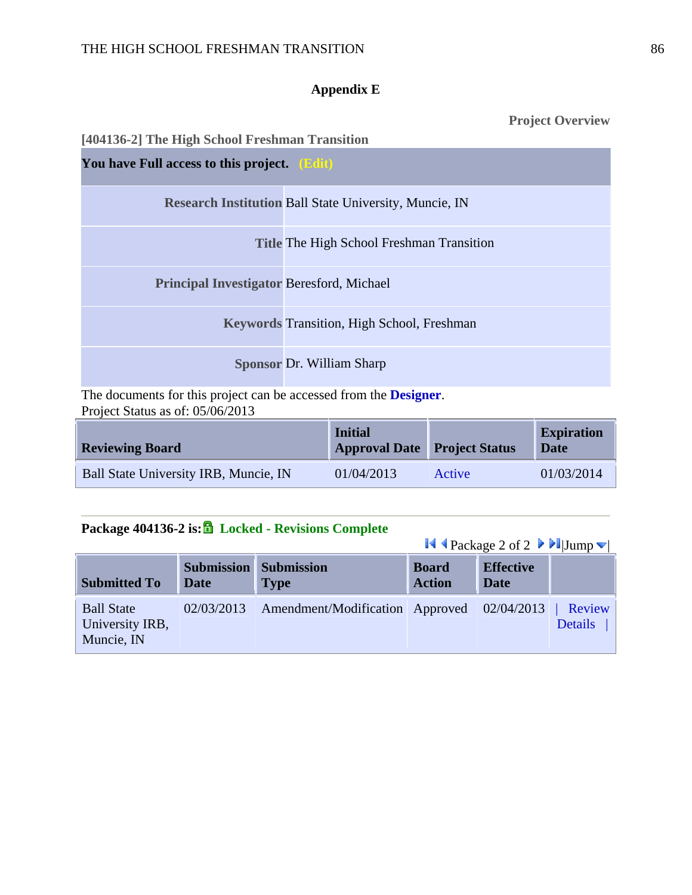### **Appendix E**

**Project Overview** 

| [404136-2] The High School Freshman Transition   |                                                               |
|--------------------------------------------------|---------------------------------------------------------------|
| You have Full access to this project. (Edit)     |                                                               |
|                                                  | <b>Research Institution Ball State University, Muncie, IN</b> |
|                                                  | <b>Title The High School Freshman Transition</b>              |
| <b>Principal Investigator Beresford, Michael</b> |                                                               |
|                                                  | <b>Keywords Transition, High School, Freshman</b>             |
|                                                  | <b>Sponsor Dr. William Sharp</b>                              |
| $T \rightarrow 1$                                | $\mathbf{10}$ $\mathbf{10}$                                   |

The documents for this project can be accessed from the **Designer**. Project Status as of: 05/06/2013

| <b>Reviewing Board</b>                | <b>Initial</b><br><b>Approval Date Project Status</b> |        | <b>Expiration</b><br>Date |
|---------------------------------------|-------------------------------------------------------|--------|---------------------------|
| Ball State University IRB, Muncie, IN | 01/04/2013                                            | Active | 01/03/2014                |

## **Package 404136-2 is: Locked - Revisions Complete**

 $\blacksquare$  Package 2 of 2  $\blacksquare$ Iump  $\blacksquare$ 

|                                                    |                                  |                                            |                               | $\sim$ 1 ackage $\geq$ 01 $\geq$ $\sim$ $\sim$ $\sim$ 10 amp $\sim$ |                          |
|----------------------------------------------------|----------------------------------|--------------------------------------------|-------------------------------|---------------------------------------------------------------------|--------------------------|
| <b>Submitted To</b>                                | <b>Submission</b><br><b>Date</b> | <b>Submission</b><br><b>Type</b>           | <b>Board</b><br><b>Action</b> | <b>Effective</b><br><b>Date</b>                                     |                          |
| <b>Ball State</b><br>University IRB,<br>Muncie, IN | 02/03/2013                       | Amendment/Modification Approved 02/04/2013 |                               |                                                                     | Review<br><b>Details</b> |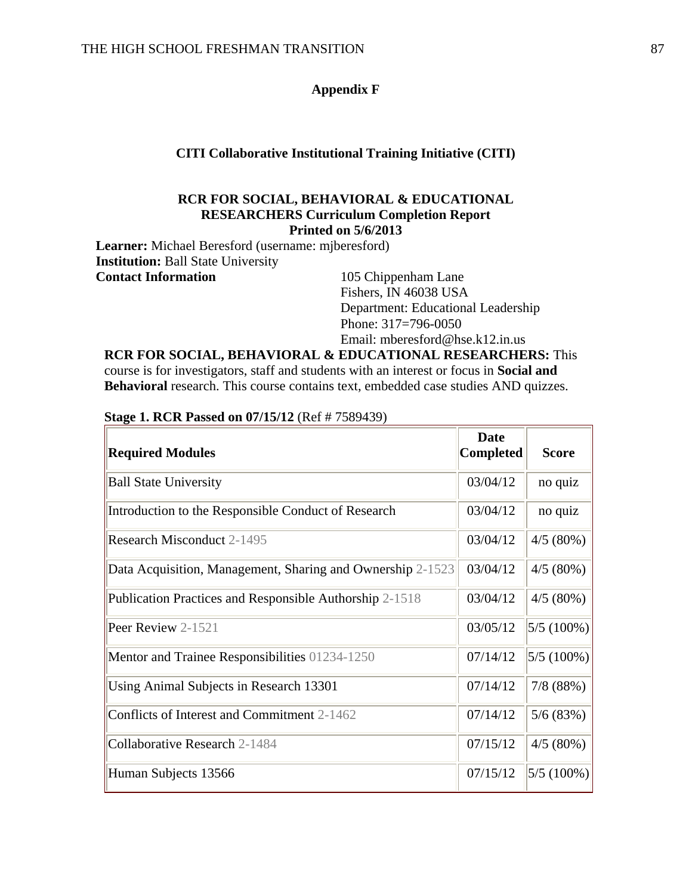#### **Appendix F**

#### **CITI Collaborative Institutional Training Initiative (CITI)**

#### **RCR FOR SOCIAL, BEHAVIORAL & EDUCATIONAL RESEARCHERS Curriculum Completion Report Printed on 5/6/2013**

**Learner:** Michael Beresford (username: mjberesford) **Institution:** Ball State University **Contact Information** 105 Chippenham Lane

Fishers, IN 46038 USA Department: Educational Leadership Phone: 317=796-0050 Email: mberesford@hse.k12.in.us

**RCR FOR SOCIAL, BEHAVIORAL & EDUCATIONAL RESEARCHERS:** This course is for investigators, staff and students with an interest or focus in **Social and Behavioral** research. This course contains text, embedded case studies AND quizzes.

| <b>Required Modules</b>                                    | Date<br>Completed | <b>Score</b>   |
|------------------------------------------------------------|-------------------|----------------|
| <b>Ball State University</b>                               | 03/04/12          | no quiz        |
| Introduction to the Responsible Conduct of Research        | 03/04/12          | no quiz        |
| <b>Research Misconduct 2-1495</b>                          | 03/04/12          | 4/5(80%)       |
| Data Acquisition, Management, Sharing and Ownership 2-1523 | 03/04/12          | $4/5(80\%)$    |
| Publication Practices and Responsible Authorship 2-1518    | 03/04/12          | 4/5(80%)       |
| Peer Review 2-1521                                         | 03/05/12          | $ 5/5(100\%) $ |
| Mentor and Trainee Responsibilities 01234-1250             | 07/14/12          | $ 5/5(100\%)$  |
| Using Animal Subjects in Research 13301                    | 07/14/12          | 7/8(88%)       |
| Conflicts of Interest and Commitment 2-1462                | 07/14/12          | 5/6(83%)       |
| Collaborative Research 2-1484                              | 07/15/12          | 4/5(80%)       |
| Human Subjects 13566                                       | 07/15/12          | $ 5/5(100\%)$  |

**Stage 1. RCR Passed on 07/15/12** (Ref # 7589439)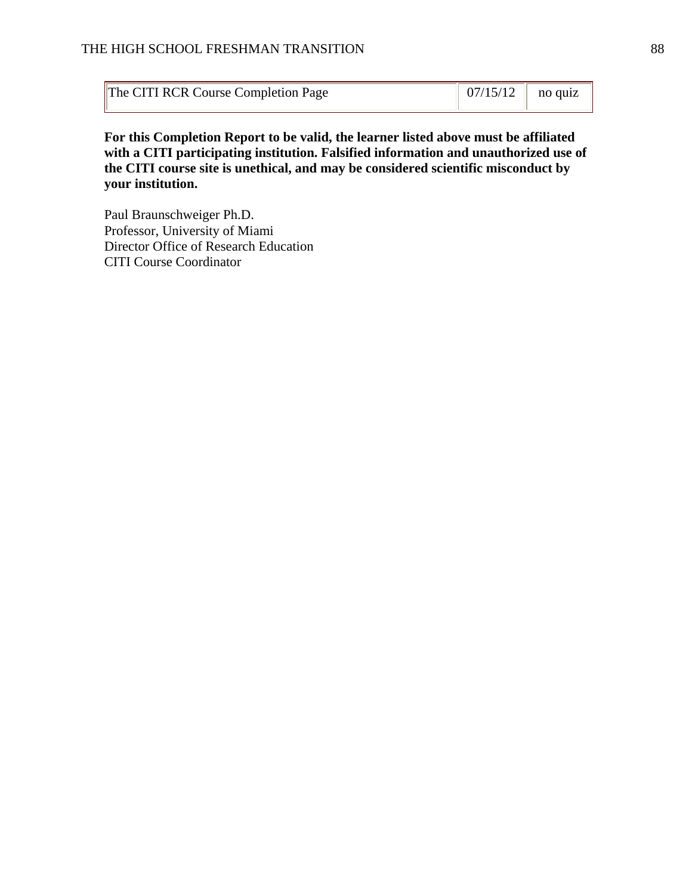| The CITI RCR Course Completion Page |  |  |
|-------------------------------------|--|--|
|-------------------------------------|--|--|

**For this Completion Report to be valid, the learner listed above must be affiliated with a CITI participating institution. Falsified information and unauthorized use of the CITI course site is unethical, and may be considered scientific misconduct by your institution.** 

Paul Braunschweiger Ph.D. Professor, University of Miami Director Office of Research Education CITI Course Coordinator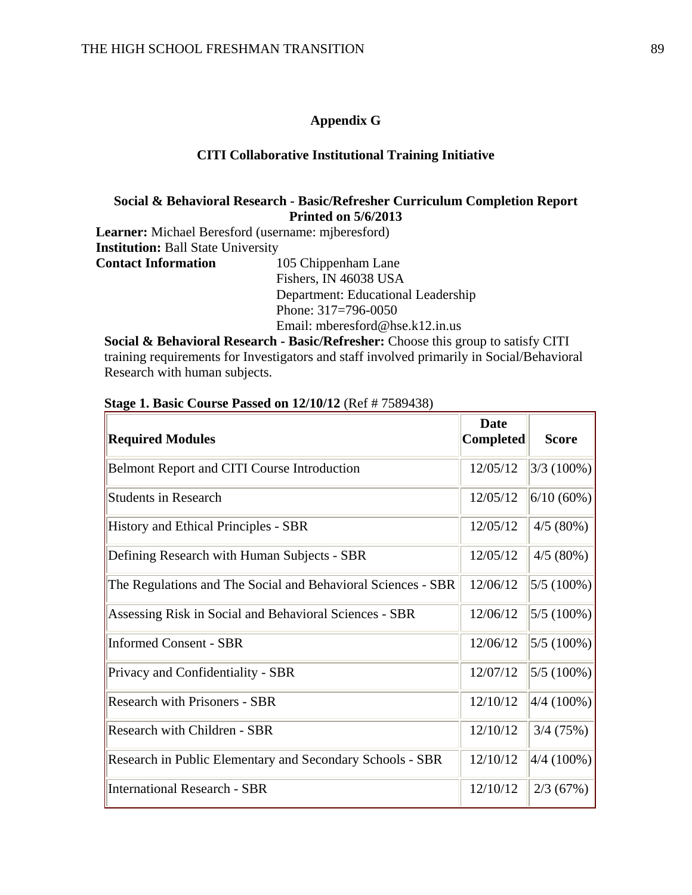#### **Appendix G**

#### **CITI Collaborative Institutional Training Initiative**

#### **Social & Behavioral Research - Basic/Refresher Curriculum Completion Report Printed on 5/6/2013**

**Learner:** Michael Beresford (username: mjberesford) **Institution:** Ball State University **Contact Information** 105 Chippenham Lane Fishers, IN 46038 USA Department: Educational Leadership

Phone: 317=796-0050 Email: mberesford@hse.k12.in.us

**Social & Behavioral Research - Basic/Refresher:** Choose this group to satisfy CITI training requirements for Investigators and staff involved primarily in Social/Behavioral Research with human subjects.

| <b>Required Modules</b>                                      | <b>Date</b><br><b>Completed</b> | <b>Score</b>   |
|--------------------------------------------------------------|---------------------------------|----------------|
| Belmont Report and CITI Course Introduction                  | 12/05/12                        | $3/3(100\%)$   |
| <b>Students in Research</b>                                  | 12/05/12                        | 6/10(60%)      |
| <b>History and Ethical Principles - SBR</b>                  | 12/05/12                        | 4/5(80%)       |
| Defining Research with Human Subjects - SBR                  | 12/05/12                        | 4/5(80%)       |
| The Regulations and The Social and Behavioral Sciences - SBR | 12/06/12                        | $ 5/5(100\%)$  |
| Assessing Risk in Social and Behavioral Sciences - SBR       | 12/06/12                        | $ 5/5(100\%)$  |
| <b>Informed Consent - SBR</b>                                | 12/06/12                        | $ 5/5(100\%)$  |
| Privacy and Confidentiality - SBR                            | 12/07/12                        | $ 5/5(100\%)$  |
| <b>Research with Prisoners - SBR</b>                         | 12/10/12                        | $ 4/4 (100\%)$ |
| <b>Research with Children - SBR</b>                          | 12/10/12                        | 3/4(75%)       |
| Research in Public Elementary and Secondary Schools - SBR    | 12/10/12                        | $4/4(100\%)$   |
| <b>International Research - SBR</b>                          | 12/10/12                        | 2/3(67%)       |

#### **Stage 1. Basic Course Passed on 12/10/12** (Ref # 7589438)